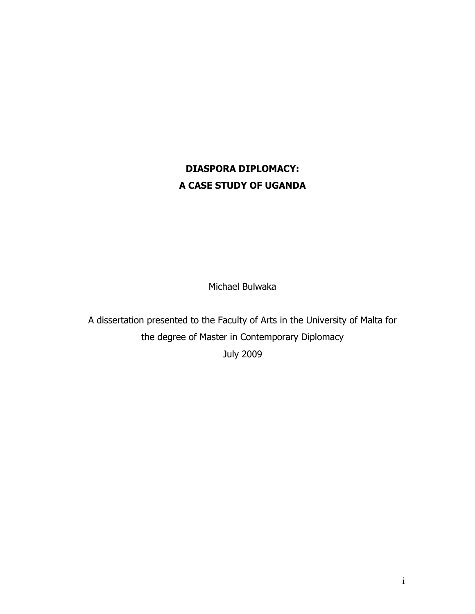# DIASPORA DIPLOMACY: A CASE STUDY OF UGANDA

Michael Bulwaka

A dissertation presented to the Faculty of Arts in the University of Malta for the degree of Master in Contemporary Diplomacy July 2009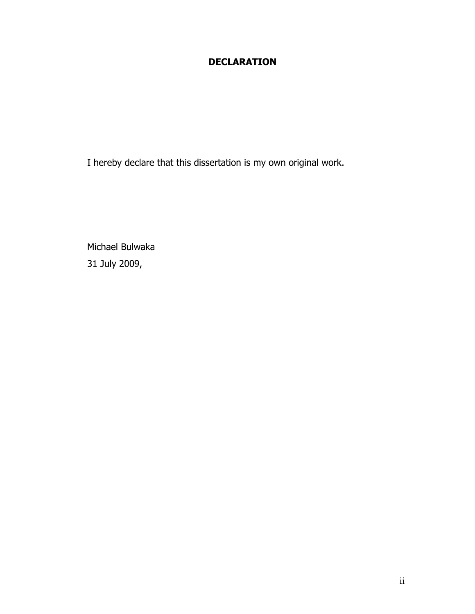## DECLARATION

I hereby declare that this dissertation is my own original work.

Michael Bulwaka 31 July 2009,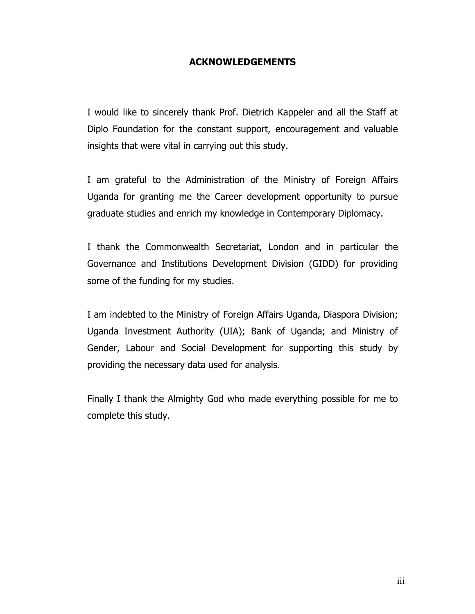#### ACKNOWLEDGEMENTS

I would like to sincerely thank Prof. Dietrich Kappeler and all the Staff at Diplo Foundation for the constant support, encouragement and valuable insights that were vital in carrying out this study.

I am grateful to the Administration of the Ministry of Foreign Affairs Uganda for granting me the Career development opportunity to pursue graduate studies and enrich my knowledge in Contemporary Diplomacy.

I thank the Commonwealth Secretariat, London and in particular the Governance and Institutions Development Division (GIDD) for providing some of the funding for my studies.

I am indebted to the Ministry of Foreign Affairs Uganda, Diaspora Division; Uganda Investment Authority (UIA); Bank of Uganda; and Ministry of Gender, Labour and Social Development for supporting this study by providing the necessary data used for analysis.

Finally I thank the Almighty God who made everything possible for me to complete this study.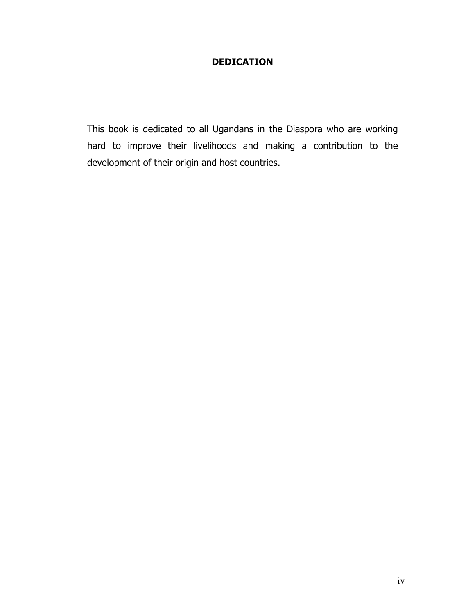### DEDICATION

This book is dedicated to all Ugandans in the Diaspora who are working hard to improve their livelihoods and making a contribution to the development of their origin and host countries.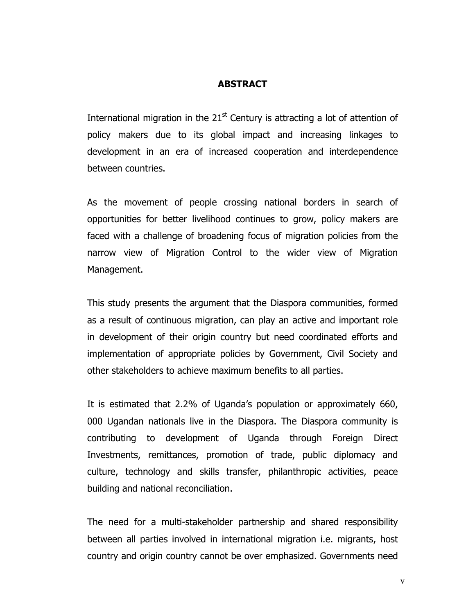#### **ABSTRACT**

International migration in the  $21<sup>st</sup>$  Century is attracting a lot of attention of policy makers due to its global impact and increasing linkages to development in an era of increased cooperation and interdependence between countries.

As the movement of people crossing national borders in search of opportunities for better livelihood continues to grow, policy makers are faced with a challenge of broadening focus of migration policies from the narrow view of Migration Control to the wider view of Migration Management.

This study presents the argument that the Diaspora communities, formed as a result of continuous migration, can play an active and important role in development of their origin country but need coordinated efforts and implementation of appropriate policies by Government, Civil Society and other stakeholders to achieve maximum benefits to all parties.

It is estimated that 2.2% of Uganda's population or approximately 660, 000 Ugandan nationals live in the Diaspora. The Diaspora community is contributing to development of Uganda through Foreign Direct Investments, remittances, promotion of trade, public diplomacy and culture, technology and skills transfer, philanthropic activities, peace building and national reconciliation.

The need for a multi-stakeholder partnership and shared responsibility between all parties involved in international migration i.e. migrants, host country and origin country cannot be over emphasized. Governments need

v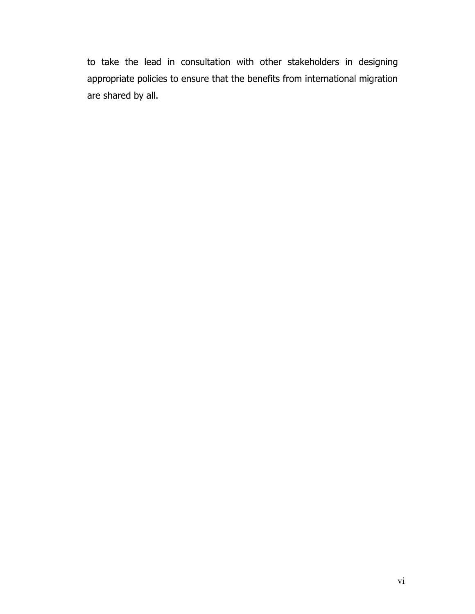to take the lead in consultation with other stakeholders in designing appropriate policies to ensure that the benefits from international migration are shared by all.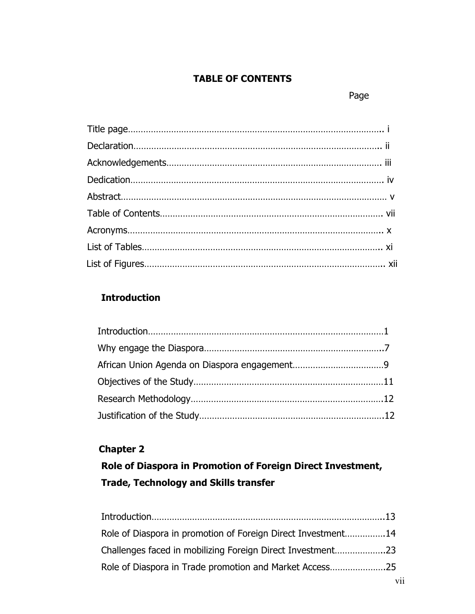### TABLE OF CONTENTS

#### page of the contract of the contract of the contract of the contract of the contract of the contract of the con

## Introduction

## Chapter 2

# Role of Diaspora in Promotion of Foreign Direct Investment, Trade, Technology and Skills transfer

| Role of Diaspora in promotion of Foreign Direct Investment14 |  |
|--------------------------------------------------------------|--|
| Challenges faced in mobilizing Foreign Direct Investment23   |  |
| Role of Diaspora in Trade promotion and Market Access25      |  |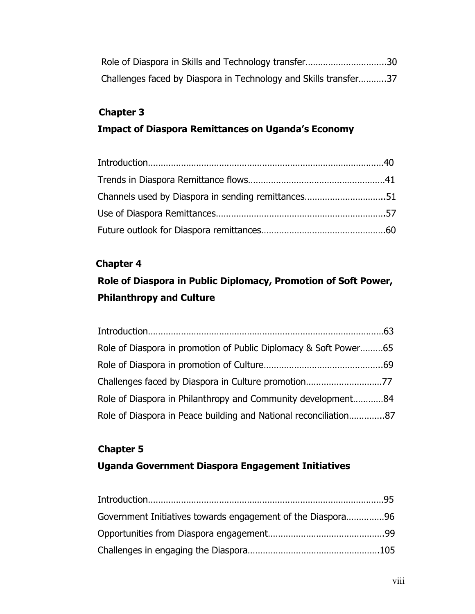| Role of Diaspora in Skills and Technology transfer30             |  |
|------------------------------------------------------------------|--|
| Challenges faced by Diaspora in Technology and Skills transfer37 |  |

### Chapter 3

### Impact of Diaspora Remittances on Uganda's Economy

| Channels used by Diaspora in sending remittances51 |  |
|----------------------------------------------------|--|
|                                                    |  |
|                                                    |  |

#### Chapter 4

# Role of Diaspora in Public Diplomacy, Promotion of Soft Power, Philanthropy and Culture

| Role of Diaspora in promotion of Public Diplomacy & Soft Power65 |
|------------------------------------------------------------------|
|                                                                  |
|                                                                  |
| Role of Diaspora in Philanthropy and Community development84     |
| Role of Diaspora in Peace building and National reconciliation87 |

# Chapter 5 Uganda Government Diaspora Engagement Initiatives

| Government Initiatives towards engagement of the Diaspora96 |  |
|-------------------------------------------------------------|--|
|                                                             |  |
|                                                             |  |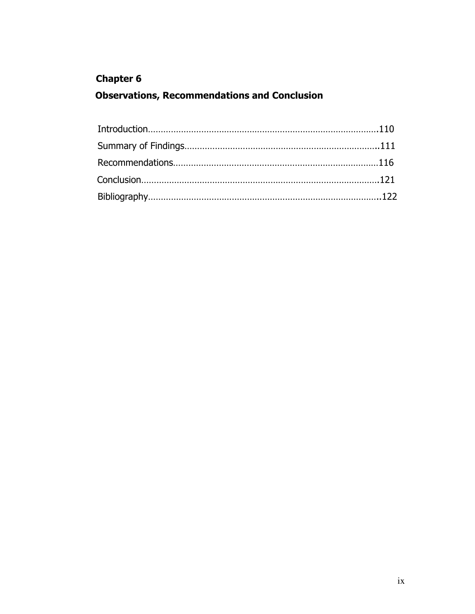## Chapter 6

## Observations, Recommendations and Conclusion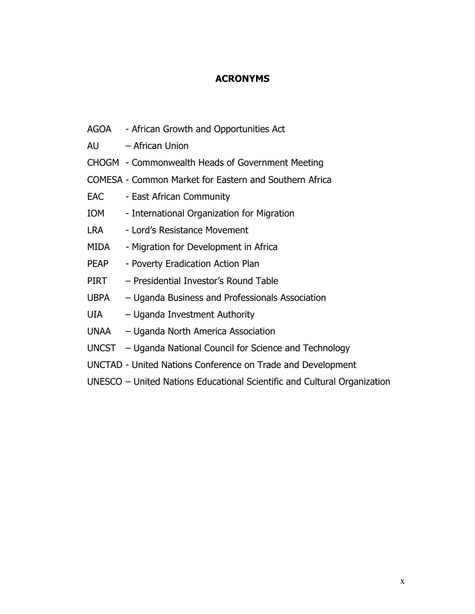#### **ACRONYMS**

- AGOA African Growth and Opportunities Act
- AU African Union
- CHOGM Commonwealth Heads of Government Meeting
- COMESA Common Market for Eastern and Southern Africa
- EAC East African Community
- IOM International Organization for Migration
- LRA Lord's Resistance Movement
- MIDA Migration for Development in Africa
- PEAP Poverty Eradication Action Plan
- PIRT Presidential Investor's Round Table
- UBPA Uganda Business and Professionals Association
- UIA Uganda Investment Authority
- UNAA Uganda North America Association
- UNCST Uganda National Council for Science and Technology
- UNCTAD United Nations Conference on Trade and Development
- UNESCO United Nations Educational Scientific and Cultural Organization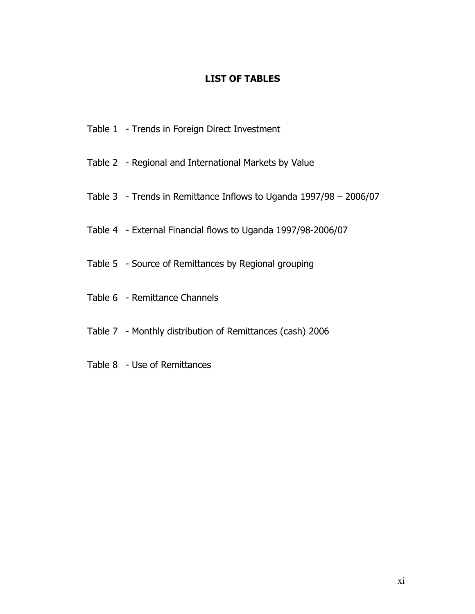#### LIST OF TABLES

- Table 1 Trends in Foreign Direct Investment
- Table 2 Regional and International Markets by Value
- Table 3 Trends in Remittance Inflows to Uganda 1997/98 2006/07
- Table 4 External Financial flows to Uganda 1997/98-2006/07
- Table 5 Source of Remittances by Regional grouping
- Table 6 Remittance Channels
- Table 7 Monthly distribution of Remittances (cash) 2006
- Table 8 Use of Remittances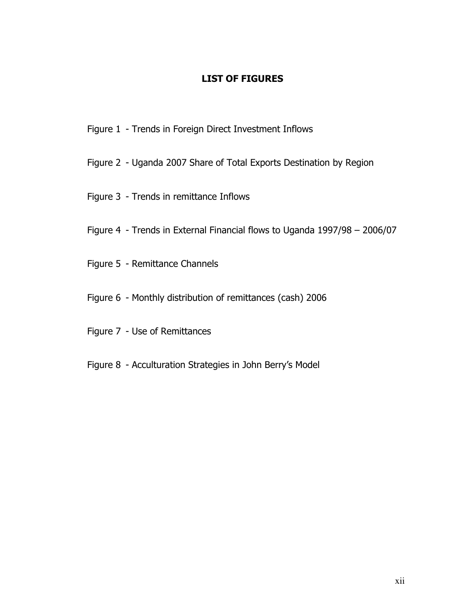#### LIST OF FIGURES

- Figure 1 Trends in Foreign Direct Investment Inflows
- Figure 2 Uganda 2007 Share of Total Exports Destination by Region
- Figure 3 Trends in remittance Inflows
- Figure 4 Trends in External Financial flows to Uganda 1997/98 2006/07
- Figure 5 Remittance Channels
- Figure 6 Monthly distribution of remittances (cash) 2006
- Figure 7 Use of Remittances
- Figure 8 Acculturation Strategies in John Berry's Model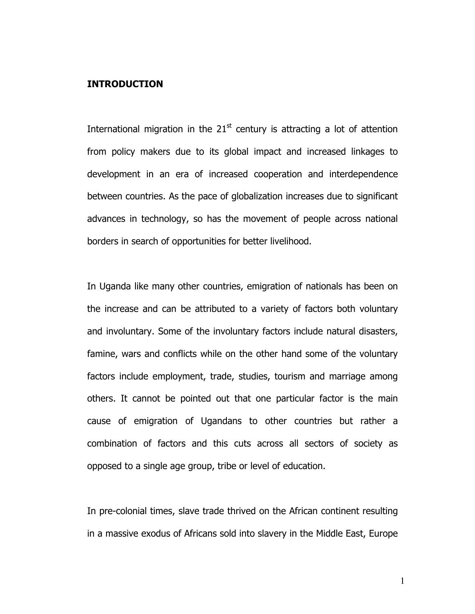#### INTRODUCTION

International migration in the  $21<sup>st</sup>$  century is attracting a lot of attention from policy makers due to its global impact and increased linkages to development in an era of increased cooperation and interdependence between countries. As the pace of globalization increases due to significant advances in technology, so has the movement of people across national borders in search of opportunities for better livelihood.

In Uganda like many other countries, emigration of nationals has been on the increase and can be attributed to a variety of factors both voluntary and involuntary. Some of the involuntary factors include natural disasters, famine, wars and conflicts while on the other hand some of the voluntary factors include employment, trade, studies, tourism and marriage among others. It cannot be pointed out that one particular factor is the main cause of emigration of Ugandans to other countries but rather a combination of factors and this cuts across all sectors of society as opposed to a single age group, tribe or level of education.

In pre-colonial times, slave trade thrived on the African continent resulting in a massive exodus of Africans sold into slavery in the Middle East, Europe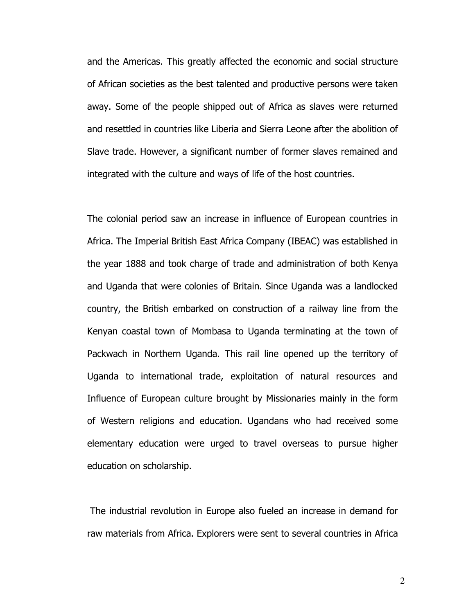and the Americas. This greatly affected the economic and social structure of African societies as the best talented and productive persons were taken away. Some of the people shipped out of Africa as slaves were returned and resettled in countries like Liberia and Sierra Leone after the abolition of Slave trade. However, a significant number of former slaves remained and integrated with the culture and ways of life of the host countries.

The colonial period saw an increase in influence of European countries in Africa. The Imperial British East Africa Company (IBEAC) was established in the year 1888 and took charge of trade and administration of both Kenya and Uganda that were colonies of Britain. Since Uganda was a landlocked country, the British embarked on construction of a railway line from the Kenyan coastal town of Mombasa to Uganda terminating at the town of Packwach in Northern Uganda. This rail line opened up the territory of Uganda to international trade, exploitation of natural resources and Influence of European culture brought by Missionaries mainly in the form of Western religions and education. Ugandans who had received some elementary education were urged to travel overseas to pursue higher education on scholarship.

 The industrial revolution in Europe also fueled an increase in demand for raw materials from Africa. Explorers were sent to several countries in Africa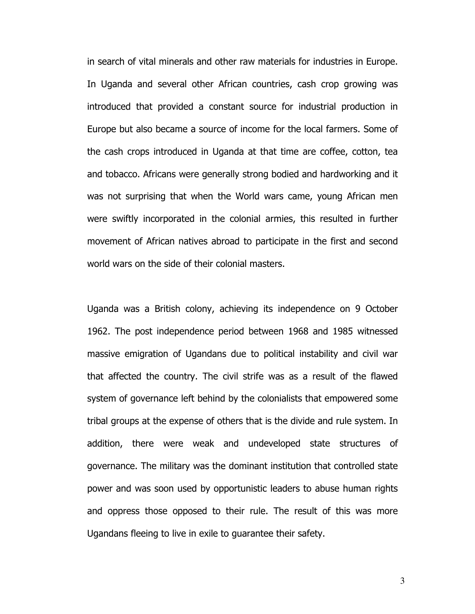in search of vital minerals and other raw materials for industries in Europe. In Uganda and several other African countries, cash crop growing was introduced that provided a constant source for industrial production in Europe but also became a source of income for the local farmers. Some of the cash crops introduced in Uganda at that time are coffee, cotton, tea and tobacco. Africans were generally strong bodied and hardworking and it was not surprising that when the World wars came, young African men were swiftly incorporated in the colonial armies, this resulted in further movement of African natives abroad to participate in the first and second world wars on the side of their colonial masters.

Uganda was a British colony, achieving its independence on 9 October 1962. The post independence period between 1968 and 1985 witnessed massive emigration of Ugandans due to political instability and civil war that affected the country. The civil strife was as a result of the flawed system of governance left behind by the colonialists that empowered some tribal groups at the expense of others that is the divide and rule system. In addition, there were weak and undeveloped state structures of governance. The military was the dominant institution that controlled state power and was soon used by opportunistic leaders to abuse human rights and oppress those opposed to their rule. The result of this was more Ugandans fleeing to live in exile to guarantee their safety.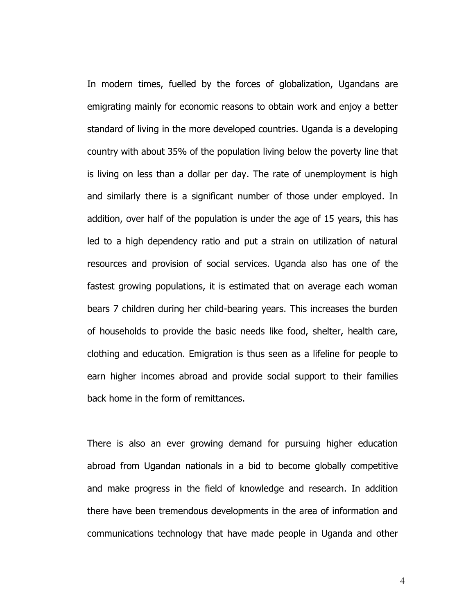In modern times, fuelled by the forces of globalization, Ugandans are emigrating mainly for economic reasons to obtain work and enjoy a better standard of living in the more developed countries. Uganda is a developing country with about 35% of the population living below the poverty line that is living on less than a dollar per day. The rate of unemployment is high and similarly there is a significant number of those under employed. In addition, over half of the population is under the age of 15 years, this has led to a high dependency ratio and put a strain on utilization of natural resources and provision of social services. Uganda also has one of the fastest growing populations, it is estimated that on average each woman bears 7 children during her child-bearing years. This increases the burden of households to provide the basic needs like food, shelter, health care, clothing and education. Emigration is thus seen as a lifeline for people to earn higher incomes abroad and provide social support to their families back home in the form of remittances.

There is also an ever growing demand for pursuing higher education abroad from Ugandan nationals in a bid to become globally competitive and make progress in the field of knowledge and research. In addition there have been tremendous developments in the area of information and communications technology that have made people in Uganda and other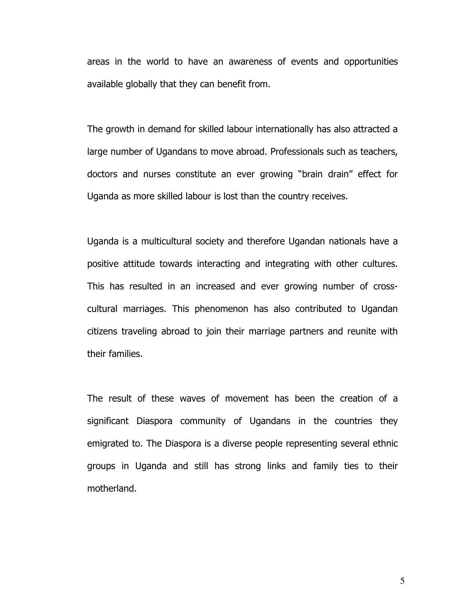areas in the world to have an awareness of events and opportunities available globally that they can benefit from.

The growth in demand for skilled labour internationally has also attracted a large number of Ugandans to move abroad. Professionals such as teachers, doctors and nurses constitute an ever growing "brain drain" effect for Uganda as more skilled labour is lost than the country receives.

Uganda is a multicultural society and therefore Ugandan nationals have a positive attitude towards interacting and integrating with other cultures. This has resulted in an increased and ever growing number of crosscultural marriages. This phenomenon has also contributed to Ugandan citizens traveling abroad to join their marriage partners and reunite with their families.

The result of these waves of movement has been the creation of a significant Diaspora community of Ugandans in the countries they emigrated to. The Diaspora is a diverse people representing several ethnic groups in Uganda and still has strong links and family ties to their motherland.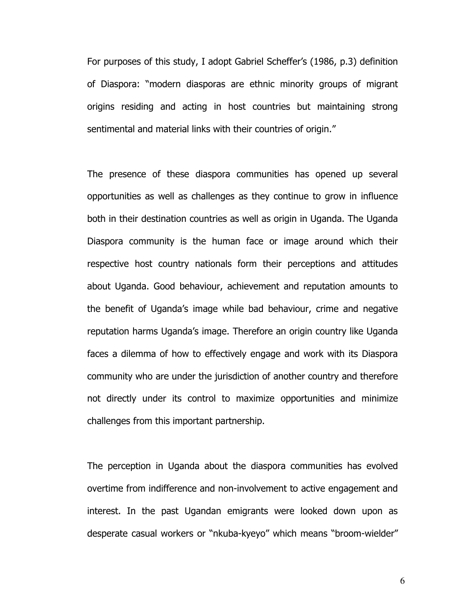For purposes of this study, I adopt Gabriel Scheffer's (1986, p.3) definition of Diaspora: "modern diasporas are ethnic minority groups of migrant origins residing and acting in host countries but maintaining strong sentimental and material links with their countries of origin."

The presence of these diaspora communities has opened up several opportunities as well as challenges as they continue to grow in influence both in their destination countries as well as origin in Uganda. The Uganda Diaspora community is the human face or image around which their respective host country nationals form their perceptions and attitudes about Uganda. Good behaviour, achievement and reputation amounts to the benefit of Uganda's image while bad behaviour, crime and negative reputation harms Uganda's image. Therefore an origin country like Uganda faces a dilemma of how to effectively engage and work with its Diaspora community who are under the jurisdiction of another country and therefore not directly under its control to maximize opportunities and minimize challenges from this important partnership.

The perception in Uganda about the diaspora communities has evolved overtime from indifference and non-involvement to active engagement and interest. In the past Ugandan emigrants were looked down upon as desperate casual workers or "nkuba-kyeyo" which means "broom-wielder"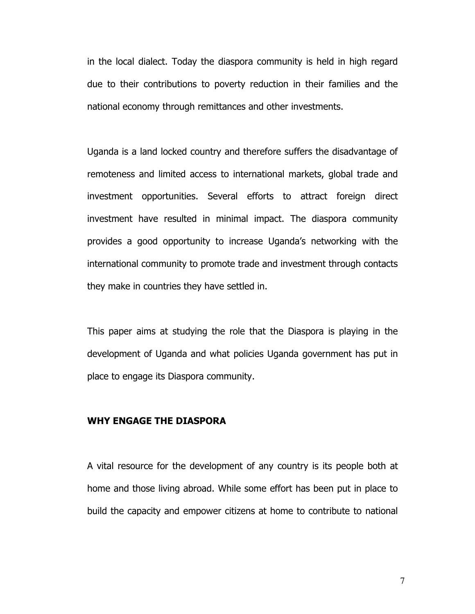in the local dialect. Today the diaspora community is held in high regard due to their contributions to poverty reduction in their families and the national economy through remittances and other investments.

Uganda is a land locked country and therefore suffers the disadvantage of remoteness and limited access to international markets, global trade and investment opportunities. Several efforts to attract foreign direct investment have resulted in minimal impact. The diaspora community provides a good opportunity to increase Uganda's networking with the international community to promote trade and investment through contacts they make in countries they have settled in.

This paper aims at studying the role that the Diaspora is playing in the development of Uganda and what policies Uganda government has put in place to engage its Diaspora community.

#### WHY ENGAGE THE DIASPORA

A vital resource for the development of any country is its people both at home and those living abroad. While some effort has been put in place to build the capacity and empower citizens at home to contribute to national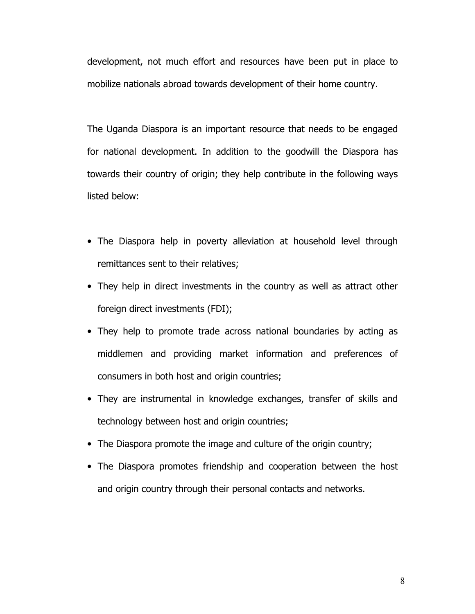development, not much effort and resources have been put in place to mobilize nationals abroad towards development of their home country.

The Uganda Diaspora is an important resource that needs to be engaged for national development. In addition to the goodwill the Diaspora has towards their country of origin; they help contribute in the following ways listed below:

- The Diaspora help in poverty alleviation at household level through remittances sent to their relatives;
- They help in direct investments in the country as well as attract other foreign direct investments (FDI);
- They help to promote trade across national boundaries by acting as middlemen and providing market information and preferences of consumers in both host and origin countries;
- They are instrumental in knowledge exchanges, transfer of skills and technology between host and origin countries;
- The Diaspora promote the image and culture of the origin country;
- The Diaspora promotes friendship and cooperation between the host and origin country through their personal contacts and networks.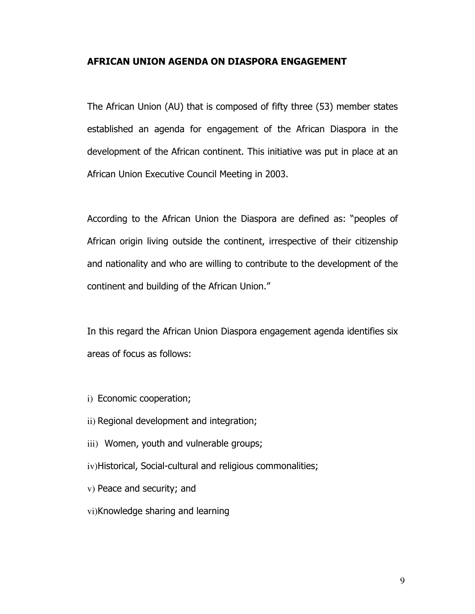#### AFRICAN UNION AGENDA ON DIASPORA ENGAGEMENT

The African Union (AU) that is composed of fifty three (53) member states established an agenda for engagement of the African Diaspora in the development of the African continent. This initiative was put in place at an African Union Executive Council Meeting in 2003.

According to the African Union the Diaspora are defined as: "peoples of African origin living outside the continent, irrespective of their citizenship and nationality and who are willing to contribute to the development of the continent and building of the African Union."

In this regard the African Union Diaspora engagement agenda identifies six areas of focus as follows:

- i) Economic cooperation;
- ii) Regional development and integration;
- iii) Women, youth and vulnerable groups;
- iv)Historical, Social-cultural and religious commonalities;
- v) Peace and security; and
- vi)Knowledge sharing and learning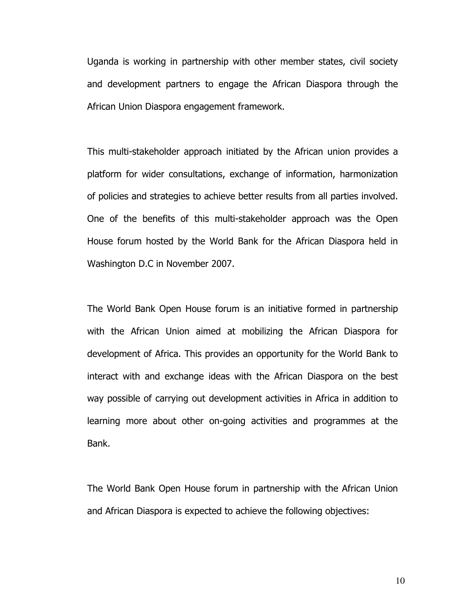Uganda is working in partnership with other member states, civil society and development partners to engage the African Diaspora through the African Union Diaspora engagement framework.

This multi-stakeholder approach initiated by the African union provides a platform for wider consultations, exchange of information, harmonization of policies and strategies to achieve better results from all parties involved. One of the benefits of this multi-stakeholder approach was the Open House forum hosted by the World Bank for the African Diaspora held in Washington D.C in November 2007.

The World Bank Open House forum is an initiative formed in partnership with the African Union aimed at mobilizing the African Diaspora for development of Africa. This provides an opportunity for the World Bank to interact with and exchange ideas with the African Diaspora on the best way possible of carrying out development activities in Africa in addition to learning more about other on-going activities and programmes at the Bank.

The World Bank Open House forum in partnership with the African Union and African Diaspora is expected to achieve the following objectives: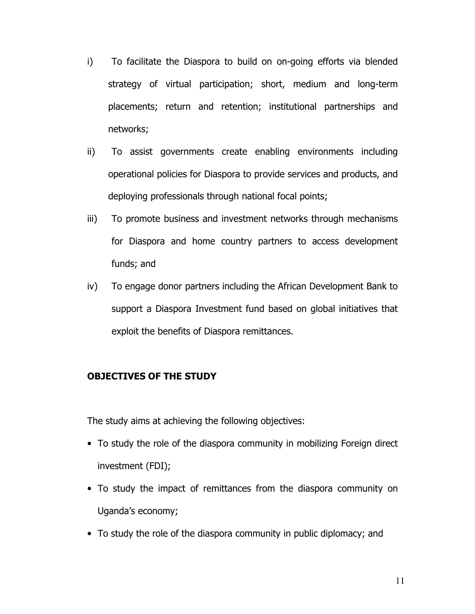- i) To facilitate the Diaspora to build on on-going efforts via blended strategy of virtual participation; short, medium and long-term placements; return and retention; institutional partnerships and networks;
- ii) To assist governments create enabling environments including operational policies for Diaspora to provide services and products, and deploying professionals through national focal points;
- iii) To promote business and investment networks through mechanisms for Diaspora and home country partners to access development funds; and
- iv) To engage donor partners including the African Development Bank to support a Diaspora Investment fund based on global initiatives that exploit the benefits of Diaspora remittances.

#### OBJECTIVES OF THE STUDY

The study aims at achieving the following objectives:

- To study the role of the diaspora community in mobilizing Foreign direct investment (FDI);
- To study the impact of remittances from the diaspora community on Uganda's economy;
- To study the role of the diaspora community in public diplomacy; and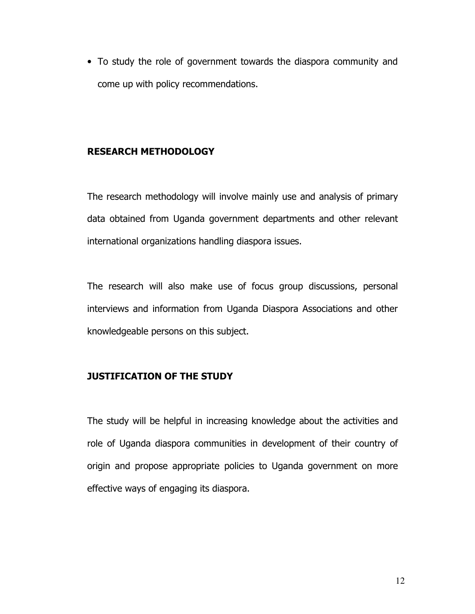• To study the role of government towards the diaspora community and come up with policy recommendations.

#### RESEARCH METHODOLOGY

The research methodology will involve mainly use and analysis of primary data obtained from Uganda government departments and other relevant international organizations handling diaspora issues.

The research will also make use of focus group discussions, personal interviews and information from Uganda Diaspora Associations and other knowledgeable persons on this subject.

#### JUSTIFICATION OF THE STUDY

The study will be helpful in increasing knowledge about the activities and role of Uganda diaspora communities in development of their country of origin and propose appropriate policies to Uganda government on more effective ways of engaging its diaspora.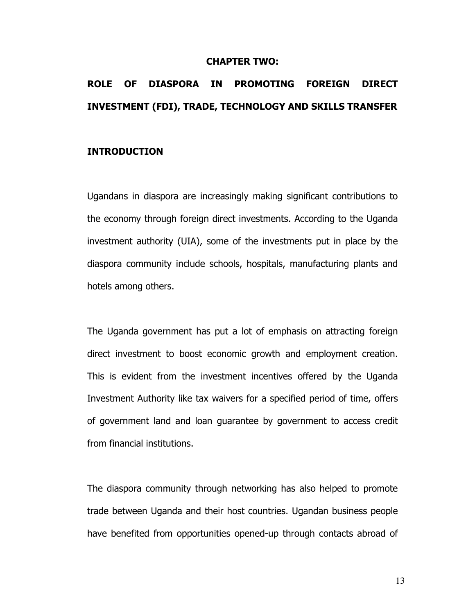#### CHAPTER TWO:

# ROLE OF DIASPORA IN PROMOTING FOREIGN DIRECT INVESTMENT (FDI), TRADE, TECHNOLOGY AND SKILLS TRANSFER

#### INTRODUCTION

Ugandans in diaspora are increasingly making significant contributions to the economy through foreign direct investments. According to the Uganda investment authority (UIA), some of the investments put in place by the diaspora community include schools, hospitals, manufacturing plants and hotels among others.

The Uganda government has put a lot of emphasis on attracting foreign direct investment to boost economic growth and employment creation. This is evident from the investment incentives offered by the Uganda Investment Authority like tax waivers for a specified period of time, offers of government land and loan guarantee by government to access credit from financial institutions.

The diaspora community through networking has also helped to promote trade between Uganda and their host countries. Ugandan business people have benefited from opportunities opened-up through contacts abroad of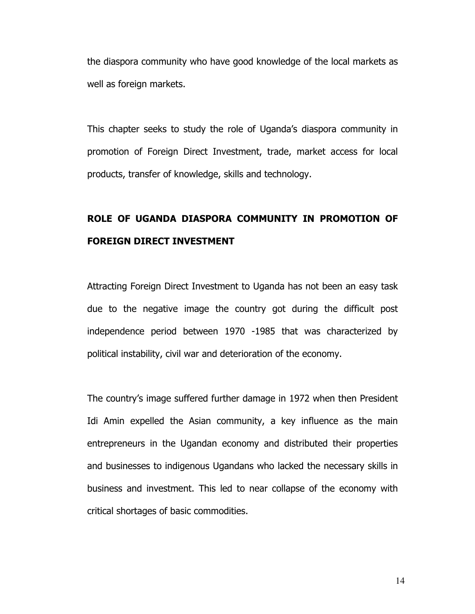the diaspora community who have good knowledge of the local markets as well as foreign markets.

This chapter seeks to study the role of Uganda's diaspora community in promotion of Foreign Direct Investment, trade, market access for local products, transfer of knowledge, skills and technology.

# ROLE OF UGANDA DIASPORA COMMUNITY IN PROMOTION OF FOREIGN DIRECT INVESTMENT

Attracting Foreign Direct Investment to Uganda has not been an easy task due to the negative image the country got during the difficult post independence period between 1970 -1985 that was characterized by political instability, civil war and deterioration of the economy.

The country's image suffered further damage in 1972 when then President Idi Amin expelled the Asian community, a key influence as the main entrepreneurs in the Ugandan economy and distributed their properties and businesses to indigenous Ugandans who lacked the necessary skills in business and investment. This led to near collapse of the economy with critical shortages of basic commodities.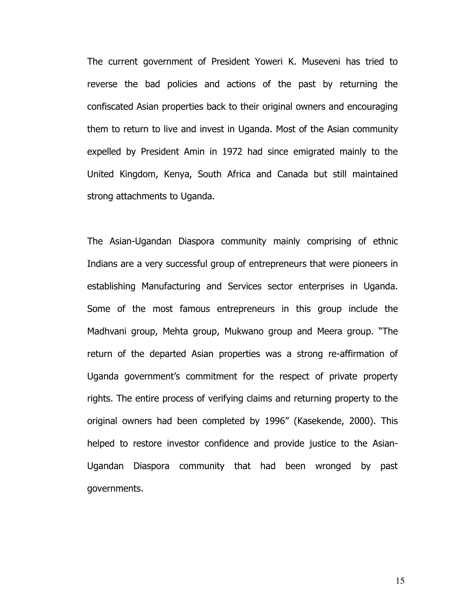The current government of President Yoweri K. Museveni has tried to reverse the bad policies and actions of the past by returning the confiscated Asian properties back to their original owners and encouraging them to return to live and invest in Uganda. Most of the Asian community expelled by President Amin in 1972 had since emigrated mainly to the United Kingdom, Kenya, South Africa and Canada but still maintained strong attachments to Uganda.

The Asian-Ugandan Diaspora community mainly comprising of ethnic Indians are a very successful group of entrepreneurs that were pioneers in establishing Manufacturing and Services sector enterprises in Uganda. Some of the most famous entrepreneurs in this group include the Madhvani group, Mehta group, Mukwano group and Meera group. "The return of the departed Asian properties was a strong re-affirmation of Uganda government's commitment for the respect of private property rights. The entire process of verifying claims and returning property to the original owners had been completed by 1996" (Kasekende, 2000). This helped to restore investor confidence and provide justice to the Asian-Ugandan Diaspora community that had been wronged by past governments.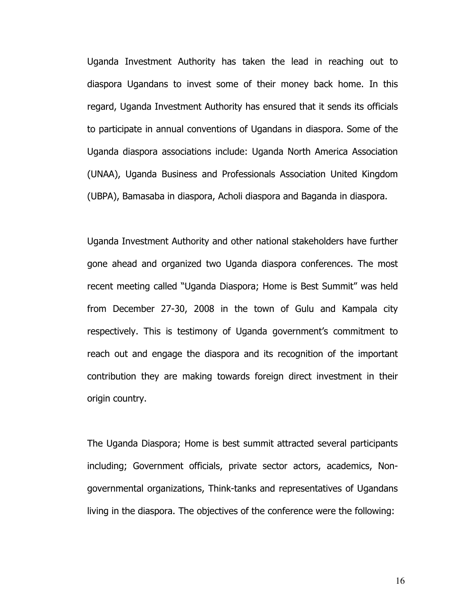Uganda Investment Authority has taken the lead in reaching out to diaspora Ugandans to invest some of their money back home. In this regard, Uganda Investment Authority has ensured that it sends its officials to participate in annual conventions of Ugandans in diaspora. Some of the Uganda diaspora associations include: Uganda North America Association (UNAA), Uganda Business and Professionals Association United Kingdom (UBPA), Bamasaba in diaspora, Acholi diaspora and Baganda in diaspora.

Uganda Investment Authority and other national stakeholders have further gone ahead and organized two Uganda diaspora conferences. The most recent meeting called "Uganda Diaspora; Home is Best Summit" was held from December 27-30, 2008 in the town of Gulu and Kampala city respectively. This is testimony of Uganda government's commitment to reach out and engage the diaspora and its recognition of the important contribution they are making towards foreign direct investment in their origin country.

The Uganda Diaspora; Home is best summit attracted several participants including; Government officials, private sector actors, academics, Nongovernmental organizations, Think-tanks and representatives of Ugandans living in the diaspora. The objectives of the conference were the following: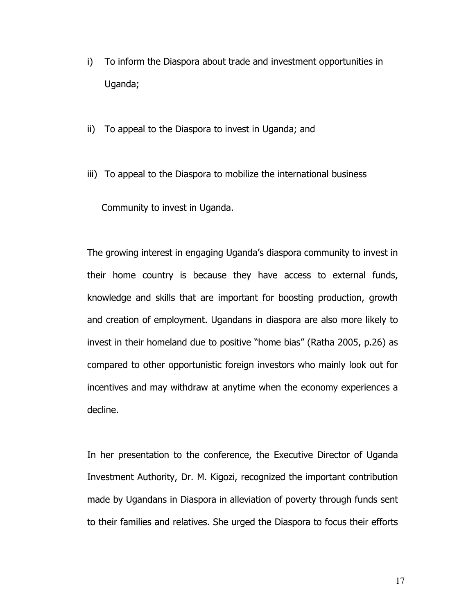- i) To inform the Diaspora about trade and investment opportunities in Uganda;
- ii) To appeal to the Diaspora to invest in Uganda; and
- iii) To appeal to the Diaspora to mobilize the international business

Community to invest in Uganda.

The growing interest in engaging Uganda's diaspora community to invest in their home country is because they have access to external funds, knowledge and skills that are important for boosting production, growth and creation of employment. Ugandans in diaspora are also more likely to invest in their homeland due to positive "home bias" (Ratha 2005, p.26) as compared to other opportunistic foreign investors who mainly look out for incentives and may withdraw at anytime when the economy experiences a decline.

In her presentation to the conference, the Executive Director of Uganda Investment Authority, Dr. M. Kigozi, recognized the important contribution made by Ugandans in Diaspora in alleviation of poverty through funds sent to their families and relatives. She urged the Diaspora to focus their efforts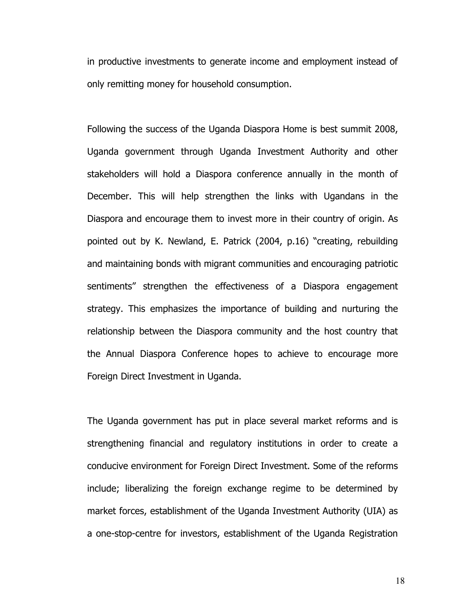in productive investments to generate income and employment instead of only remitting money for household consumption.

Following the success of the Uganda Diaspora Home is best summit 2008, Uganda government through Uganda Investment Authority and other stakeholders will hold a Diaspora conference annually in the month of December. This will help strengthen the links with Ugandans in the Diaspora and encourage them to invest more in their country of origin. As pointed out by K. Newland, E. Patrick (2004, p.16) "creating, rebuilding and maintaining bonds with migrant communities and encouraging patriotic sentiments" strengthen the effectiveness of a Diaspora engagement strategy. This emphasizes the importance of building and nurturing the relationship between the Diaspora community and the host country that the Annual Diaspora Conference hopes to achieve to encourage more Foreign Direct Investment in Uganda.

The Uganda government has put in place several market reforms and is strengthening financial and regulatory institutions in order to create a conducive environment for Foreign Direct Investment. Some of the reforms include; liberalizing the foreign exchange regime to be determined by market forces, establishment of the Uganda Investment Authority (UIA) as a one-stop-centre for investors, establishment of the Uganda Registration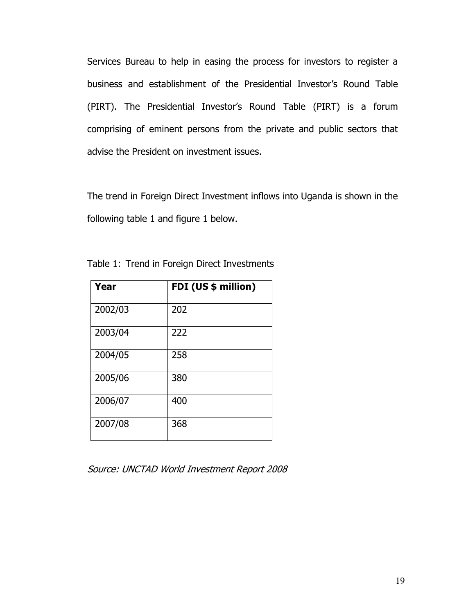Services Bureau to help in easing the process for investors to register a business and establishment of the Presidential Investor's Round Table (PIRT). The Presidential Investor's Round Table (PIRT) is a forum comprising of eminent persons from the private and public sectors that advise the President on investment issues.

The trend in Foreign Direct Investment inflows into Uganda is shown in the following table 1 and figure 1 below.

| Year    | FDI (US \$ million) |
|---------|---------------------|
| 2002/03 | 202                 |
| 2003/04 | 222                 |
| 2004/05 | 258                 |
| 2005/06 | 380                 |
| 2006/07 | 400                 |
| 2007/08 | 368                 |

Table 1: Trend in Foreign Direct Investments

Source: UNCTAD World Investment Report 2008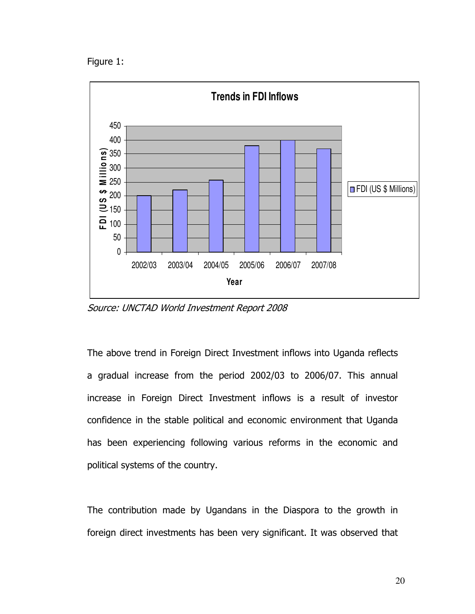Figure 1:



Source: UNCTAD World Investment Report 2008

The above trend in Foreign Direct Investment inflows into Uganda reflects a gradual increase from the period 2002/03 to 2006/07. This annual increase in Foreign Direct Investment inflows is a result of investor confidence in the stable political and economic environment that Uganda has been experiencing following various reforms in the economic and political systems of the country.

The contribution made by Ugandans in the Diaspora to the growth in foreign direct investments has been very significant. It was observed that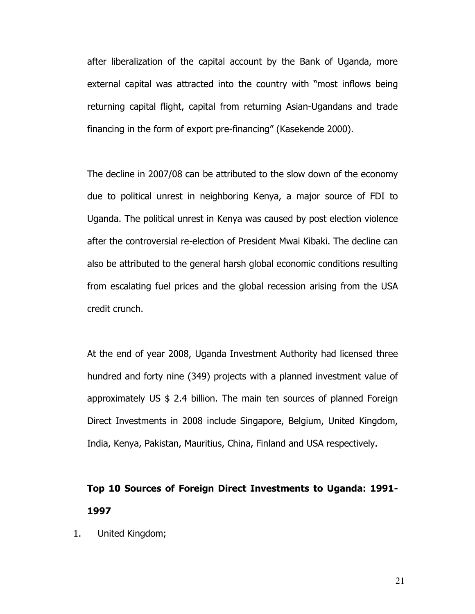after liberalization of the capital account by the Bank of Uganda, more external capital was attracted into the country with "most inflows being returning capital flight, capital from returning Asian-Ugandans and trade financing in the form of export pre-financing" (Kasekende 2000).

The decline in 2007/08 can be attributed to the slow down of the economy due to political unrest in neighboring Kenya, a major source of FDI to Uganda. The political unrest in Kenya was caused by post election violence after the controversial re-election of President Mwai Kibaki. The decline can also be attributed to the general harsh global economic conditions resulting from escalating fuel prices and the global recession arising from the USA credit crunch.

At the end of year 2008, Uganda Investment Authority had licensed three hundred and forty nine (349) projects with a planned investment value of approximately US \$ 2.4 billion. The main ten sources of planned Foreign Direct Investments in 2008 include Singapore, Belgium, United Kingdom, India, Kenya, Pakistan, Mauritius, China, Finland and USA respectively.

# Top 10 Sources of Foreign Direct Investments to Uganda: 1991- 1997

1. United Kingdom;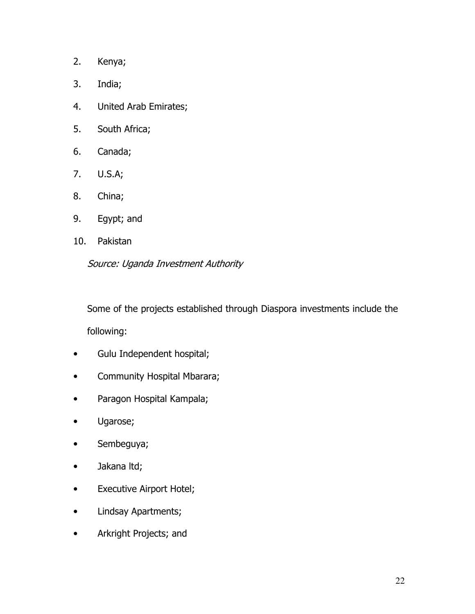- 2. Kenya;
- 3. India;
- 4. United Arab Emirates;
- 5. South Africa;
- 6. Canada;
- 7. U.S.A;
- 8. China;
- 9. Egypt; and
- 10. Pakistan

Source: Uganda Investment Authority

Some of the projects established through Diaspora investments include the following:

- Gulu Independent hospital;
- Community Hospital Mbarara;
- Paragon Hospital Kampala;
- Ugarose;
- Sembeguya;
- Jakana ltd;
- Executive Airport Hotel;
- Lindsay Apartments;
- Arkright Projects; and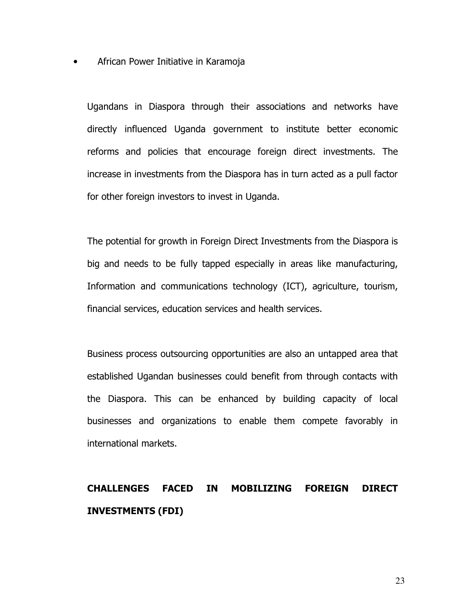• African Power Initiative in Karamoja

Ugandans in Diaspora through their associations and networks have directly influenced Uganda government to institute better economic reforms and policies that encourage foreign direct investments. The increase in investments from the Diaspora has in turn acted as a pull factor for other foreign investors to invest in Uganda.

The potential for growth in Foreign Direct Investments from the Diaspora is big and needs to be fully tapped especially in areas like manufacturing, Information and communications technology (ICT), agriculture, tourism, financial services, education services and health services.

Business process outsourcing opportunities are also an untapped area that established Ugandan businesses could benefit from through contacts with the Diaspora. This can be enhanced by building capacity of local businesses and organizations to enable them compete favorably in international markets.

# CHALLENGES FACED IN MOBILIZING FOREIGN DIRECT INVESTMENTS (FDI)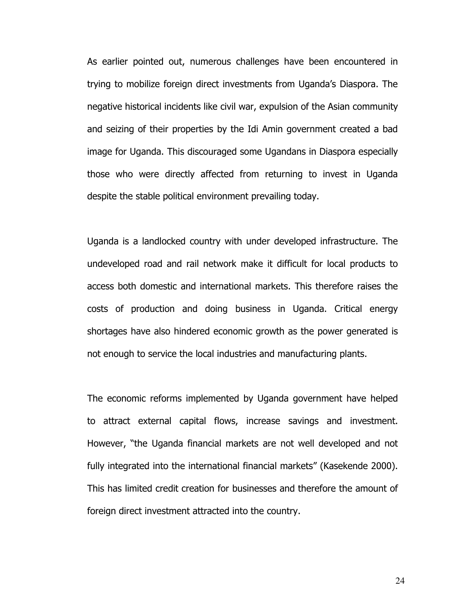As earlier pointed out, numerous challenges have been encountered in trying to mobilize foreign direct investments from Uganda's Diaspora. The negative historical incidents like civil war, expulsion of the Asian community and seizing of their properties by the Idi Amin government created a bad image for Uganda. This discouraged some Ugandans in Diaspora especially those who were directly affected from returning to invest in Uganda despite the stable political environment prevailing today.

Uganda is a landlocked country with under developed infrastructure. The undeveloped road and rail network make it difficult for local products to access both domestic and international markets. This therefore raises the costs of production and doing business in Uganda. Critical energy shortages have also hindered economic growth as the power generated is not enough to service the local industries and manufacturing plants.

The economic reforms implemented by Uganda government have helped to attract external capital flows, increase savings and investment. However, "the Uganda financial markets are not well developed and not fully integrated into the international financial markets" (Kasekende 2000). This has limited credit creation for businesses and therefore the amount of foreign direct investment attracted into the country.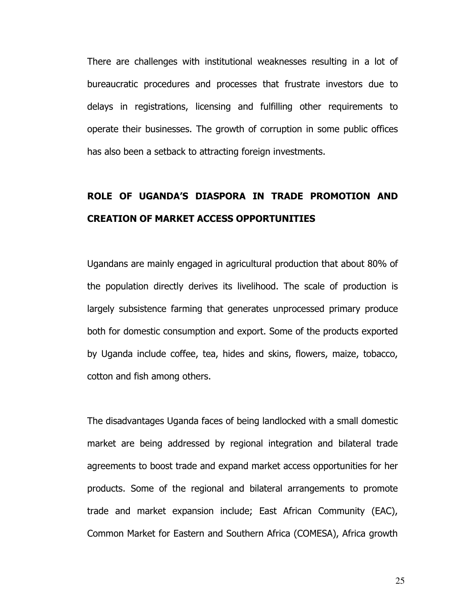There are challenges with institutional weaknesses resulting in a lot of bureaucratic procedures and processes that frustrate investors due to delays in registrations, licensing and fulfilling other requirements to operate their businesses. The growth of corruption in some public offices has also been a setback to attracting foreign investments.

# ROLE OF UGANDA'S DIASPORA IN TRADE PROMOTION AND CREATION OF MARKET ACCESS OPPORTUNITIES

Ugandans are mainly engaged in agricultural production that about 80% of the population directly derives its livelihood. The scale of production is largely subsistence farming that generates unprocessed primary produce both for domestic consumption and export. Some of the products exported by Uganda include coffee, tea, hides and skins, flowers, maize, tobacco, cotton and fish among others.

The disadvantages Uganda faces of being landlocked with a small domestic market are being addressed by regional integration and bilateral trade agreements to boost trade and expand market access opportunities for her products. Some of the regional and bilateral arrangements to promote trade and market expansion include; East African Community (EAC), Common Market for Eastern and Southern Africa (COMESA), Africa growth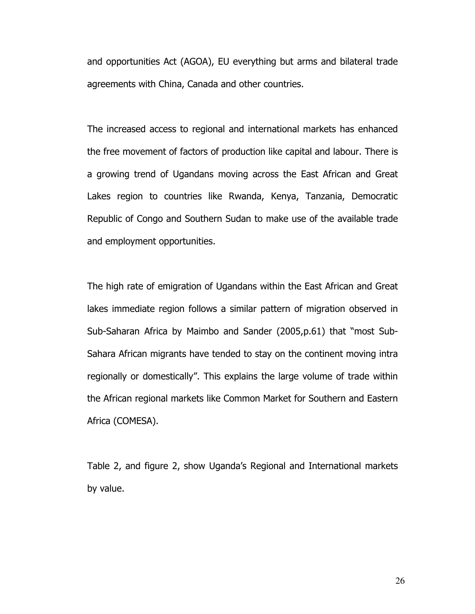and opportunities Act (AGOA), EU everything but arms and bilateral trade agreements with China, Canada and other countries.

The increased access to regional and international markets has enhanced the free movement of factors of production like capital and labour. There is a growing trend of Ugandans moving across the East African and Great Lakes region to countries like Rwanda, Kenya, Tanzania, Democratic Republic of Congo and Southern Sudan to make use of the available trade and employment opportunities.

The high rate of emigration of Ugandans within the East African and Great lakes immediate region follows a similar pattern of migration observed in Sub-Saharan Africa by Maimbo and Sander (2005,p.61) that "most Sub-Sahara African migrants have tended to stay on the continent moving intra regionally or domestically". This explains the large volume of trade within the African regional markets like Common Market for Southern and Eastern Africa (COMESA).

Table 2, and figure 2, show Uganda's Regional and International markets by value.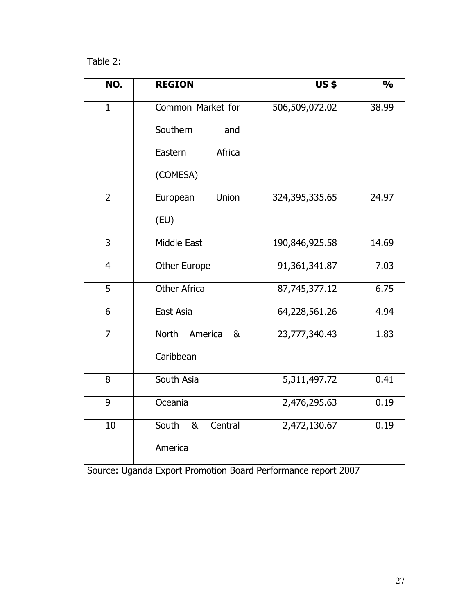Table 2:

| NO.            | <b>REGION</b>                      | <b>US\$</b>      | $\frac{0}{0}$ |
|----------------|------------------------------------|------------------|---------------|
| $\mathbf{1}$   | Common Market for                  | 506,509,072.02   | 38.99         |
|                | Southern<br>and                    |                  |               |
|                | Eastern<br>Africa                  |                  |               |
|                | (COMESA)                           |                  |               |
| $\overline{2}$ | Union<br>European                  | 324,395,335.65   | 24.97         |
|                | (EU)                               |                  |               |
| $\overline{3}$ | Middle East                        | 190,846,925.58   | 14.69         |
| $\overline{4}$ | Other Europe                       | 91, 361, 341. 87 | 7.03          |
| 5              | <b>Other Africa</b>                | 87,745,377.12    | 6.75          |
| 6              | East Asia                          | 64,228,561.26    | 4.94          |
| $\overline{7}$ | North<br>America<br>8 <sub>k</sub> | 23,777,340.43    | 1.83          |
|                | Caribbean                          |                  |               |
| 8              | South Asia                         | 5,311,497.72     | 0.41          |
| 9              | Oceania                            | 2,476,295.63     | 0.19          |
| 10             | South<br>&<br>Central              | 2,472,130.67     | 0.19          |
|                | America                            |                  |               |

Source: Uganda Export Promotion Board Performance report 2007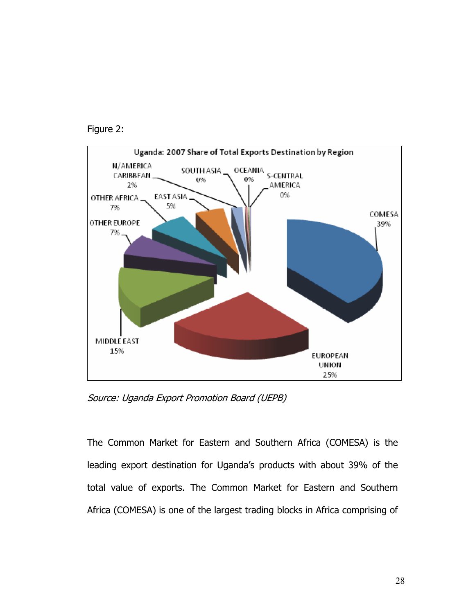



Source: Uganda Export Promotion Board (UEPB)

The Common Market for Eastern and Southern Africa (COMESA) is the leading export destination for Uganda's products with about 39% of the total value of exports. The Common Market for Eastern and Southern Africa (COMESA) is one of the largest trading blocks in Africa comprising of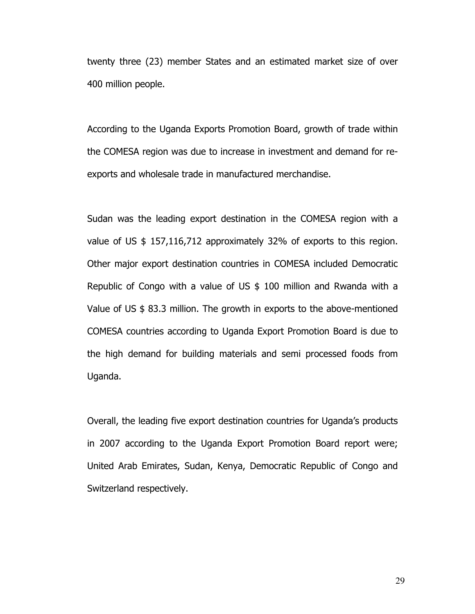twenty three (23) member States and an estimated market size of over 400 million people.

According to the Uganda Exports Promotion Board, growth of trade within the COMESA region was due to increase in investment and demand for reexports and wholesale trade in manufactured merchandise.

Sudan was the leading export destination in the COMESA region with a value of US \$ 157,116,712 approximately 32% of exports to this region. Other major export destination countries in COMESA included Democratic Republic of Congo with a value of US \$ 100 million and Rwanda with a Value of US \$ 83.3 million. The growth in exports to the above-mentioned COMESA countries according to Uganda Export Promotion Board is due to the high demand for building materials and semi processed foods from Uganda.

Overall, the leading five export destination countries for Uganda's products in 2007 according to the Uganda Export Promotion Board report were; United Arab Emirates, Sudan, Kenya, Democratic Republic of Congo and Switzerland respectively.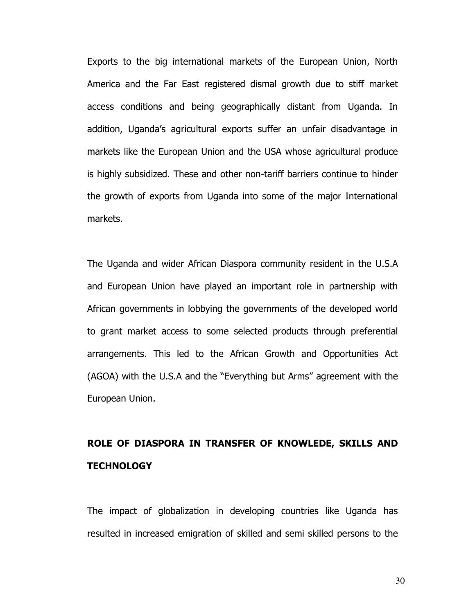Exports to the big international markets of the European Union, North America and the Far East registered dismal growth due to stiff market access conditions and being geographically distant from Uganda. In addition, Uganda's agricultural exports suffer an unfair disadvantage in markets like the European Union and the USA whose agricultural produce is highly subsidized. These and other non-tariff barriers continue to hinder the growth of exports from Uganda into some of the major International markets.

The Uganda and wider African Diaspora community resident in the U.S.A and European Union have played an important role in partnership with African governments in lobbying the governments of the developed world to grant market access to some selected products through preferential arrangements. This led to the African Growth and Opportunities Act (AGOA) with the U.S.A and the "Everything but Arms" agreement with the European Union.

## ROLE OF DIASPORA IN TRANSFER OF KNOWLEDE, SKILLS AND **TECHNOLOGY**

The impact of globalization in developing countries like Uganda has resulted in increased emigration of skilled and semi skilled persons to the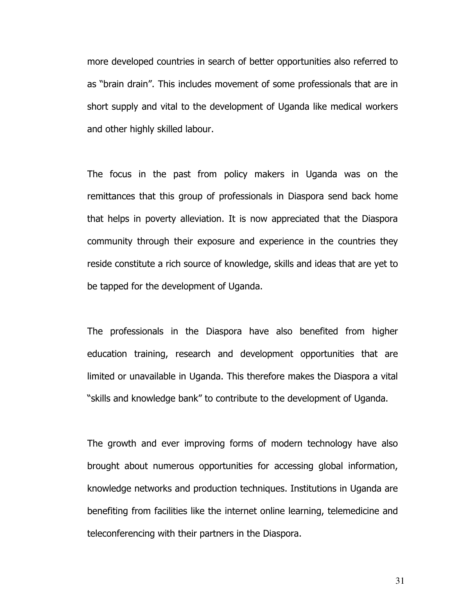more developed countries in search of better opportunities also referred to as "brain drain". This includes movement of some professionals that are in short supply and vital to the development of Uganda like medical workers and other highly skilled labour.

The focus in the past from policy makers in Uganda was on the remittances that this group of professionals in Diaspora send back home that helps in poverty alleviation. It is now appreciated that the Diaspora community through their exposure and experience in the countries they reside constitute a rich source of knowledge, skills and ideas that are yet to be tapped for the development of Uganda.

The professionals in the Diaspora have also benefited from higher education training, research and development opportunities that are limited or unavailable in Uganda. This therefore makes the Diaspora a vital "skills and knowledge bank" to contribute to the development of Uganda.

The growth and ever improving forms of modern technology have also brought about numerous opportunities for accessing global information, knowledge networks and production techniques. Institutions in Uganda are benefiting from facilities like the internet online learning, telemedicine and teleconferencing with their partners in the Diaspora.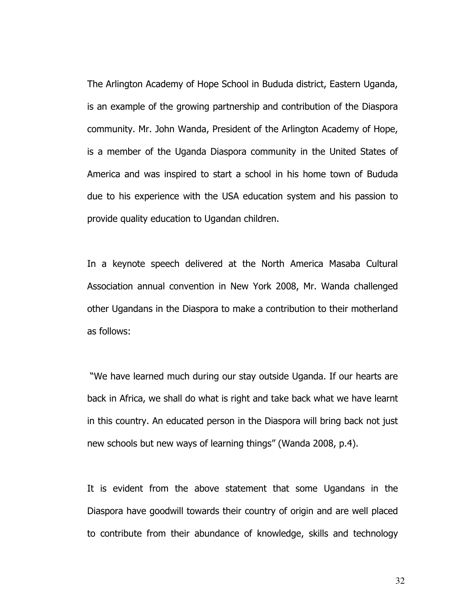The Arlington Academy of Hope School in Bududa district, Eastern Uganda, is an example of the growing partnership and contribution of the Diaspora community. Mr. John Wanda, President of the Arlington Academy of Hope, is a member of the Uganda Diaspora community in the United States of America and was inspired to start a school in his home town of Bududa due to his experience with the USA education system and his passion to provide quality education to Ugandan children.

In a keynote speech delivered at the North America Masaba Cultural Association annual convention in New York 2008, Mr. Wanda challenged other Ugandans in the Diaspora to make a contribution to their motherland as follows:

 "We have learned much during our stay outside Uganda. If our hearts are back in Africa, we shall do what is right and take back what we have learnt in this country. An educated person in the Diaspora will bring back not just new schools but new ways of learning things" (Wanda 2008, p.4).

It is evident from the above statement that some Ugandans in the Diaspora have goodwill towards their country of origin and are well placed to contribute from their abundance of knowledge, skills and technology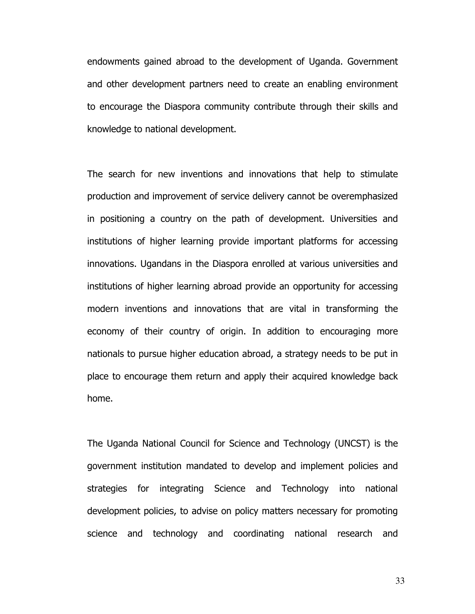endowments gained abroad to the development of Uganda. Government and other development partners need to create an enabling environment to encourage the Diaspora community contribute through their skills and knowledge to national development.

The search for new inventions and innovations that help to stimulate production and improvement of service delivery cannot be overemphasized in positioning a country on the path of development. Universities and institutions of higher learning provide important platforms for accessing innovations. Ugandans in the Diaspora enrolled at various universities and institutions of higher learning abroad provide an opportunity for accessing modern inventions and innovations that are vital in transforming the economy of their country of origin. In addition to encouraging more nationals to pursue higher education abroad, a strategy needs to be put in place to encourage them return and apply their acquired knowledge back home.

The Uganda National Council for Science and Technology (UNCST) is the government institution mandated to develop and implement policies and strategies for integrating Science and Technology into national development policies, to advise on policy matters necessary for promoting science and technology and coordinating national research and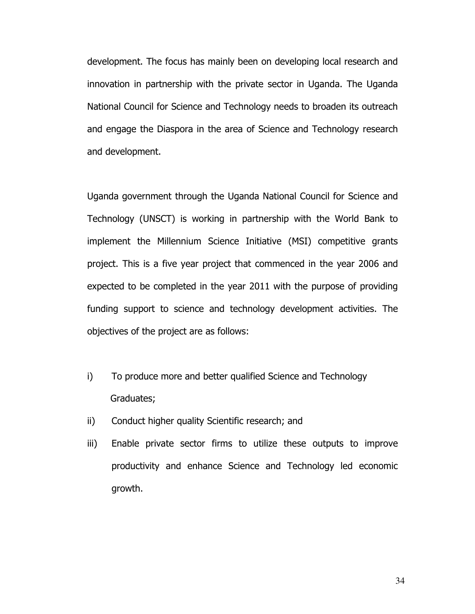development. The focus has mainly been on developing local research and innovation in partnership with the private sector in Uganda. The Uganda National Council for Science and Technology needs to broaden its outreach and engage the Diaspora in the area of Science and Technology research and development.

Uganda government through the Uganda National Council for Science and Technology (UNSCT) is working in partnership with the World Bank to implement the Millennium Science Initiative (MSI) competitive grants project. This is a five year project that commenced in the year 2006 and expected to be completed in the year 2011 with the purpose of providing funding support to science and technology development activities. The objectives of the project are as follows:

- i) To produce more and better qualified Science and Technology Graduates;
- ii) Conduct higher quality Scientific research; and
- iii) Enable private sector firms to utilize these outputs to improve productivity and enhance Science and Technology led economic growth.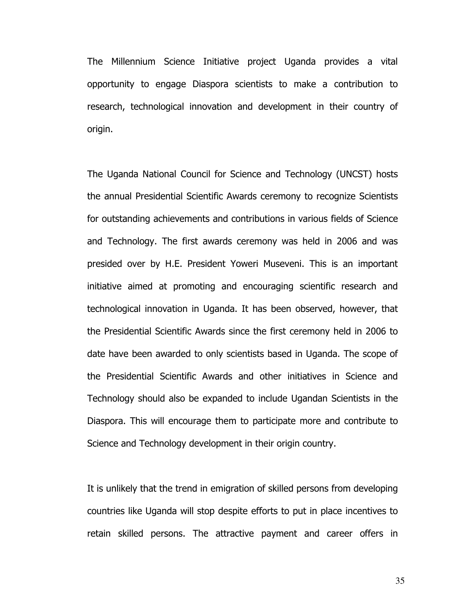The Millennium Science Initiative project Uganda provides a vital opportunity to engage Diaspora scientists to make a contribution to research, technological innovation and development in their country of origin.

The Uganda National Council for Science and Technology (UNCST) hosts the annual Presidential Scientific Awards ceremony to recognize Scientists for outstanding achievements and contributions in various fields of Science and Technology. The first awards ceremony was held in 2006 and was presided over by H.E. President Yoweri Museveni. This is an important initiative aimed at promoting and encouraging scientific research and technological innovation in Uganda. It has been observed, however, that the Presidential Scientific Awards since the first ceremony held in 2006 to date have been awarded to only scientists based in Uganda. The scope of the Presidential Scientific Awards and other initiatives in Science and Technology should also be expanded to include Ugandan Scientists in the Diaspora. This will encourage them to participate more and contribute to Science and Technology development in their origin country.

It is unlikely that the trend in emigration of skilled persons from developing countries like Uganda will stop despite efforts to put in place incentives to retain skilled persons. The attractive payment and career offers in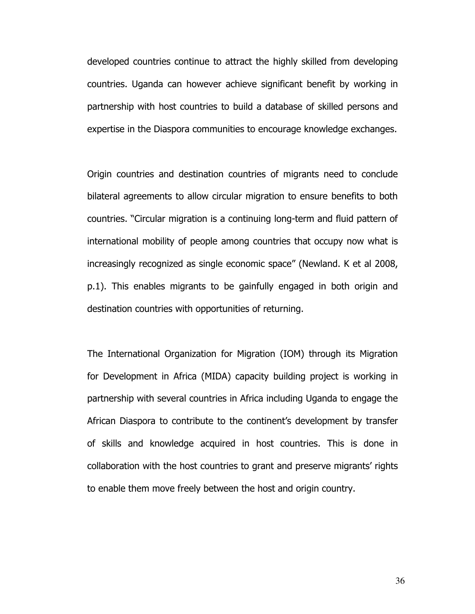developed countries continue to attract the highly skilled from developing countries. Uganda can however achieve significant benefit by working in partnership with host countries to build a database of skilled persons and expertise in the Diaspora communities to encourage knowledge exchanges.

Origin countries and destination countries of migrants need to conclude bilateral agreements to allow circular migration to ensure benefits to both countries. "Circular migration is a continuing long-term and fluid pattern of international mobility of people among countries that occupy now what is increasingly recognized as single economic space" (Newland. K et al 2008, p.1). This enables migrants to be gainfully engaged in both origin and destination countries with opportunities of returning.

The International Organization for Migration (IOM) through its Migration for Development in Africa (MIDA) capacity building project is working in partnership with several countries in Africa including Uganda to engage the African Diaspora to contribute to the continent's development by transfer of skills and knowledge acquired in host countries. This is done in collaboration with the host countries to grant and preserve migrants' rights to enable them move freely between the host and origin country.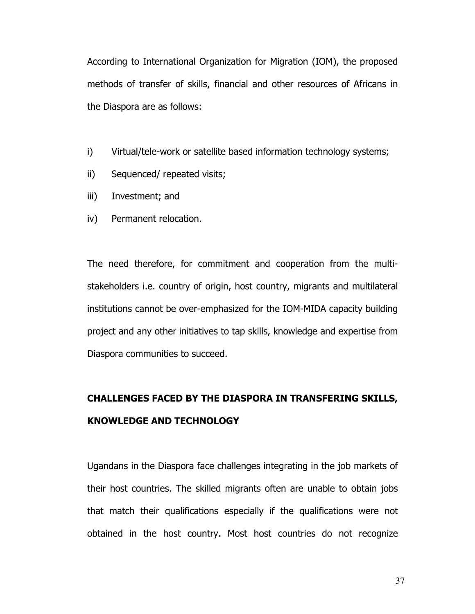According to International Organization for Migration (IOM), the proposed methods of transfer of skills, financial and other resources of Africans in the Diaspora are as follows:

- i) Virtual/tele-work or satellite based information technology systems;
- ii) Sequenced/ repeated visits;
- iii) Investment; and
- iv) Permanent relocation.

The need therefore, for commitment and cooperation from the multistakeholders i.e. country of origin, host country, migrants and multilateral institutions cannot be over-emphasized for the IOM-MIDA capacity building project and any other initiatives to tap skills, knowledge and expertise from Diaspora communities to succeed.

# CHALLENGES FACED BY THE DIASPORA IN TRANSFERING SKILLS, KNOWLEDGE AND TECHNOLOGY

Ugandans in the Diaspora face challenges integrating in the job markets of their host countries. The skilled migrants often are unable to obtain jobs that match their qualifications especially if the qualifications were not obtained in the host country. Most host countries do not recognize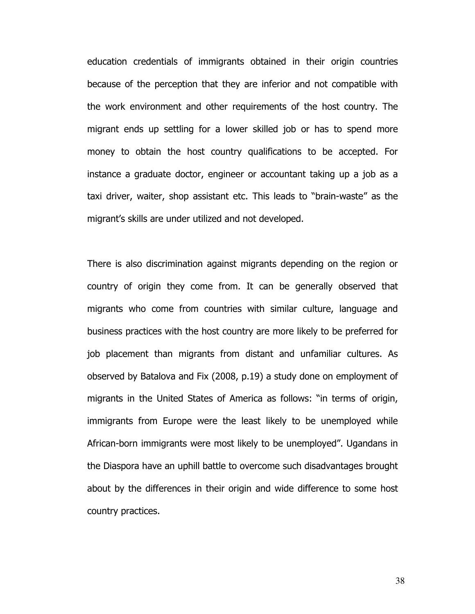education credentials of immigrants obtained in their origin countries because of the perception that they are inferior and not compatible with the work environment and other requirements of the host country. The migrant ends up settling for a lower skilled job or has to spend more money to obtain the host country qualifications to be accepted. For instance a graduate doctor, engineer or accountant taking up a job as a taxi driver, waiter, shop assistant etc. This leads to "brain-waste" as the migrant's skills are under utilized and not developed.

There is also discrimination against migrants depending on the region or country of origin they come from. It can be generally observed that migrants who come from countries with similar culture, language and business practices with the host country are more likely to be preferred for job placement than migrants from distant and unfamiliar cultures. As observed by Batalova and Fix (2008, p.19) a study done on employment of migrants in the United States of America as follows: "in terms of origin, immigrants from Europe were the least likely to be unemployed while African-born immigrants were most likely to be unemployed". Ugandans in the Diaspora have an uphill battle to overcome such disadvantages brought about by the differences in their origin and wide difference to some host country practices.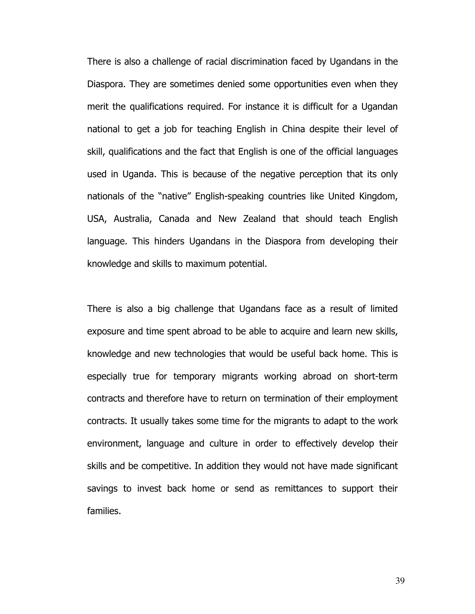There is also a challenge of racial discrimination faced by Ugandans in the Diaspora. They are sometimes denied some opportunities even when they merit the qualifications required. For instance it is difficult for a Ugandan national to get a job for teaching English in China despite their level of skill, qualifications and the fact that English is one of the official languages used in Uganda. This is because of the negative perception that its only nationals of the "native" English-speaking countries like United Kingdom, USA, Australia, Canada and New Zealand that should teach English language. This hinders Ugandans in the Diaspora from developing their knowledge and skills to maximum potential.

There is also a big challenge that Ugandans face as a result of limited exposure and time spent abroad to be able to acquire and learn new skills, knowledge and new technologies that would be useful back home. This is especially true for temporary migrants working abroad on short-term contracts and therefore have to return on termination of their employment contracts. It usually takes some time for the migrants to adapt to the work environment, language and culture in order to effectively develop their skills and be competitive. In addition they would not have made significant savings to invest back home or send as remittances to support their families.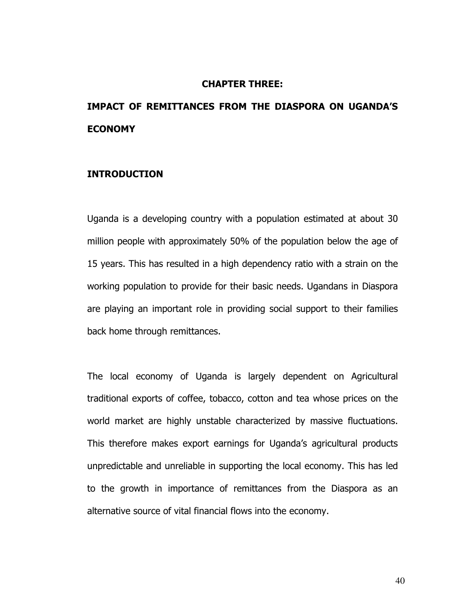#### CHAPTER THREE:

## IMPACT OF REMITTANCES FROM THE DIASPORA ON UGANDA'S ECONOMY

### INTRODUCTION

Uganda is a developing country with a population estimated at about 30 million people with approximately 50% of the population below the age of 15 years. This has resulted in a high dependency ratio with a strain on the working population to provide for their basic needs. Ugandans in Diaspora are playing an important role in providing social support to their families back home through remittances.

The local economy of Uganda is largely dependent on Agricultural traditional exports of coffee, tobacco, cotton and tea whose prices on the world market are highly unstable characterized by massive fluctuations. This therefore makes export earnings for Uganda's agricultural products unpredictable and unreliable in supporting the local economy. This has led to the growth in importance of remittances from the Diaspora as an alternative source of vital financial flows into the economy.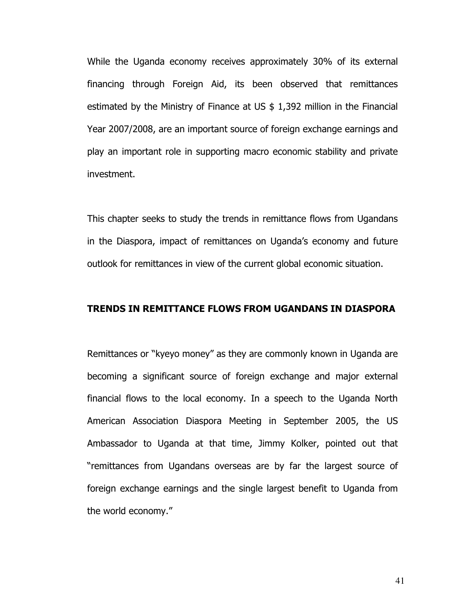While the Uganda economy receives approximately 30% of its external financing through Foreign Aid, its been observed that remittances estimated by the Ministry of Finance at US \$ 1,392 million in the Financial Year 2007/2008, are an important source of foreign exchange earnings and play an important role in supporting macro economic stability and private investment.

This chapter seeks to study the trends in remittance flows from Ugandans in the Diaspora, impact of remittances on Uganda's economy and future outlook for remittances in view of the current global economic situation.

### TRENDS IN REMITTANCE FLOWS FROM UGANDANS IN DIASPORA

Remittances or "kyeyo money" as they are commonly known in Uganda are becoming a significant source of foreign exchange and major external financial flows to the local economy. In a speech to the Uganda North American Association Diaspora Meeting in September 2005, the US Ambassador to Uganda at that time, Jimmy Kolker, pointed out that "remittances from Ugandans overseas are by far the largest source of foreign exchange earnings and the single largest benefit to Uganda from the world economy."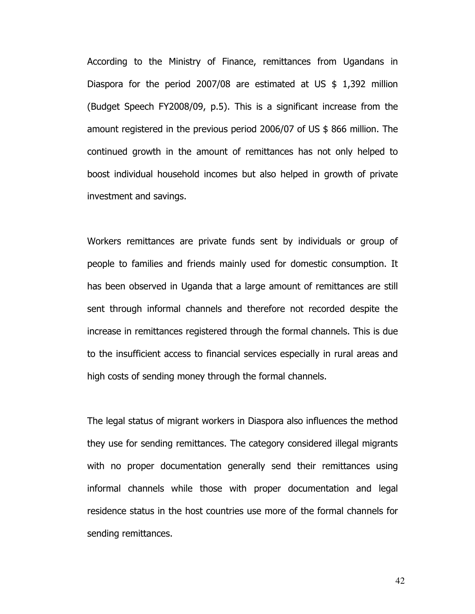According to the Ministry of Finance, remittances from Ugandans in Diaspora for the period 2007/08 are estimated at US  $$ 1,392$  million (Budget Speech FY2008/09, p.5). This is a significant increase from the amount registered in the previous period 2006/07 of US \$ 866 million. The continued growth in the amount of remittances has not only helped to boost individual household incomes but also helped in growth of private investment and savings.

Workers remittances are private funds sent by individuals or group of people to families and friends mainly used for domestic consumption. It has been observed in Uganda that a large amount of remittances are still sent through informal channels and therefore not recorded despite the increase in remittances registered through the formal channels. This is due to the insufficient access to financial services especially in rural areas and high costs of sending money through the formal channels.

The legal status of migrant workers in Diaspora also influences the method they use for sending remittances. The category considered illegal migrants with no proper documentation generally send their remittances using informal channels while those with proper documentation and legal residence status in the host countries use more of the formal channels for sending remittances.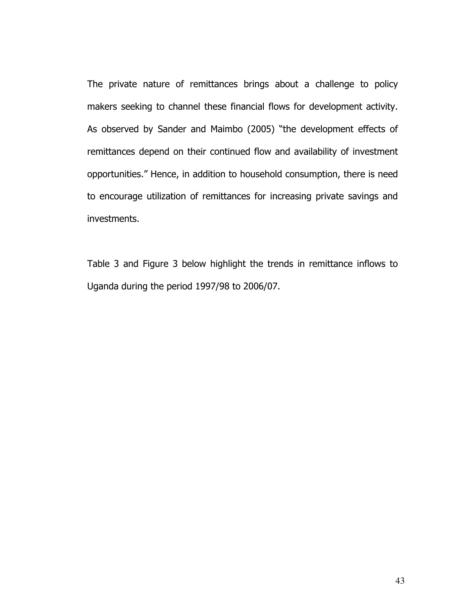The private nature of remittances brings about a challenge to policy makers seeking to channel these financial flows for development activity. As observed by Sander and Maimbo (2005) "the development effects of remittances depend on their continued flow and availability of investment opportunities." Hence, in addition to household consumption, there is need to encourage utilization of remittances for increasing private savings and investments.

Table 3 and Figure 3 below highlight the trends in remittance inflows to Uganda during the period 1997/98 to 2006/07.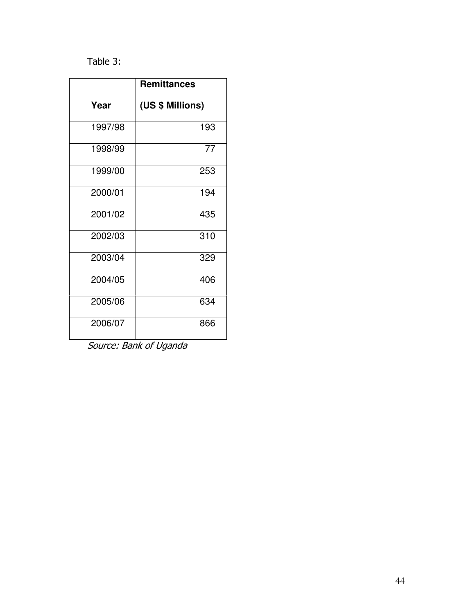### Table 3:

|         | <b>Remittances</b> |
|---------|--------------------|
| Year    | (US \$ Millions)   |
| 1997/98 | 193                |
| 1998/99 | 77                 |
| 1999/00 | 253                |
| 2000/01 | 194                |
| 2001/02 | 435                |
| 2002/03 | 310                |
| 2003/04 | 329                |
| 2004/05 | 406                |
| 2005/06 | 634                |
| 2006/07 | 866                |

Source: Bank of Uganda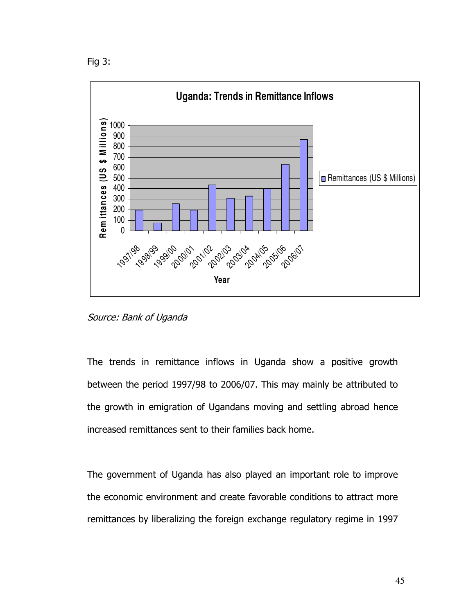



Source: Bank of Uganda

The trends in remittance inflows in Uganda show a positive growth between the period 1997/98 to 2006/07. This may mainly be attributed to the growth in emigration of Ugandans moving and settling abroad hence increased remittances sent to their families back home.

The government of Uganda has also played an important role to improve the economic environment and create favorable conditions to attract more remittances by liberalizing the foreign exchange regulatory regime in 1997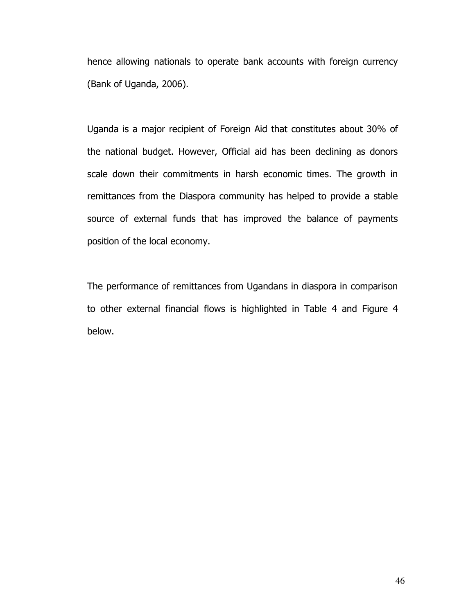hence allowing nationals to operate bank accounts with foreign currency (Bank of Uganda, 2006).

Uganda is a major recipient of Foreign Aid that constitutes about 30% of the national budget. However, Official aid has been declining as donors scale down their commitments in harsh economic times. The growth in remittances from the Diaspora community has helped to provide a stable source of external funds that has improved the balance of payments position of the local economy.

The performance of remittances from Ugandans in diaspora in comparison to other external financial flows is highlighted in Table 4 and Figure 4 below.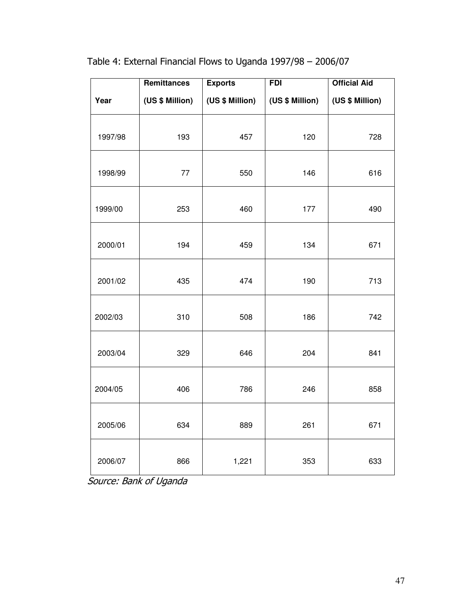|         | Remittances     | <b>Exports</b>  | <b>FDI</b>      | <b>Official Aid</b> |
|---------|-----------------|-----------------|-----------------|---------------------|
| Year    | (US \$ Million) | (US \$ Million) | (US \$ Million) | (US \$ Million)     |
| 1997/98 | 193             | 457             | 120             | 728                 |
| 1998/99 | 77              | 550             | 146             | 616                 |
| 1999/00 | 253             | 460             | 177             | 490                 |
| 2000/01 | 194             | 459             | 134             | 671                 |
| 2001/02 | 435             | 474             | 190             | 713                 |
| 2002/03 | 310             | 508             | 186             | 742                 |
| 2003/04 | 329             | 646             | 204             | 841                 |
| 2004/05 | 406             | 786             | 246             | 858                 |
| 2005/06 | 634             | 889             | 261             | 671                 |
| 2006/07 | 866             | 1,221           | 353             | 633                 |

Table 4: External Financial Flows to Uganda 1997/98 – 2006/07

Source: Bank of Uganda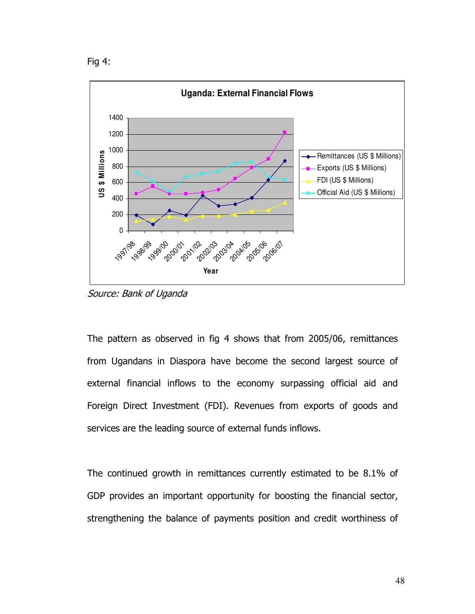```
Fig 4:
```


Source: Bank of Uganda

The pattern as observed in fig 4 shows that from 2005/06, remittances from Ugandans in Diaspora have become the second largest source of external financial inflows to the economy surpassing official aid and Foreign Direct Investment (FDI). Revenues from exports of goods and services are the leading source of external funds inflows.

The continued growth in remittances currently estimated to be 8.1% of GDP provides an important opportunity for boosting the financial sector, strengthening the balance of payments position and credit worthiness of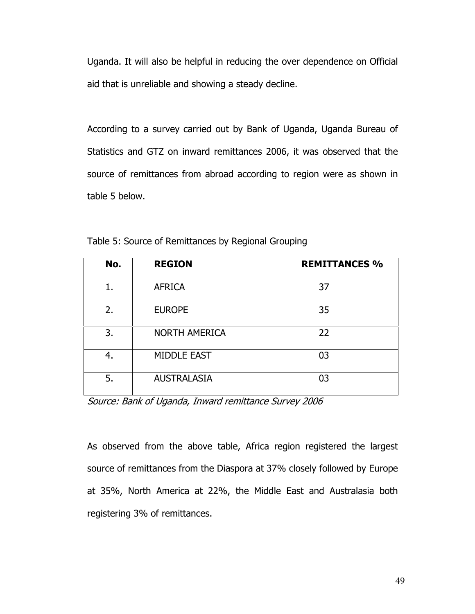Uganda. It will also be helpful in reducing the over dependence on Official aid that is unreliable and showing a steady decline.

According to a survey carried out by Bank of Uganda, Uganda Bureau of Statistics and GTZ on inward remittances 2006, it was observed that the source of remittances from abroad according to region were as shown in table 5 below.

| No. | <b>REGION</b>        | <b>REMITTANCES %</b> |
|-----|----------------------|----------------------|
| 1.  | <b>AFRICA</b>        | 37                   |
| 2.  | <b>EUROPE</b>        | 35                   |
| 3.  | <b>NORTH AMERICA</b> | 22                   |
| 4.  | <b>MIDDLE EAST</b>   | 03                   |
| 5.  | <b>AUSTRALASIA</b>   | 03                   |

Table 5: Source of Remittances by Regional Grouping

Source: Bank of Uganda, Inward remittance Survey 2006

As observed from the above table, Africa region registered the largest source of remittances from the Diaspora at 37% closely followed by Europe at 35%, North America at 22%, the Middle East and Australasia both registering 3% of remittances.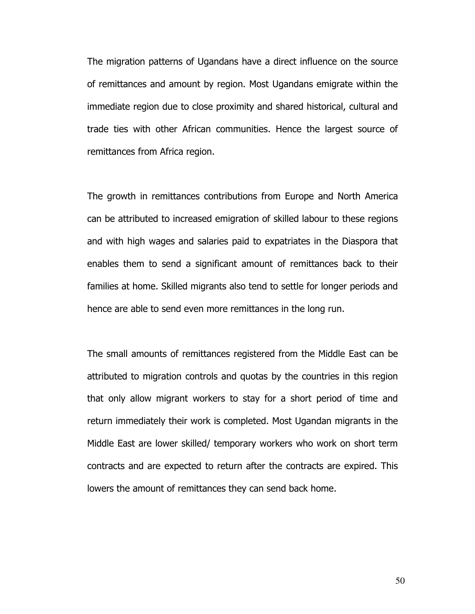The migration patterns of Ugandans have a direct influence on the source of remittances and amount by region. Most Ugandans emigrate within the immediate region due to close proximity and shared historical, cultural and trade ties with other African communities. Hence the largest source of remittances from Africa region.

The growth in remittances contributions from Europe and North America can be attributed to increased emigration of skilled labour to these regions and with high wages and salaries paid to expatriates in the Diaspora that enables them to send a significant amount of remittances back to their families at home. Skilled migrants also tend to settle for longer periods and hence are able to send even more remittances in the long run.

The small amounts of remittances registered from the Middle East can be attributed to migration controls and quotas by the countries in this region that only allow migrant workers to stay for a short period of time and return immediately their work is completed. Most Ugandan migrants in the Middle East are lower skilled/ temporary workers who work on short term contracts and are expected to return after the contracts are expired. This lowers the amount of remittances they can send back home.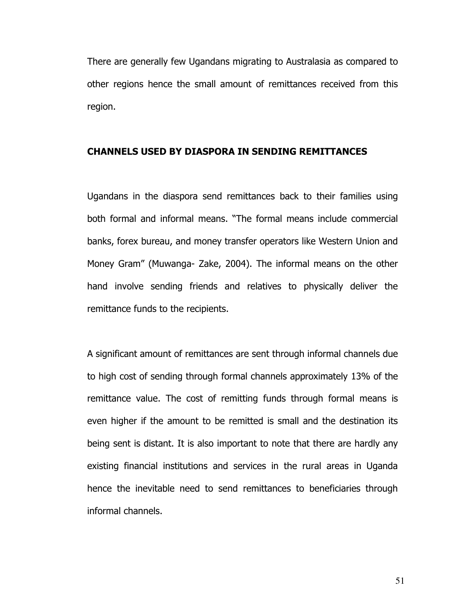There are generally few Ugandans migrating to Australasia as compared to other regions hence the small amount of remittances received from this region.

### CHANNELS USED BY DIASPORA IN SENDING REMITTANCES

Ugandans in the diaspora send remittances back to their families using both formal and informal means. "The formal means include commercial banks, forex bureau, and money transfer operators like Western Union and Money Gram" (Muwanga- Zake, 2004). The informal means on the other hand involve sending friends and relatives to physically deliver the remittance funds to the recipients.

A significant amount of remittances are sent through informal channels due to high cost of sending through formal channels approximately 13% of the remittance value. The cost of remitting funds through formal means is even higher if the amount to be remitted is small and the destination its being sent is distant. It is also important to note that there are hardly any existing financial institutions and services in the rural areas in Uganda hence the inevitable need to send remittances to beneficiaries through informal channels.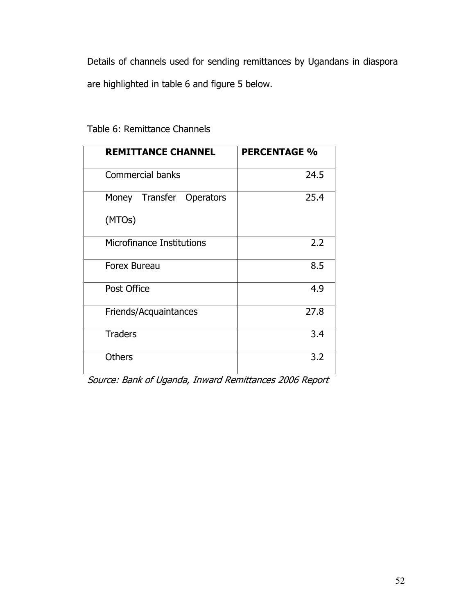Details of channels used for sending remittances by Ugandans in diaspora are highlighted in table 6 and figure 5 below.

| <b>REMITTANCE CHANNEL</b>   | <b>PERCENTAGE %</b> |
|-----------------------------|---------------------|
| <b>Commercial banks</b>     | 24.5                |
| Transfer Operators<br>Money | 25.4                |
| (MTOs)                      |                     |
| Microfinance Institutions   | 2.2                 |
| Forex Bureau                | 8.5                 |
| Post Office                 | 4.9                 |
| Friends/Acquaintances       | 27.8                |
| <b>Traders</b>              | 3.4                 |
| <b>Others</b>               | 3.2                 |

Table 6: Remittance Channels

Source: Bank of Uganda, Inward Remittances 2006 Report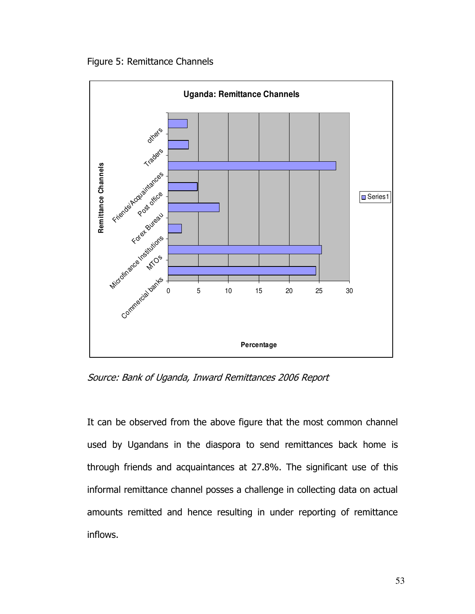Figure 5: Remittance Channels



Source: Bank of Uganda, Inward Remittances 2006 Report

It can be observed from the above figure that the most common channel used by Ugandans in the diaspora to send remittances back home is through friends and acquaintances at 27.8%. The significant use of this informal remittance channel posses a challenge in collecting data on actual amounts remitted and hence resulting in under reporting of remittance inflows.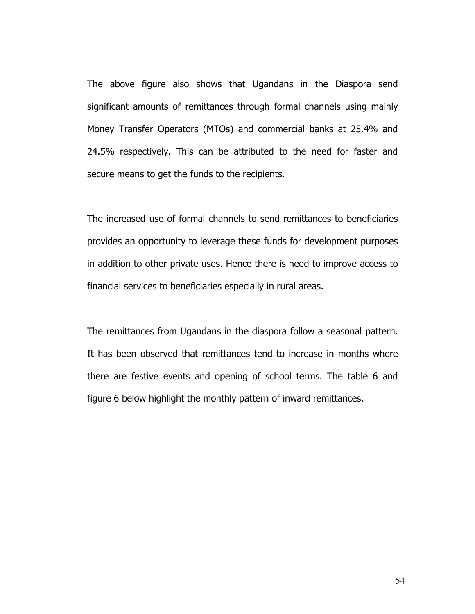The above figure also shows that Ugandans in the Diaspora send significant amounts of remittances through formal channels using mainly Money Transfer Operators (MTOs) and commercial banks at 25.4% and 24.5% respectively. This can be attributed to the need for faster and secure means to get the funds to the recipients.

The increased use of formal channels to send remittances to beneficiaries provides an opportunity to leverage these funds for development purposes in addition to other private uses. Hence there is need to improve access to financial services to beneficiaries especially in rural areas.

The remittances from Ugandans in the diaspora follow a seasonal pattern. It has been observed that remittances tend to increase in months where there are festive events and opening of school terms. The table 6 and figure 6 below highlight the monthly pattern of inward remittances.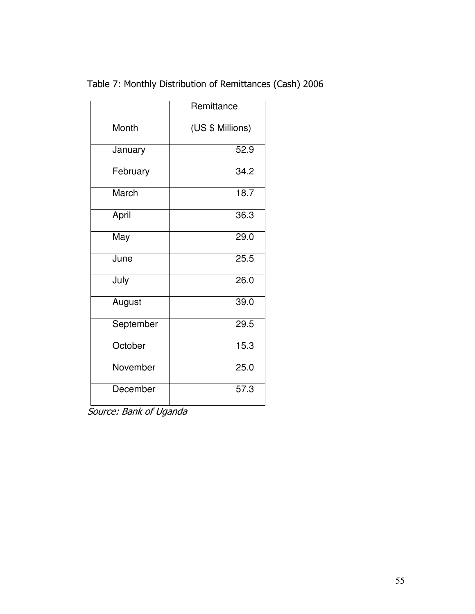|  |  |  | Table 7: Monthly Distribution of Remittances (Cash) 2006 |  |  |
|--|--|--|----------------------------------------------------------|--|--|
|--|--|--|----------------------------------------------------------|--|--|

|           | Remittance        |
|-----------|-------------------|
| Month     | (US \$ Millions)  |
| January   | 52.9              |
| February  | 34.2              |
| March     | 18.7              |
| April     | 36.3              |
| May       | 29.0              |
| June      | 25.5              |
| July      | 26.0              |
| August    | 39.0              |
| September | $\overline{29.5}$ |
| October   | 15.3              |
| November  | 25.0              |
| December  | $\overline{57.3}$ |

Source: Bank of Uganda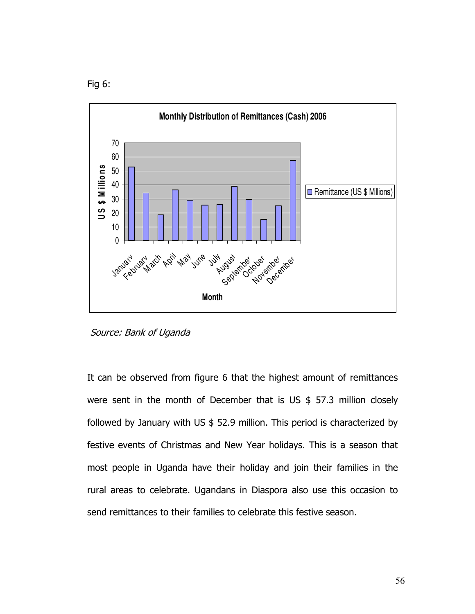Fig 6:



Source: Bank of Uganda

It can be observed from figure 6 that the highest amount of remittances were sent in the month of December that is US  $$57.3$  million closely followed by January with US \$ 52.9 million. This period is characterized by festive events of Christmas and New Year holidays. This is a season that most people in Uganda have their holiday and join their families in the rural areas to celebrate. Ugandans in Diaspora also use this occasion to send remittances to their families to celebrate this festive season.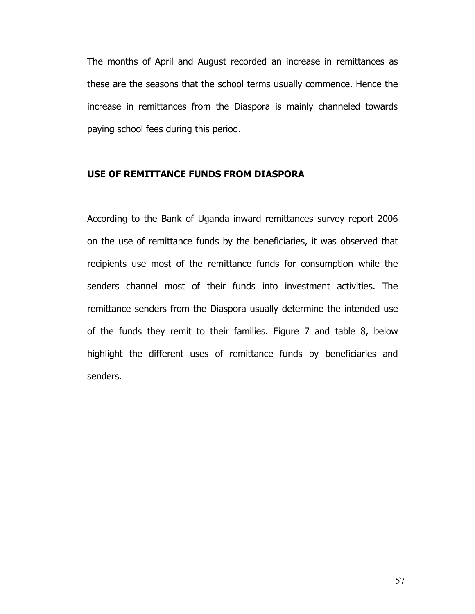The months of April and August recorded an increase in remittances as these are the seasons that the school terms usually commence. Hence the increase in remittances from the Diaspora is mainly channeled towards paying school fees during this period.

### USE OF REMITTANCE FUNDS FROM DIASPORA

According to the Bank of Uganda inward remittances survey report 2006 on the use of remittance funds by the beneficiaries, it was observed that recipients use most of the remittance funds for consumption while the senders channel most of their funds into investment activities. The remittance senders from the Diaspora usually determine the intended use of the funds they remit to their families. Figure 7 and table 8, below highlight the different uses of remittance funds by beneficiaries and senders.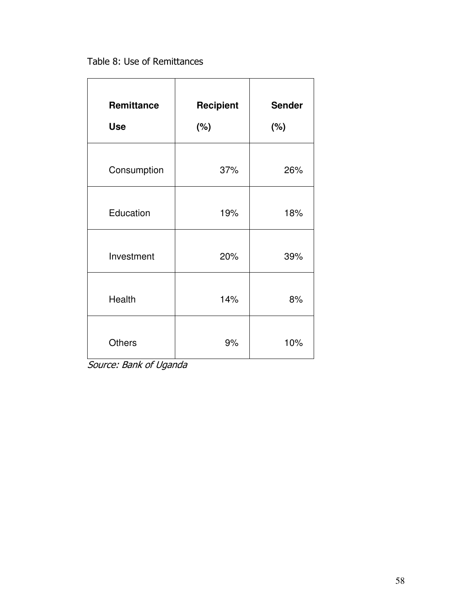Table 8: Use of Remittances

| Remittance<br><b>Use</b> | <b>Recipient</b><br>(%) | <b>Sender</b><br>$(\%)$ |
|--------------------------|-------------------------|-------------------------|
| Consumption              | 37%                     | 26%                     |
| Education                | 19%                     | 18%                     |
| Investment               | 20%                     | 39%                     |
| Health                   | 14%                     | 8%                      |
| <b>Others</b>            | 9%                      | 10%                     |

Source: Bank of Uganda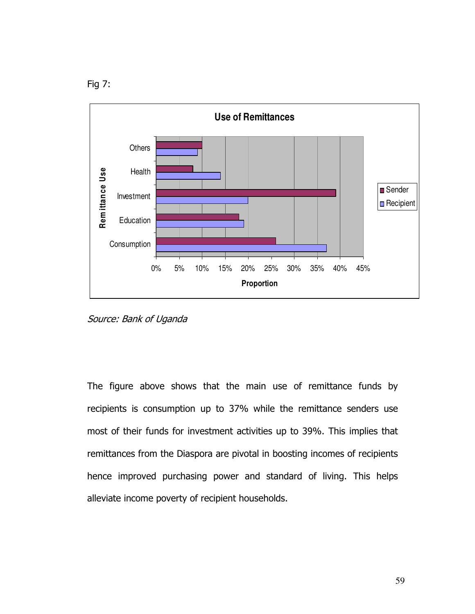



Source: Bank of Uganda

The figure above shows that the main use of remittance funds by recipients is consumption up to 37% while the remittance senders use most of their funds for investment activities up to 39%. This implies that remittances from the Diaspora are pivotal in boosting incomes of recipients hence improved purchasing power and standard of living. This helps alleviate income poverty of recipient households.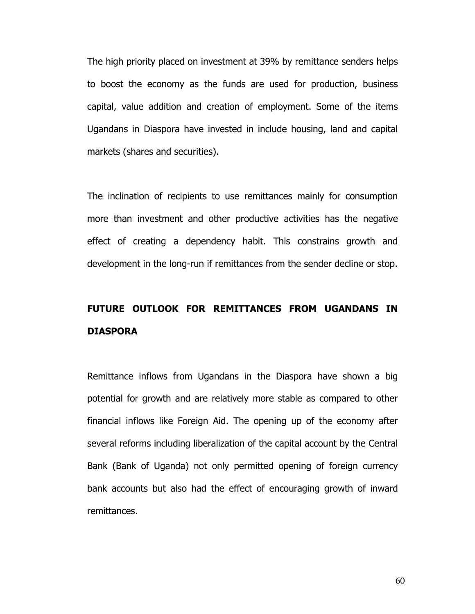The high priority placed on investment at 39% by remittance senders helps to boost the economy as the funds are used for production, business capital, value addition and creation of employment. Some of the items Ugandans in Diaspora have invested in include housing, land and capital markets (shares and securities).

The inclination of recipients to use remittances mainly for consumption more than investment and other productive activities has the negative effect of creating a dependency habit. This constrains growth and development in the long-run if remittances from the sender decline or stop.

## FUTURE OUTLOOK FOR REMITTANCES FROM UGANDANS IN DIASPORA

Remittance inflows from Ugandans in the Diaspora have shown a big potential for growth and are relatively more stable as compared to other financial inflows like Foreign Aid. The opening up of the economy after several reforms including liberalization of the capital account by the Central Bank (Bank of Uganda) not only permitted opening of foreign currency bank accounts but also had the effect of encouraging growth of inward remittances.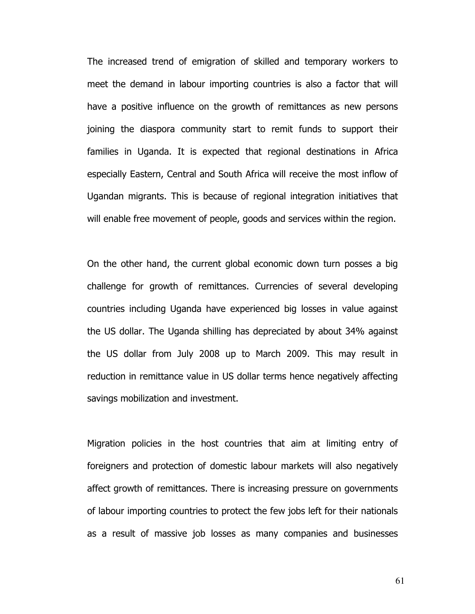The increased trend of emigration of skilled and temporary workers to meet the demand in labour importing countries is also a factor that will have a positive influence on the growth of remittances as new persons joining the diaspora community start to remit funds to support their families in Uganda. It is expected that regional destinations in Africa especially Eastern, Central and South Africa will receive the most inflow of Ugandan migrants. This is because of regional integration initiatives that will enable free movement of people, goods and services within the region.

On the other hand, the current global economic down turn posses a big challenge for growth of remittances. Currencies of several developing countries including Uganda have experienced big losses in value against the US dollar. The Uganda shilling has depreciated by about 34% against the US dollar from July 2008 up to March 2009. This may result in reduction in remittance value in US dollar terms hence negatively affecting savings mobilization and investment.

Migration policies in the host countries that aim at limiting entry of foreigners and protection of domestic labour markets will also negatively affect growth of remittances. There is increasing pressure on governments of labour importing countries to protect the few jobs left for their nationals as a result of massive job losses as many companies and businesses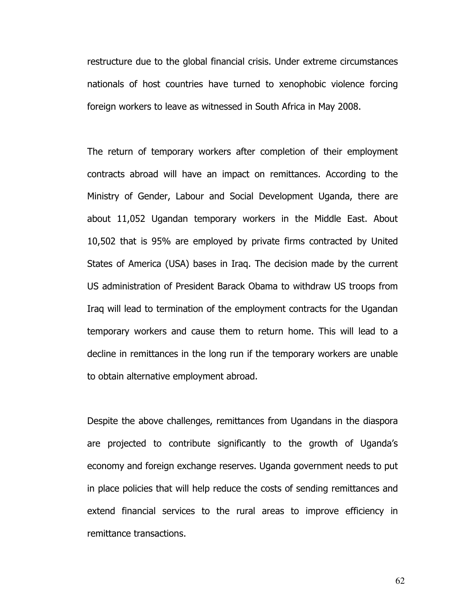restructure due to the global financial crisis. Under extreme circumstances nationals of host countries have turned to xenophobic violence forcing foreign workers to leave as witnessed in South Africa in May 2008.

The return of temporary workers after completion of their employment contracts abroad will have an impact on remittances. According to the Ministry of Gender, Labour and Social Development Uganda, there are about 11,052 Ugandan temporary workers in the Middle East. About 10,502 that is 95% are employed by private firms contracted by United States of America (USA) bases in Iraq. The decision made by the current US administration of President Barack Obama to withdraw US troops from Iraq will lead to termination of the employment contracts for the Ugandan temporary workers and cause them to return home. This will lead to a decline in remittances in the long run if the temporary workers are unable to obtain alternative employment abroad.

Despite the above challenges, remittances from Ugandans in the diaspora are projected to contribute significantly to the growth of Uganda's economy and foreign exchange reserves. Uganda government needs to put in place policies that will help reduce the costs of sending remittances and extend financial services to the rural areas to improve efficiency in remittance transactions.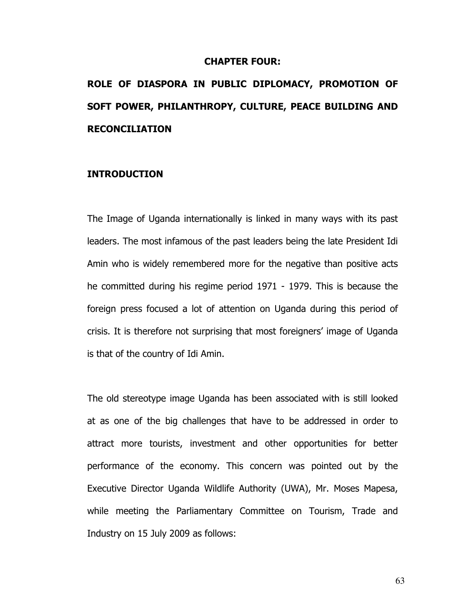#### CHAPTER FOUR:

# ROLE OF DIASPORA IN PUBLIC DIPLOMACY, PROMOTION OF SOFT POWER, PHILANTHROPY, CULTURE, PEACE BUILDING AND RECONCILIATION

#### INTRODUCTION

The Image of Uganda internationally is linked in many ways with its past leaders. The most infamous of the past leaders being the late President Idi Amin who is widely remembered more for the negative than positive acts he committed during his regime period 1971 - 1979. This is because the foreign press focused a lot of attention on Uganda during this period of crisis. It is therefore not surprising that most foreigners' image of Uganda is that of the country of Idi Amin.

The old stereotype image Uganda has been associated with is still looked at as one of the big challenges that have to be addressed in order to attract more tourists, investment and other opportunities for better performance of the economy. This concern was pointed out by the Executive Director Uganda Wildlife Authority (UWA), Mr. Moses Mapesa, while meeting the Parliamentary Committee on Tourism, Trade and Industry on 15 July 2009 as follows: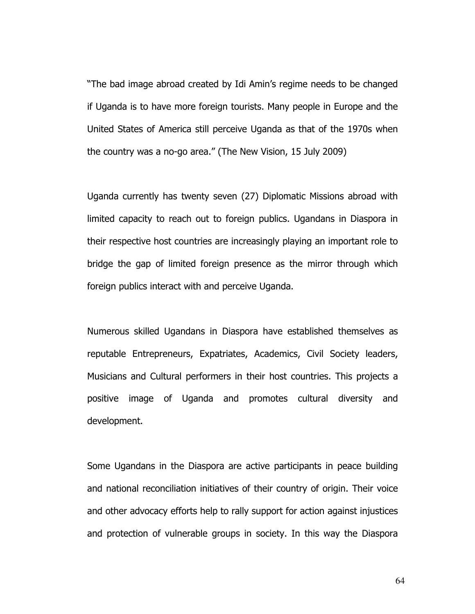"The bad image abroad created by Idi Amin's regime needs to be changed if Uganda is to have more foreign tourists. Many people in Europe and the United States of America still perceive Uganda as that of the 1970s when the country was a no-go area." (The New Vision, 15 July 2009)

Uganda currently has twenty seven (27) Diplomatic Missions abroad with limited capacity to reach out to foreign publics. Ugandans in Diaspora in their respective host countries are increasingly playing an important role to bridge the gap of limited foreign presence as the mirror through which foreign publics interact with and perceive Uganda.

Numerous skilled Ugandans in Diaspora have established themselves as reputable Entrepreneurs, Expatriates, Academics, Civil Society leaders, Musicians and Cultural performers in their host countries. This projects a positive image of Uganda and promotes cultural diversity and development.

Some Ugandans in the Diaspora are active participants in peace building and national reconciliation initiatives of their country of origin. Their voice and other advocacy efforts help to rally support for action against injustices and protection of vulnerable groups in society. In this way the Diaspora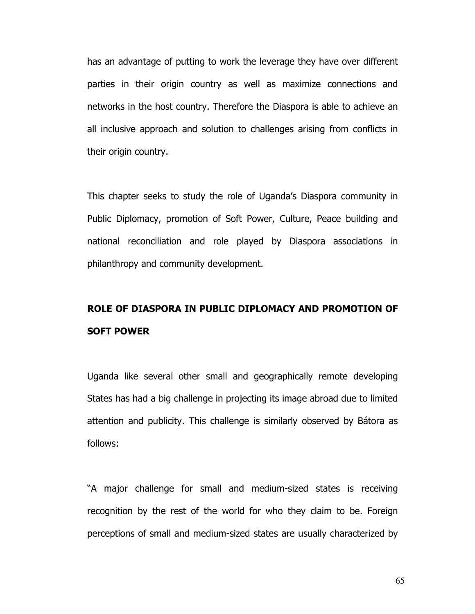has an advantage of putting to work the leverage they have over different parties in their origin country as well as maximize connections and networks in the host country. Therefore the Diaspora is able to achieve an all inclusive approach and solution to challenges arising from conflicts in their origin country.

This chapter seeks to study the role of Uganda's Diaspora community in Public Diplomacy, promotion of Soft Power, Culture, Peace building and national reconciliation and role played by Diaspora associations in philanthropy and community development.

### ROLE OF DIASPORA IN PUBLIC DIPLOMACY AND PROMOTION OF SOFT POWER

Uganda like several other small and geographically remote developing States has had a big challenge in projecting its image abroad due to limited attention and publicity. This challenge is similarly observed by Bátora as follows:

"A major challenge for small and medium-sized states is receiving recognition by the rest of the world for who they claim to be. Foreign perceptions of small and medium-sized states are usually characterized by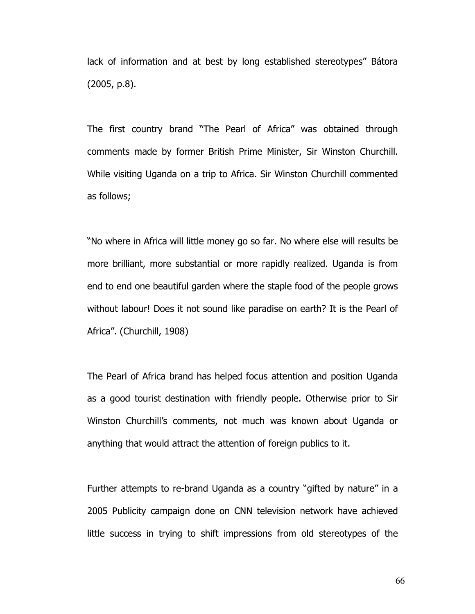lack of information and at best by long established stereotypes" Bátora (2005, p.8).

The first country brand "The Pearl of Africa" was obtained through comments made by former British Prime Minister, Sir Winston Churchill. While visiting Uganda on a trip to Africa. Sir Winston Churchill commented as follows;

"No where in Africa will little money go so far. No where else will results be more brilliant, more substantial or more rapidly realized. Uganda is from end to end one beautiful garden where the staple food of the people grows without labour! Does it not sound like paradise on earth? It is the Pearl of Africa". (Churchill, 1908)

The Pearl of Africa brand has helped focus attention and position Uganda as a good tourist destination with friendly people. Otherwise prior to Sir Winston Churchill's comments, not much was known about Uganda or anything that would attract the attention of foreign publics to it.

Further attempts to re-brand Uganda as a country "gifted by nature" in a 2005 Publicity campaign done on CNN television network have achieved little success in trying to shift impressions from old stereotypes of the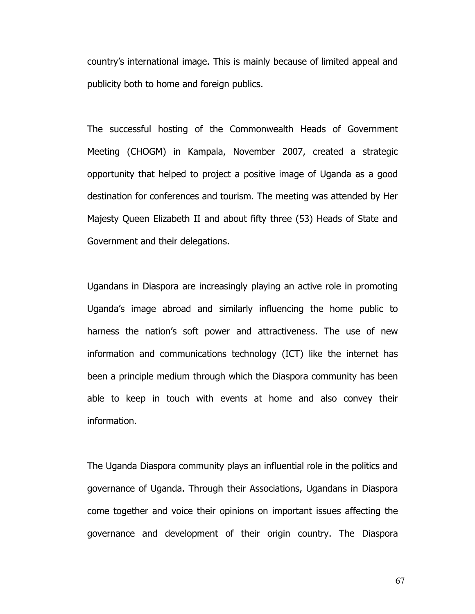country's international image. This is mainly because of limited appeal and publicity both to home and foreign publics.

The successful hosting of the Commonwealth Heads of Government Meeting (CHOGM) in Kampala, November 2007, created a strategic opportunity that helped to project a positive image of Uganda as a good destination for conferences and tourism. The meeting was attended by Her Majesty Queen Elizabeth II and about fifty three (53) Heads of State and Government and their delegations.

Ugandans in Diaspora are increasingly playing an active role in promoting Uganda's image abroad and similarly influencing the home public to harness the nation's soft power and attractiveness. The use of new information and communications technology (ICT) like the internet has been a principle medium through which the Diaspora community has been able to keep in touch with events at home and also convey their information.

The Uganda Diaspora community plays an influential role in the politics and governance of Uganda. Through their Associations, Ugandans in Diaspora come together and voice their opinions on important issues affecting the governance and development of their origin country. The Diaspora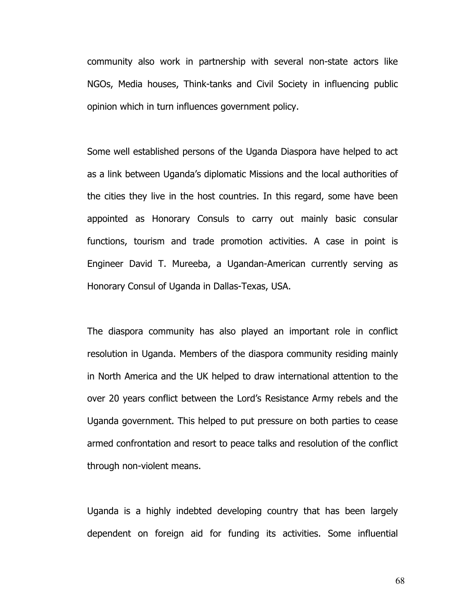community also work in partnership with several non-state actors like NGOs, Media houses, Think-tanks and Civil Society in influencing public opinion which in turn influences government policy.

Some well established persons of the Uganda Diaspora have helped to act as a link between Uganda's diplomatic Missions and the local authorities of the cities they live in the host countries. In this regard, some have been appointed as Honorary Consuls to carry out mainly basic consular functions, tourism and trade promotion activities. A case in point is Engineer David T. Mureeba, a Ugandan-American currently serving as Honorary Consul of Uganda in Dallas-Texas, USA.

The diaspora community has also played an important role in conflict resolution in Uganda. Members of the diaspora community residing mainly in North America and the UK helped to draw international attention to the over 20 years conflict between the Lord's Resistance Army rebels and the Uganda government. This helped to put pressure on both parties to cease armed confrontation and resort to peace talks and resolution of the conflict through non-violent means.

Uganda is a highly indebted developing country that has been largely dependent on foreign aid for funding its activities. Some influential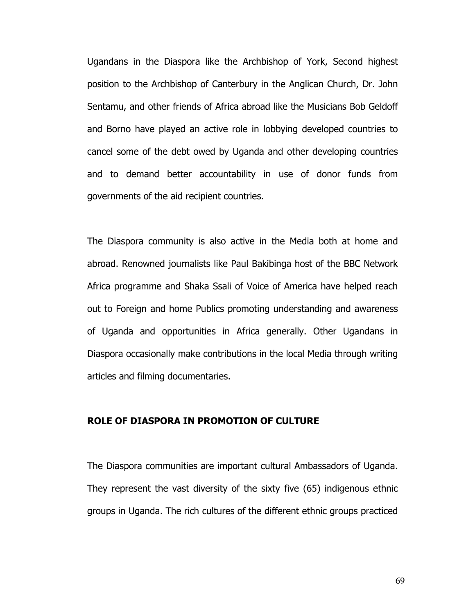Ugandans in the Diaspora like the Archbishop of York, Second highest position to the Archbishop of Canterbury in the Anglican Church, Dr. John Sentamu, and other friends of Africa abroad like the Musicians Bob Geldoff and Borno have played an active role in lobbying developed countries to cancel some of the debt owed by Uganda and other developing countries and to demand better accountability in use of donor funds from governments of the aid recipient countries.

The Diaspora community is also active in the Media both at home and abroad. Renowned journalists like Paul Bakibinga host of the BBC Network Africa programme and Shaka Ssali of Voice of America have helped reach out to Foreign and home Publics promoting understanding and awareness of Uganda and opportunities in Africa generally. Other Ugandans in Diaspora occasionally make contributions in the local Media through writing articles and filming documentaries.

### ROLE OF DIASPORA IN PROMOTION OF CULTURE

The Diaspora communities are important cultural Ambassadors of Uganda. They represent the vast diversity of the sixty five (65) indigenous ethnic groups in Uganda. The rich cultures of the different ethnic groups practiced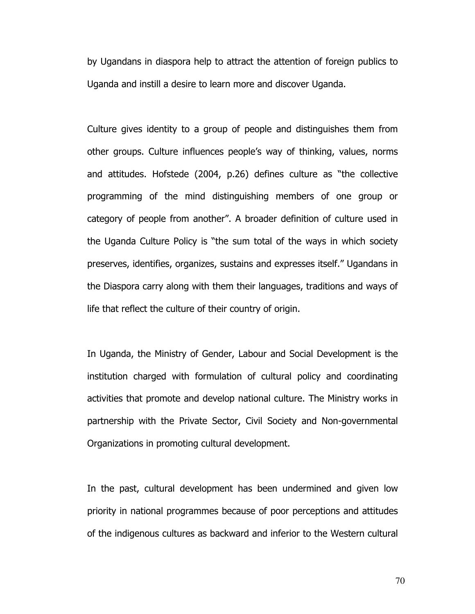by Ugandans in diaspora help to attract the attention of foreign publics to Uganda and instill a desire to learn more and discover Uganda.

Culture gives identity to a group of people and distinguishes them from other groups. Culture influences people's way of thinking, values, norms and attitudes. Hofstede (2004, p.26) defines culture as "the collective programming of the mind distinguishing members of one group or category of people from another". A broader definition of culture used in the Uganda Culture Policy is "the sum total of the ways in which society preserves, identifies, organizes, sustains and expresses itself." Ugandans in the Diaspora carry along with them their languages, traditions and ways of life that reflect the culture of their country of origin.

In Uganda, the Ministry of Gender, Labour and Social Development is the institution charged with formulation of cultural policy and coordinating activities that promote and develop national culture. The Ministry works in partnership with the Private Sector, Civil Society and Non-governmental Organizations in promoting cultural development.

In the past, cultural development has been undermined and given low priority in national programmes because of poor perceptions and attitudes of the indigenous cultures as backward and inferior to the Western cultural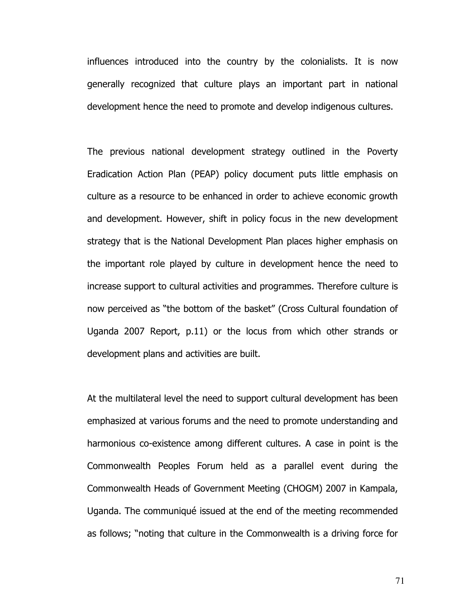influences introduced into the country by the colonialists. It is now generally recognized that culture plays an important part in national development hence the need to promote and develop indigenous cultures.

The previous national development strategy outlined in the Poverty Eradication Action Plan (PEAP) policy document puts little emphasis on culture as a resource to be enhanced in order to achieve economic growth and development. However, shift in policy focus in the new development strategy that is the National Development Plan places higher emphasis on the important role played by culture in development hence the need to increase support to cultural activities and programmes. Therefore culture is now perceived as "the bottom of the basket" (Cross Cultural foundation of Uganda 2007 Report, p.11) or the locus from which other strands or development plans and activities are built.

At the multilateral level the need to support cultural development has been emphasized at various forums and the need to promote understanding and harmonious co-existence among different cultures. A case in point is the Commonwealth Peoples Forum held as a parallel event during the Commonwealth Heads of Government Meeting (CHOGM) 2007 in Kampala, Uganda. The communiqué issued at the end of the meeting recommended as follows; "noting that culture in the Commonwealth is a driving force for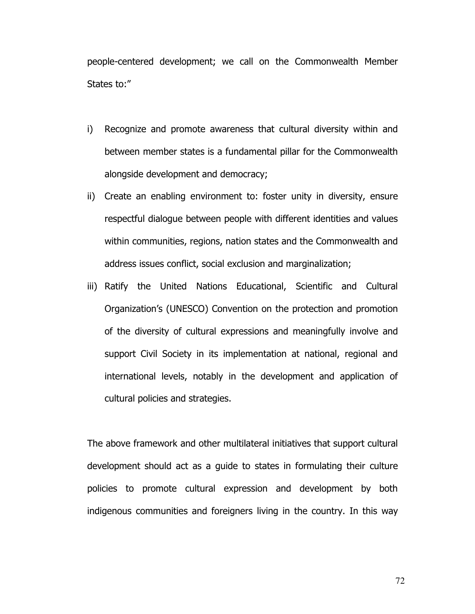people-centered development; we call on the Commonwealth Member States to:"

- i) Recognize and promote awareness that cultural diversity within and between member states is a fundamental pillar for the Commonwealth alongside development and democracy;
- ii) Create an enabling environment to: foster unity in diversity, ensure respectful dialogue between people with different identities and values within communities, regions, nation states and the Commonwealth and address issues conflict, social exclusion and marginalization;
- iii) Ratify the United Nations Educational, Scientific and Cultural Organization's (UNESCO) Convention on the protection and promotion of the diversity of cultural expressions and meaningfully involve and support Civil Society in its implementation at national, regional and international levels, notably in the development and application of cultural policies and strategies.

The above framework and other multilateral initiatives that support cultural development should act as a guide to states in formulating their culture policies to promote cultural expression and development by both indigenous communities and foreigners living in the country. In this way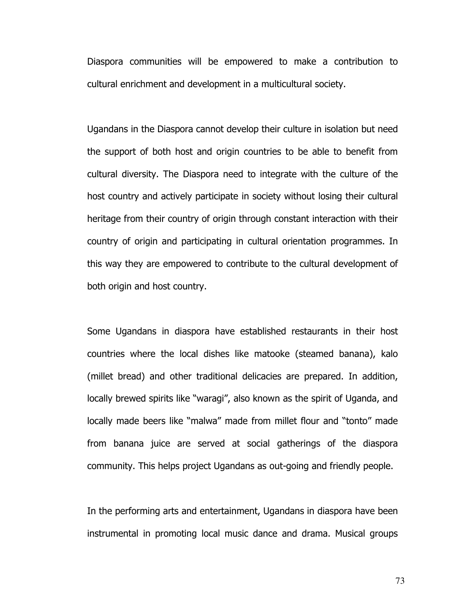Diaspora communities will be empowered to make a contribution to cultural enrichment and development in a multicultural society.

Ugandans in the Diaspora cannot develop their culture in isolation but need the support of both host and origin countries to be able to benefit from cultural diversity. The Diaspora need to integrate with the culture of the host country and actively participate in society without losing their cultural heritage from their country of origin through constant interaction with their country of origin and participating in cultural orientation programmes. In this way they are empowered to contribute to the cultural development of both origin and host country.

Some Ugandans in diaspora have established restaurants in their host countries where the local dishes like matooke (steamed banana), kalo (millet bread) and other traditional delicacies are prepared. In addition, locally brewed spirits like "waragi", also known as the spirit of Uganda, and locally made beers like "malwa" made from millet flour and "tonto" made from banana juice are served at social gatherings of the diaspora community. This helps project Ugandans as out-going and friendly people.

In the performing arts and entertainment, Ugandans in diaspora have been instrumental in promoting local music dance and drama. Musical groups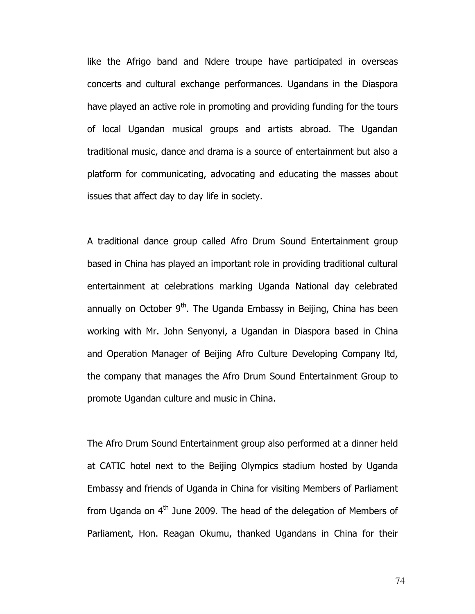like the Afrigo band and Ndere troupe have participated in overseas concerts and cultural exchange performances. Ugandans in the Diaspora have played an active role in promoting and providing funding for the tours of local Ugandan musical groups and artists abroad. The Ugandan traditional music, dance and drama is a source of entertainment but also a platform for communicating, advocating and educating the masses about issues that affect day to day life in society.

A traditional dance group called Afro Drum Sound Entertainment group based in China has played an important role in providing traditional cultural entertainment at celebrations marking Uganda National day celebrated annually on October  $9<sup>th</sup>$ . The Uganda Embassy in Beijing, China has been working with Mr. John Senyonyi, a Ugandan in Diaspora based in China and Operation Manager of Beijing Afro Culture Developing Company ltd, the company that manages the Afro Drum Sound Entertainment Group to promote Ugandan culture and music in China.

The Afro Drum Sound Entertainment group also performed at a dinner held at CATIC hotel next to the Beijing Olympics stadium hosted by Uganda Embassy and friends of Uganda in China for visiting Members of Parliament from Uganda on  $4<sup>th</sup>$  June 2009. The head of the delegation of Members of Parliament, Hon. Reagan Okumu, thanked Ugandans in China for their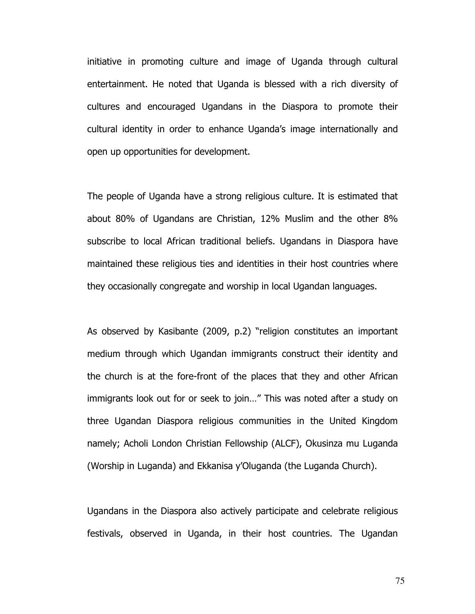initiative in promoting culture and image of Uganda through cultural entertainment. He noted that Uganda is blessed with a rich diversity of cultures and encouraged Ugandans in the Diaspora to promote their cultural identity in order to enhance Uganda's image internationally and open up opportunities for development.

The people of Uganda have a strong religious culture. It is estimated that about 80% of Ugandans are Christian, 12% Muslim and the other 8% subscribe to local African traditional beliefs. Ugandans in Diaspora have maintained these religious ties and identities in their host countries where they occasionally congregate and worship in local Ugandan languages.

As observed by Kasibante (2009, p.2) "religion constitutes an important medium through which Ugandan immigrants construct their identity and the church is at the fore-front of the places that they and other African immigrants look out for or seek to join…" This was noted after a study on three Ugandan Diaspora religious communities in the United Kingdom namely; Acholi London Christian Fellowship (ALCF), Okusinza mu Luganda (Worship in Luganda) and Ekkanisa y'Oluganda (the Luganda Church).

Ugandans in the Diaspora also actively participate and celebrate religious festivals, observed in Uganda, in their host countries. The Ugandan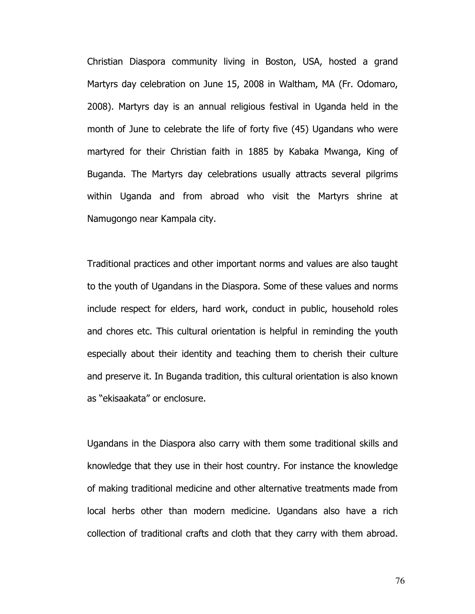Christian Diaspora community living in Boston, USA, hosted a grand Martyrs day celebration on June 15, 2008 in Waltham, MA (Fr. Odomaro, 2008). Martyrs day is an annual religious festival in Uganda held in the month of June to celebrate the life of forty five (45) Ugandans who were martyred for their Christian faith in 1885 by Kabaka Mwanga, King of Buganda. The Martyrs day celebrations usually attracts several pilgrims within Uganda and from abroad who visit the Martyrs shrine at Namugongo near Kampala city.

Traditional practices and other important norms and values are also taught to the youth of Ugandans in the Diaspora. Some of these values and norms include respect for elders, hard work, conduct in public, household roles and chores etc. This cultural orientation is helpful in reminding the youth especially about their identity and teaching them to cherish their culture and preserve it. In Buganda tradition, this cultural orientation is also known as "ekisaakata" or enclosure.

Ugandans in the Diaspora also carry with them some traditional skills and knowledge that they use in their host country. For instance the knowledge of making traditional medicine and other alternative treatments made from local herbs other than modern medicine. Ugandans also have a rich collection of traditional crafts and cloth that they carry with them abroad.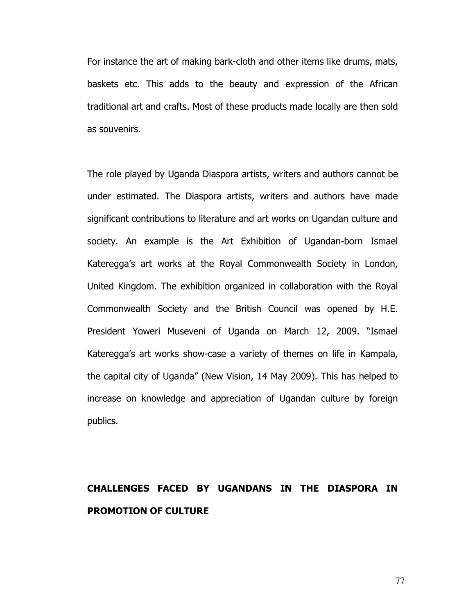For instance the art of making bark-cloth and other items like drums, mats, baskets etc. This adds to the beauty and expression of the African traditional art and crafts. Most of these products made locally are then sold as souvenirs.

The role played by Uganda Diaspora artists, writers and authors cannot be under estimated. The Diaspora artists, writers and authors have made significant contributions to literature and art works on Ugandan culture and society. An example is the Art Exhibition of Ugandan-born Ismael Kateregga's art works at the Royal Commonwealth Society in London, United Kingdom. The exhibition organized in collaboration with the Royal Commonwealth Society and the British Council was opened by H.E. President Yoweri Museveni of Uganda on March 12, 2009. "Ismael Kateregga's art works show-case a variety of themes on life in Kampala, the capital city of Uganda" (New Vision, 14 May 2009). This has helped to increase on knowledge and appreciation of Ugandan culture by foreign publics.

### CHALLENGES FACED BY UGANDANS IN THE DIASPORA IN PROMOTION OF CULTURE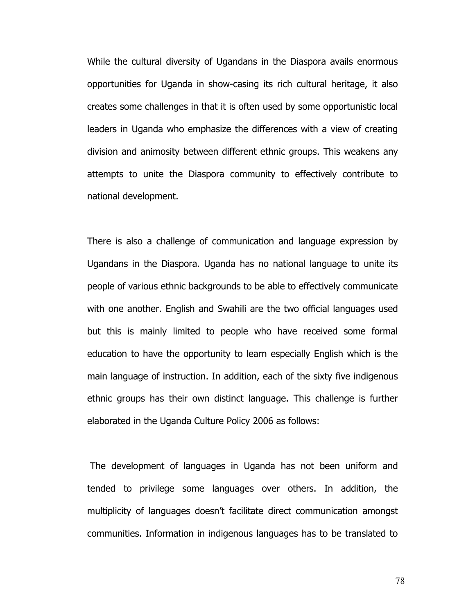While the cultural diversity of Ugandans in the Diaspora avails enormous opportunities for Uganda in show-casing its rich cultural heritage, it also creates some challenges in that it is often used by some opportunistic local leaders in Uganda who emphasize the differences with a view of creating division and animosity between different ethnic groups. This weakens any attempts to unite the Diaspora community to effectively contribute to national development.

There is also a challenge of communication and language expression by Ugandans in the Diaspora. Uganda has no national language to unite its people of various ethnic backgrounds to be able to effectively communicate with one another. English and Swahili are the two official languages used but this is mainly limited to people who have received some formal education to have the opportunity to learn especially English which is the main language of instruction. In addition, each of the sixty five indigenous ethnic groups has their own distinct language. This challenge is further elaborated in the Uganda Culture Policy 2006 as follows:

 The development of languages in Uganda has not been uniform and tended to privilege some languages over others. In addition, the multiplicity of languages doesn't facilitate direct communication amongst communities. Information in indigenous languages has to be translated to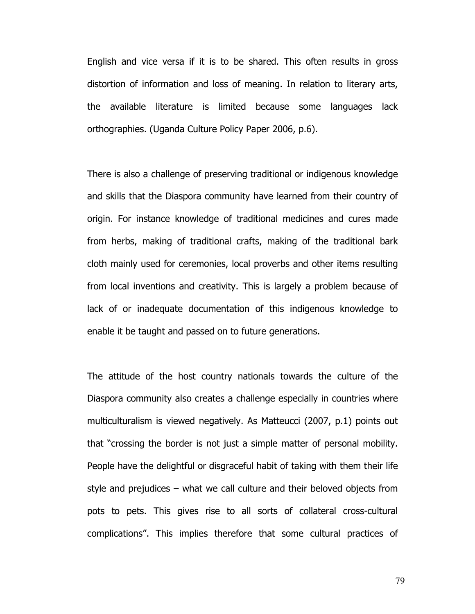English and vice versa if it is to be shared. This often results in gross distortion of information and loss of meaning. In relation to literary arts, the available literature is limited because some languages lack orthographies. (Uganda Culture Policy Paper 2006, p.6).

There is also a challenge of preserving traditional or indigenous knowledge and skills that the Diaspora community have learned from their country of origin. For instance knowledge of traditional medicines and cures made from herbs, making of traditional crafts, making of the traditional bark cloth mainly used for ceremonies, local proverbs and other items resulting from local inventions and creativity. This is largely a problem because of lack of or inadequate documentation of this indigenous knowledge to enable it be taught and passed on to future generations.

The attitude of the host country nationals towards the culture of the Diaspora community also creates a challenge especially in countries where multiculturalism is viewed negatively. As Matteucci (2007, p.1) points out that "crossing the border is not just a simple matter of personal mobility. People have the delightful or disgraceful habit of taking with them their life style and prejudices – what we call culture and their beloved objects from pots to pets. This gives rise to all sorts of collateral cross-cultural complications". This implies therefore that some cultural practices of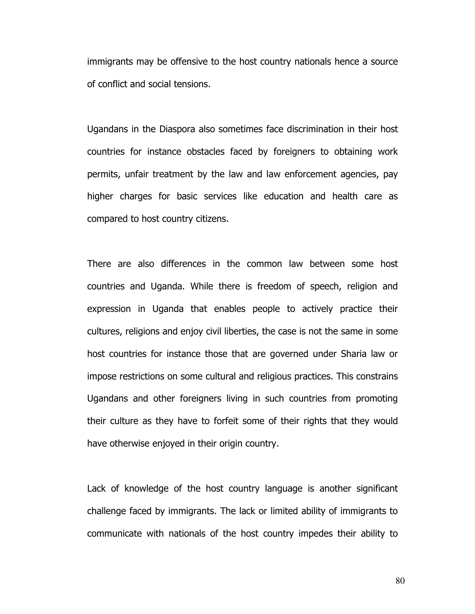immigrants may be offensive to the host country nationals hence a source of conflict and social tensions.

Ugandans in the Diaspora also sometimes face discrimination in their host countries for instance obstacles faced by foreigners to obtaining work permits, unfair treatment by the law and law enforcement agencies, pay higher charges for basic services like education and health care as compared to host country citizens.

There are also differences in the common law between some host countries and Uganda. While there is freedom of speech, religion and expression in Uganda that enables people to actively practice their cultures, religions and enjoy civil liberties, the case is not the same in some host countries for instance those that are governed under Sharia law or impose restrictions on some cultural and religious practices. This constrains Ugandans and other foreigners living in such countries from promoting their culture as they have to forfeit some of their rights that they would have otherwise enjoyed in their origin country.

Lack of knowledge of the host country language is another significant challenge faced by immigrants. The lack or limited ability of immigrants to communicate with nationals of the host country impedes their ability to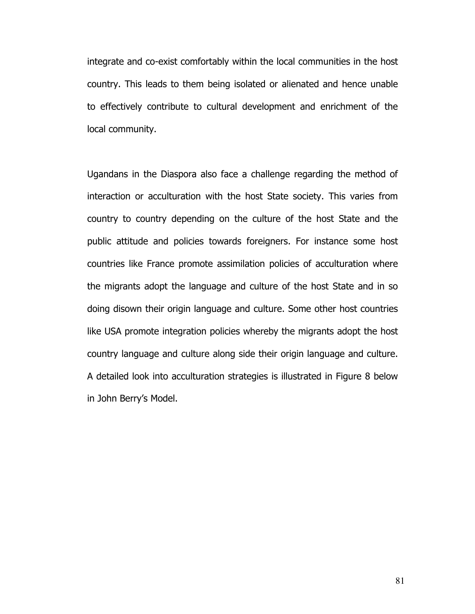integrate and co-exist comfortably within the local communities in the host country. This leads to them being isolated or alienated and hence unable to effectively contribute to cultural development and enrichment of the local community.

Ugandans in the Diaspora also face a challenge regarding the method of interaction or acculturation with the host State society. This varies from country to country depending on the culture of the host State and the public attitude and policies towards foreigners. For instance some host countries like France promote assimilation policies of acculturation where the migrants adopt the language and culture of the host State and in so doing disown their origin language and culture. Some other host countries like USA promote integration policies whereby the migrants adopt the host country language and culture along side their origin language and culture. A detailed look into acculturation strategies is illustrated in Figure 8 below in John Berry's Model.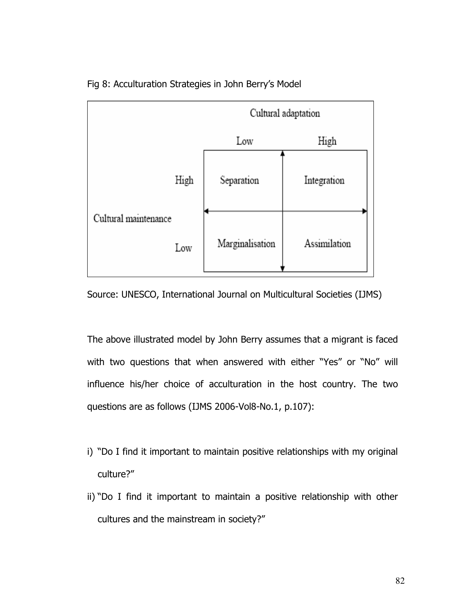

Fig 8: Acculturation Strategies in John Berry's Model

Source: UNESCO, International Journal on Multicultural Societies (IJMS)

The above illustrated model by John Berry assumes that a migrant is faced with two questions that when answered with either "Yes" or "No" will influence his/her choice of acculturation in the host country. The two questions are as follows (IJMS 2006-Vol8-No.1, p.107):

- i) "Do I find it important to maintain positive relationships with my original culture?"
- ii) "Do I find it important to maintain a positive relationship with other cultures and the mainstream in society?"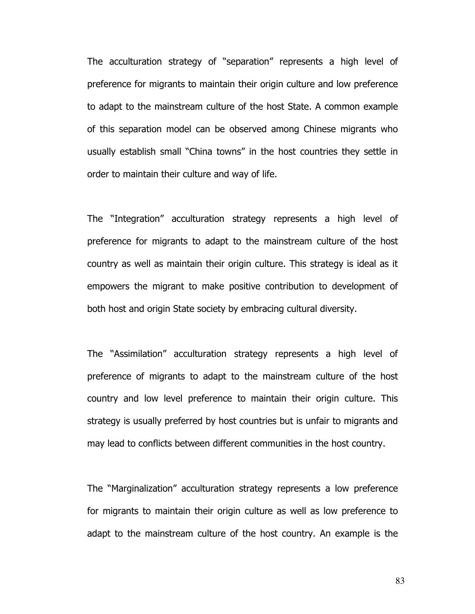The acculturation strategy of "separation" represents a high level of preference for migrants to maintain their origin culture and low preference to adapt to the mainstream culture of the host State. A common example of this separation model can be observed among Chinese migrants who usually establish small "China towns" in the host countries they settle in order to maintain their culture and way of life.

The "Integration" acculturation strategy represents a high level of preference for migrants to adapt to the mainstream culture of the host country as well as maintain their origin culture. This strategy is ideal as it empowers the migrant to make positive contribution to development of both host and origin State society by embracing cultural diversity.

The "Assimilation" acculturation strategy represents a high level of preference of migrants to adapt to the mainstream culture of the host country and low level preference to maintain their origin culture. This strategy is usually preferred by host countries but is unfair to migrants and may lead to conflicts between different communities in the host country.

The "Marginalization" acculturation strategy represents a low preference for migrants to maintain their origin culture as well as low preference to adapt to the mainstream culture of the host country. An example is the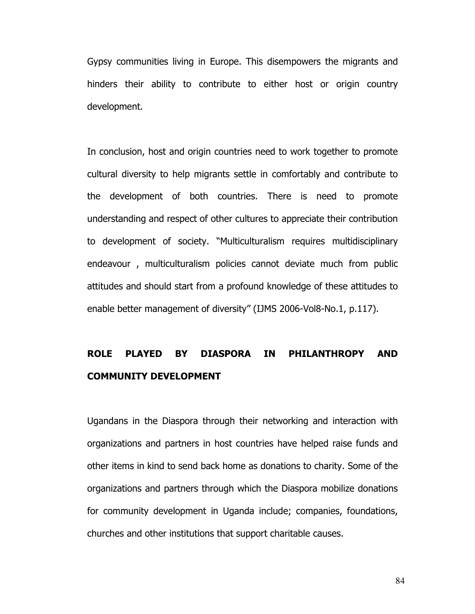Gypsy communities living in Europe. This disempowers the migrants and hinders their ability to contribute to either host or origin country development.

In conclusion, host and origin countries need to work together to promote cultural diversity to help migrants settle in comfortably and contribute to the development of both countries. There is need to promote understanding and respect of other cultures to appreciate their contribution to development of society. "Multiculturalism requires multidisciplinary endeavour , multiculturalism policies cannot deviate much from public attitudes and should start from a profound knowledge of these attitudes to enable better management of diversity" (IJMS 2006-Vol8-No.1, p.117).

## ROLE PLAYED BY DIASPORA IN PHILANTHROPY AND COMMUNITY DEVELOPMENT

Ugandans in the Diaspora through their networking and interaction with organizations and partners in host countries have helped raise funds and other items in kind to send back home as donations to charity. Some of the organizations and partners through which the Diaspora mobilize donations for community development in Uganda include; companies, foundations, churches and other institutions that support charitable causes.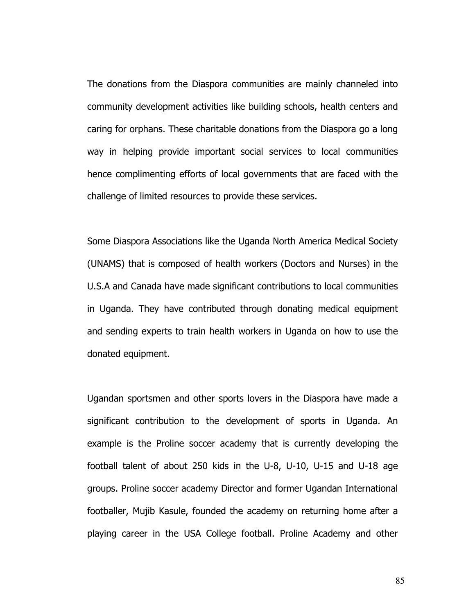The donations from the Diaspora communities are mainly channeled into community development activities like building schools, health centers and caring for orphans. These charitable donations from the Diaspora go a long way in helping provide important social services to local communities hence complimenting efforts of local governments that are faced with the challenge of limited resources to provide these services.

Some Diaspora Associations like the Uganda North America Medical Society (UNAMS) that is composed of health workers (Doctors and Nurses) in the U.S.A and Canada have made significant contributions to local communities in Uganda. They have contributed through donating medical equipment and sending experts to train health workers in Uganda on how to use the donated equipment.

Ugandan sportsmen and other sports lovers in the Diaspora have made a significant contribution to the development of sports in Uganda. An example is the Proline soccer academy that is currently developing the football talent of about 250 kids in the U-8, U-10, U-15 and U-18 age groups. Proline soccer academy Director and former Ugandan International footballer, Mujib Kasule, founded the academy on returning home after a playing career in the USA College football. Proline Academy and other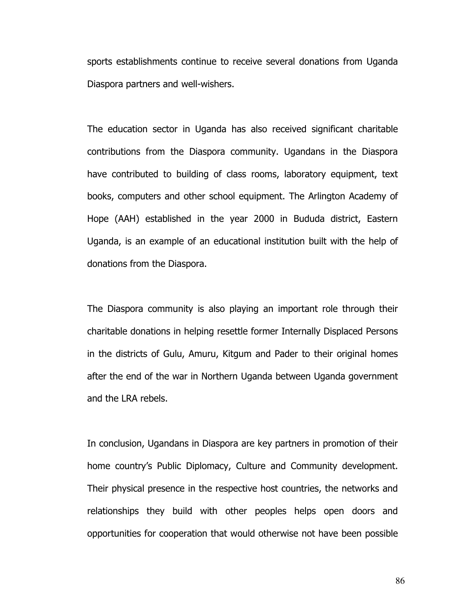sports establishments continue to receive several donations from Uganda Diaspora partners and well-wishers.

The education sector in Uganda has also received significant charitable contributions from the Diaspora community. Ugandans in the Diaspora have contributed to building of class rooms, laboratory equipment, text books, computers and other school equipment. The Arlington Academy of Hope (AAH) established in the year 2000 in Bududa district, Eastern Uganda, is an example of an educational institution built with the help of donations from the Diaspora.

The Diaspora community is also playing an important role through their charitable donations in helping resettle former Internally Displaced Persons in the districts of Gulu, Amuru, Kitgum and Pader to their original homes after the end of the war in Northern Uganda between Uganda government and the LRA rebels.

In conclusion, Ugandans in Diaspora are key partners in promotion of their home country's Public Diplomacy, Culture and Community development. Their physical presence in the respective host countries, the networks and relationships they build with other peoples helps open doors and opportunities for cooperation that would otherwise not have been possible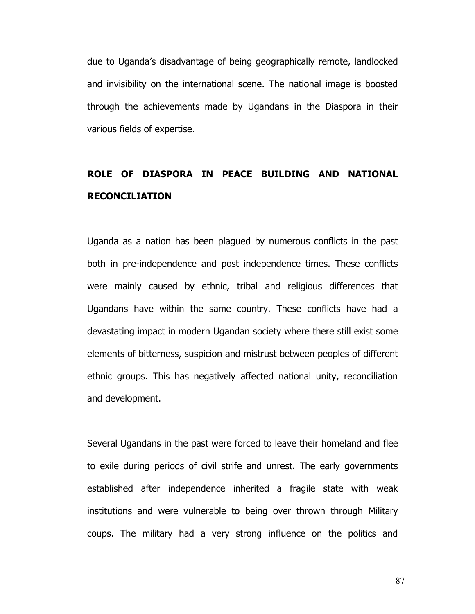due to Uganda's disadvantage of being geographically remote, landlocked and invisibility on the international scene. The national image is boosted through the achievements made by Ugandans in the Diaspora in their various fields of expertise.

### ROLE OF DIASPORA IN PEACE BUILDING AND NATIONAL RECONCILIATION

Uganda as a nation has been plagued by numerous conflicts in the past both in pre-independence and post independence times. These conflicts were mainly caused by ethnic, tribal and religious differences that Ugandans have within the same country. These conflicts have had a devastating impact in modern Ugandan society where there still exist some elements of bitterness, suspicion and mistrust between peoples of different ethnic groups. This has negatively affected national unity, reconciliation and development.

Several Ugandans in the past were forced to leave their homeland and flee to exile during periods of civil strife and unrest. The early governments established after independence inherited a fragile state with weak institutions and were vulnerable to being over thrown through Military coups. The military had a very strong influence on the politics and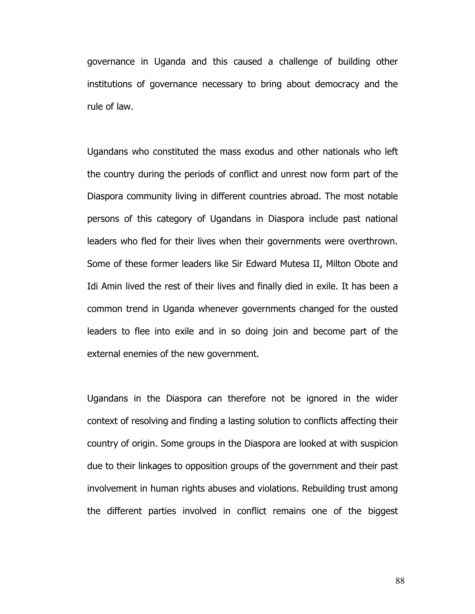governance in Uganda and this caused a challenge of building other institutions of governance necessary to bring about democracy and the rule of law.

Ugandans who constituted the mass exodus and other nationals who left the country during the periods of conflict and unrest now form part of the Diaspora community living in different countries abroad. The most notable persons of this category of Ugandans in Diaspora include past national leaders who fled for their lives when their governments were overthrown. Some of these former leaders like Sir Edward Mutesa II, Milton Obote and Idi Amin lived the rest of their lives and finally died in exile. It has been a common trend in Uganda whenever governments changed for the ousted leaders to flee into exile and in so doing join and become part of the external enemies of the new government.

Ugandans in the Diaspora can therefore not be ignored in the wider context of resolving and finding a lasting solution to conflicts affecting their country of origin. Some groups in the Diaspora are looked at with suspicion due to their linkages to opposition groups of the government and their past involvement in human rights abuses and violations. Rebuilding trust among the different parties involved in conflict remains one of the biggest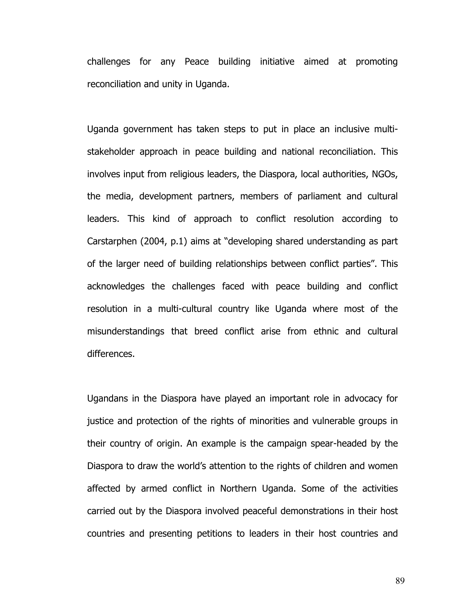challenges for any Peace building initiative aimed at promoting reconciliation and unity in Uganda.

Uganda government has taken steps to put in place an inclusive multistakeholder approach in peace building and national reconciliation. This involves input from religious leaders, the Diaspora, local authorities, NGOs, the media, development partners, members of parliament and cultural leaders. This kind of approach to conflict resolution according to Carstarphen (2004, p.1) aims at "developing shared understanding as part of the larger need of building relationships between conflict parties". This acknowledges the challenges faced with peace building and conflict resolution in a multi-cultural country like Uganda where most of the misunderstandings that breed conflict arise from ethnic and cultural differences.

Ugandans in the Diaspora have played an important role in advocacy for justice and protection of the rights of minorities and vulnerable groups in their country of origin. An example is the campaign spear-headed by the Diaspora to draw the world's attention to the rights of children and women affected by armed conflict in Northern Uganda. Some of the activities carried out by the Diaspora involved peaceful demonstrations in their host countries and presenting petitions to leaders in their host countries and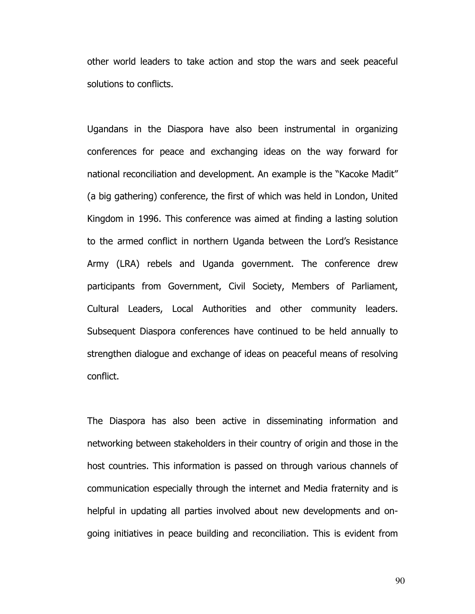other world leaders to take action and stop the wars and seek peaceful solutions to conflicts.

Ugandans in the Diaspora have also been instrumental in organizing conferences for peace and exchanging ideas on the way forward for national reconciliation and development. An example is the "Kacoke Madit" (a big gathering) conference, the first of which was held in London, United Kingdom in 1996. This conference was aimed at finding a lasting solution to the armed conflict in northern Uganda between the Lord's Resistance Army (LRA) rebels and Uganda government. The conference drew participants from Government, Civil Society, Members of Parliament, Cultural Leaders, Local Authorities and other community leaders. Subsequent Diaspora conferences have continued to be held annually to strengthen dialogue and exchange of ideas on peaceful means of resolving conflict.

The Diaspora has also been active in disseminating information and networking between stakeholders in their country of origin and those in the host countries. This information is passed on through various channels of communication especially through the internet and Media fraternity and is helpful in updating all parties involved about new developments and ongoing initiatives in peace building and reconciliation. This is evident from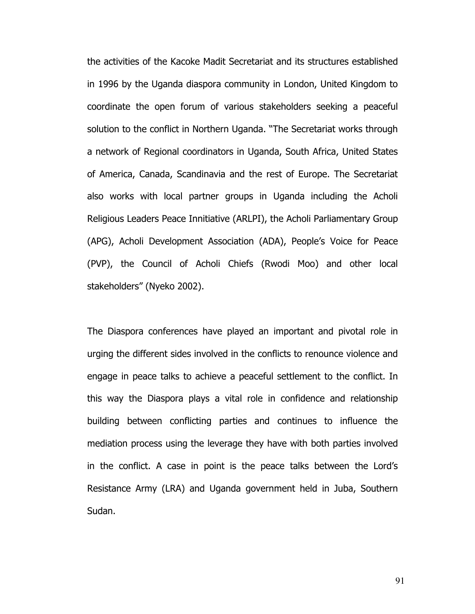the activities of the Kacoke Madit Secretariat and its structures established in 1996 by the Uganda diaspora community in London, United Kingdom to coordinate the open forum of various stakeholders seeking a peaceful solution to the conflict in Northern Uganda. "The Secretariat works through a network of Regional coordinators in Uganda, South Africa, United States of America, Canada, Scandinavia and the rest of Europe. The Secretariat also works with local partner groups in Uganda including the Acholi Religious Leaders Peace Innitiative (ARLPI), the Acholi Parliamentary Group (APG), Acholi Development Association (ADA), People's Voice for Peace (PVP), the Council of Acholi Chiefs (Rwodi Moo) and other local stakeholders" (Nyeko 2002).

The Diaspora conferences have played an important and pivotal role in urging the different sides involved in the conflicts to renounce violence and engage in peace talks to achieve a peaceful settlement to the conflict. In this way the Diaspora plays a vital role in confidence and relationship building between conflicting parties and continues to influence the mediation process using the leverage they have with both parties involved in the conflict. A case in point is the peace talks between the Lord's Resistance Army (LRA) and Uganda government held in Juba, Southern Sudan.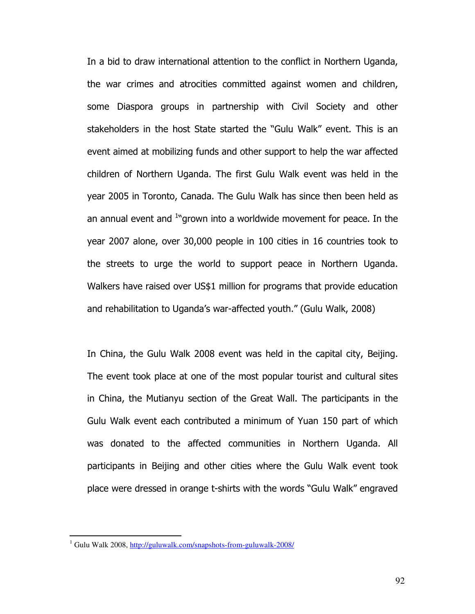In a bid to draw international attention to the conflict in Northern Uganda, the war crimes and atrocities committed against women and children, some Diaspora groups in partnership with Civil Society and other stakeholders in the host State started the "Gulu Walk" event. This is an event aimed at mobilizing funds and other support to help the war affected children of Northern Uganda. The first Gulu Walk event was held in the year 2005 in Toronto, Canada. The Gulu Walk has since then been held as an annual event and <sup>1</sup>"grown into a worldwide movement for peace. In the year 2007 alone, over 30,000 people in 100 cities in 16 countries took to the streets to urge the world to support peace in Northern Uganda. Walkers have raised over US\$1 million for programs that provide education and rehabilitation to Uganda's war-affected youth." (Gulu Walk, 2008)

In China, the Gulu Walk 2008 event was held in the capital city, Beijing. The event took place at one of the most popular tourist and cultural sites in China, the Mutianyu section of the Great Wall. The participants in the Gulu Walk event each contributed a minimum of Yuan 150 part of which was donated to the affected communities in Northern Uganda. All participants in Beijing and other cities where the Gulu Walk event took place were dressed in orange t-shirts with the words "Gulu Walk" engraved

<sup>&</sup>lt;sup>1</sup> Gulu Walk 2008, <u>http://guluwalk.com/snapshots-from-guluwalk-2008/</u>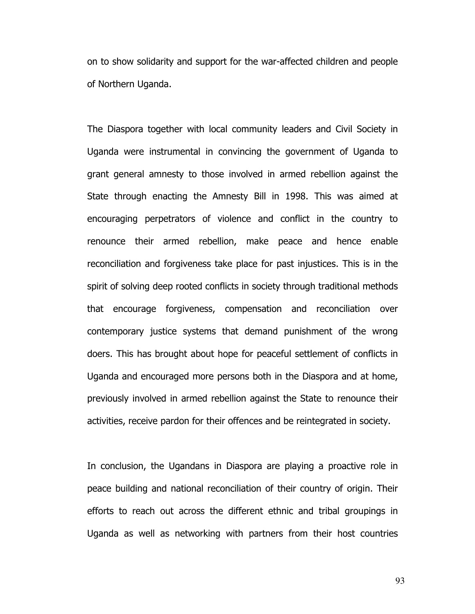on to show solidarity and support for the war-affected children and people of Northern Uganda.

The Diaspora together with local community leaders and Civil Society in Uganda were instrumental in convincing the government of Uganda to grant general amnesty to those involved in armed rebellion against the State through enacting the Amnesty Bill in 1998. This was aimed at encouraging perpetrators of violence and conflict in the country to renounce their armed rebellion, make peace and hence enable reconciliation and forgiveness take place for past injustices. This is in the spirit of solving deep rooted conflicts in society through traditional methods that encourage forgiveness, compensation and reconciliation over contemporary justice systems that demand punishment of the wrong doers. This has brought about hope for peaceful settlement of conflicts in Uganda and encouraged more persons both in the Diaspora and at home, previously involved in armed rebellion against the State to renounce their activities, receive pardon for their offences and be reintegrated in society.

In conclusion, the Ugandans in Diaspora are playing a proactive role in peace building and national reconciliation of their country of origin. Their efforts to reach out across the different ethnic and tribal groupings in Uganda as well as networking with partners from their host countries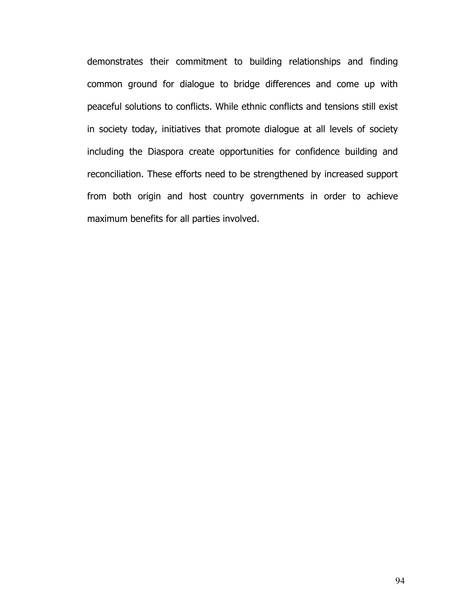demonstrates their commitment to building relationships and finding common ground for dialogue to bridge differences and come up with peaceful solutions to conflicts. While ethnic conflicts and tensions still exist in society today, initiatives that promote dialogue at all levels of society including the Diaspora create opportunities for confidence building and reconciliation. These efforts need to be strengthened by increased support from both origin and host country governments in order to achieve maximum benefits for all parties involved.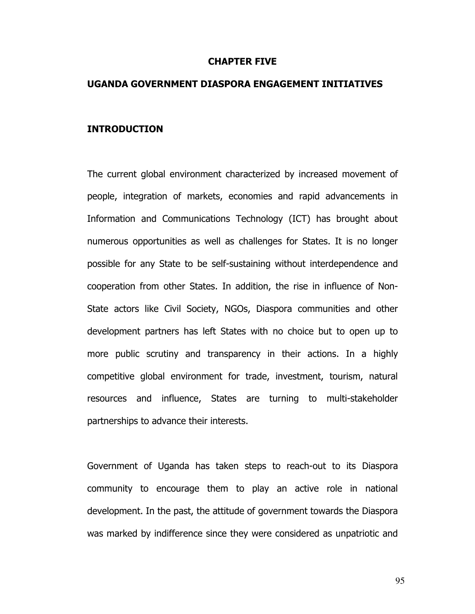#### CHAPTER FIVE

#### UGANDA GOVERNMENT DIASPORA ENGAGEMENT INITIATIVES

#### INTRODUCTION

The current global environment characterized by increased movement of people, integration of markets, economies and rapid advancements in Information and Communications Technology (ICT) has brought about numerous opportunities as well as challenges for States. It is no longer possible for any State to be self-sustaining without interdependence and cooperation from other States. In addition, the rise in influence of Non-State actors like Civil Society, NGOs, Diaspora communities and other development partners has left States with no choice but to open up to more public scrutiny and transparency in their actions. In a highly competitive global environment for trade, investment, tourism, natural resources and influence, States are turning to multi-stakeholder partnerships to advance their interests.

Government of Uganda has taken steps to reach-out to its Diaspora community to encourage them to play an active role in national development. In the past, the attitude of government towards the Diaspora was marked by indifference since they were considered as unpatriotic and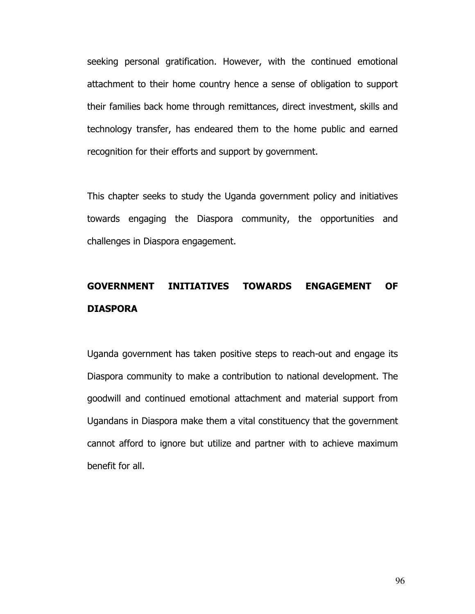seeking personal gratification. However, with the continued emotional attachment to their home country hence a sense of obligation to support their families back home through remittances, direct investment, skills and technology transfer, has endeared them to the home public and earned recognition for their efforts and support by government.

This chapter seeks to study the Uganda government policy and initiatives towards engaging the Diaspora community, the opportunities and challenges in Diaspora engagement.

## GOVERNMENT INITIATIVES TOWARDS ENGAGEMENT OF DIASPORA

Uganda government has taken positive steps to reach-out and engage its Diaspora community to make a contribution to national development. The goodwill and continued emotional attachment and material support from Ugandans in Diaspora make them a vital constituency that the government cannot afford to ignore but utilize and partner with to achieve maximum benefit for all.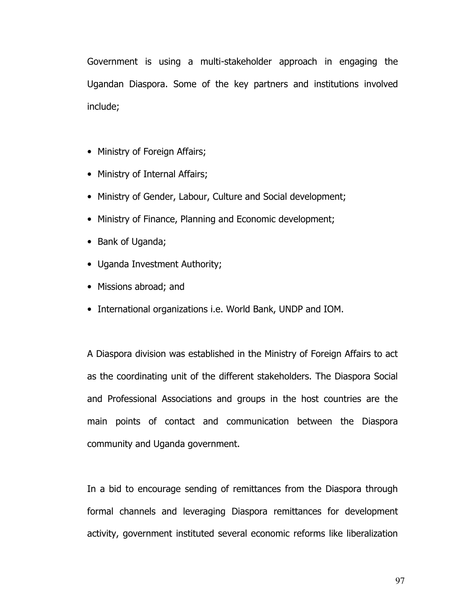Government is using a multi-stakeholder approach in engaging the Ugandan Diaspora. Some of the key partners and institutions involved include;

- Ministry of Foreign Affairs;
- Ministry of Internal Affairs;
- Ministry of Gender, Labour, Culture and Social development;
- Ministry of Finance, Planning and Economic development;
- Bank of Uganda;
- Uganda Investment Authority;
- Missions abroad; and
- International organizations i.e. World Bank, UNDP and IOM.

A Diaspora division was established in the Ministry of Foreign Affairs to act as the coordinating unit of the different stakeholders. The Diaspora Social and Professional Associations and groups in the host countries are the main points of contact and communication between the Diaspora community and Uganda government.

In a bid to encourage sending of remittances from the Diaspora through formal channels and leveraging Diaspora remittances for development activity, government instituted several economic reforms like liberalization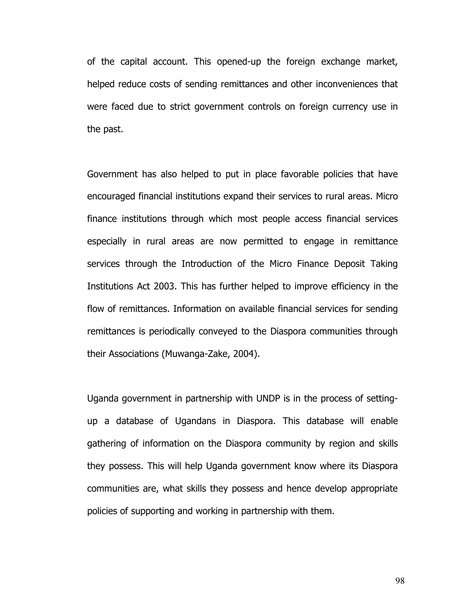of the capital account. This opened-up the foreign exchange market, helped reduce costs of sending remittances and other inconveniences that were faced due to strict government controls on foreign currency use in the past.

Government has also helped to put in place favorable policies that have encouraged financial institutions expand their services to rural areas. Micro finance institutions through which most people access financial services especially in rural areas are now permitted to engage in remittance services through the Introduction of the Micro Finance Deposit Taking Institutions Act 2003. This has further helped to improve efficiency in the flow of remittances. Information on available financial services for sending remittances is periodically conveyed to the Diaspora communities through their Associations (Muwanga-Zake, 2004).

Uganda government in partnership with UNDP is in the process of settingup a database of Ugandans in Diaspora. This database will enable gathering of information on the Diaspora community by region and skills they possess. This will help Uganda government know where its Diaspora communities are, what skills they possess and hence develop appropriate policies of supporting and working in partnership with them.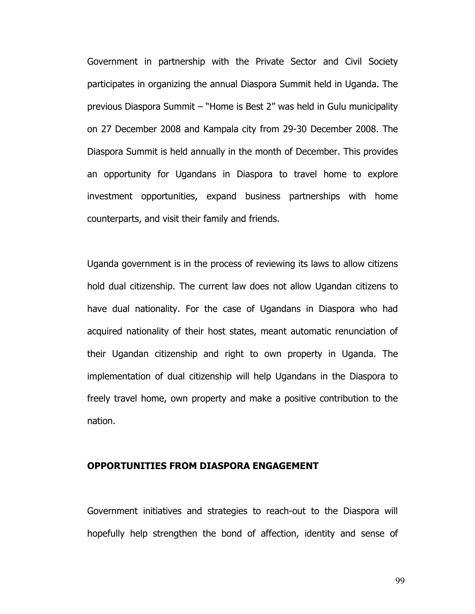Government in partnership with the Private Sector and Civil Society participates in organizing the annual Diaspora Summit held in Uganda. The previous Diaspora Summit – "Home is Best 2" was held in Gulu municipality on 27 December 2008 and Kampala city from 29-30 December 2008. The Diaspora Summit is held annually in the month of December. This provides an opportunity for Ugandans in Diaspora to travel home to explore investment opportunities, expand business partnerships with home counterparts, and visit their family and friends.

Uganda government is in the process of reviewing its laws to allow citizens hold dual citizenship. The current law does not allow Ugandan citizens to have dual nationality. For the case of Ugandans in Diaspora who had acquired nationality of their host states, meant automatic renunciation of their Ugandan citizenship and right to own property in Uganda. The implementation of dual citizenship will help Ugandans in the Diaspora to freely travel home, own property and make a positive contribution to the nation.

### OPPORTUNITIES FROM DIASPORA ENGAGEMENT

Government initiatives and strategies to reach-out to the Diaspora will hopefully help strengthen the bond of affection, identity and sense of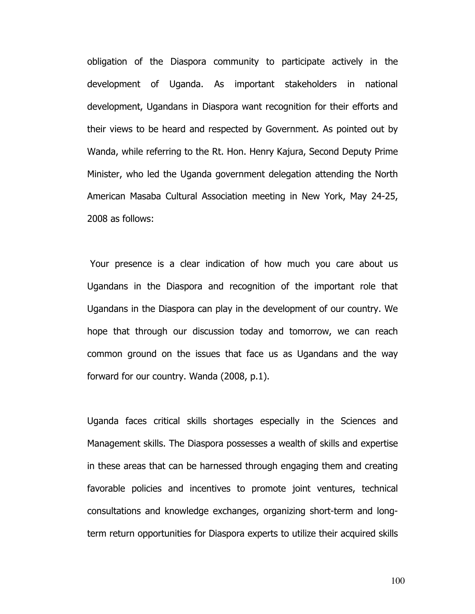obligation of the Diaspora community to participate actively in the development of Uganda. As important stakeholders in national development, Ugandans in Diaspora want recognition for their efforts and their views to be heard and respected by Government. As pointed out by Wanda, while referring to the Rt. Hon. Henry Kajura, Second Deputy Prime Minister, who led the Uganda government delegation attending the North American Masaba Cultural Association meeting in New York, May 24-25, 2008 as follows:

 Your presence is a clear indication of how much you care about us Ugandans in the Diaspora and recognition of the important role that Ugandans in the Diaspora can play in the development of our country. We hope that through our discussion today and tomorrow, we can reach common ground on the issues that face us as Ugandans and the way forward for our country. Wanda (2008, p.1).

Uganda faces critical skills shortages especially in the Sciences and Management skills. The Diaspora possesses a wealth of skills and expertise in these areas that can be harnessed through engaging them and creating favorable policies and incentives to promote joint ventures, technical consultations and knowledge exchanges, organizing short-term and longterm return opportunities for Diaspora experts to utilize their acquired skills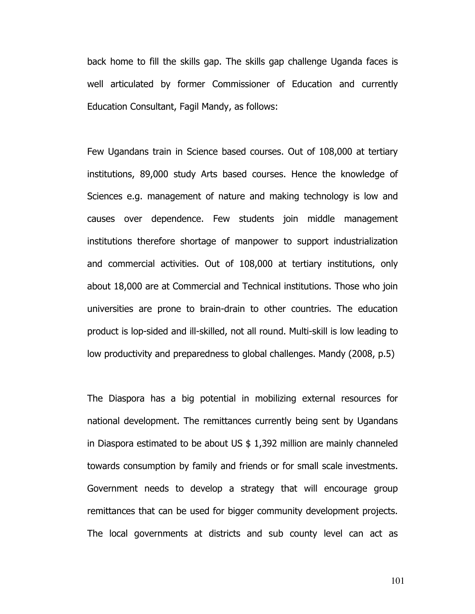back home to fill the skills gap. The skills gap challenge Uganda faces is well articulated by former Commissioner of Education and currently Education Consultant, Fagil Mandy, as follows:

Few Ugandans train in Science based courses. Out of 108,000 at tertiary institutions, 89,000 study Arts based courses. Hence the knowledge of Sciences e.g. management of nature and making technology is low and causes over dependence. Few students join middle management institutions therefore shortage of manpower to support industrialization and commercial activities. Out of 108,000 at tertiary institutions, only about 18,000 are at Commercial and Technical institutions. Those who join universities are prone to brain-drain to other countries. The education product is lop-sided and ill-skilled, not all round. Multi-skill is low leading to low productivity and preparedness to global challenges. Mandy (2008, p.5)

The Diaspora has a big potential in mobilizing external resources for national development. The remittances currently being sent by Ugandans in Diaspora estimated to be about US \$ 1,392 million are mainly channeled towards consumption by family and friends or for small scale investments. Government needs to develop a strategy that will encourage group remittances that can be used for bigger community development projects. The local governments at districts and sub county level can act as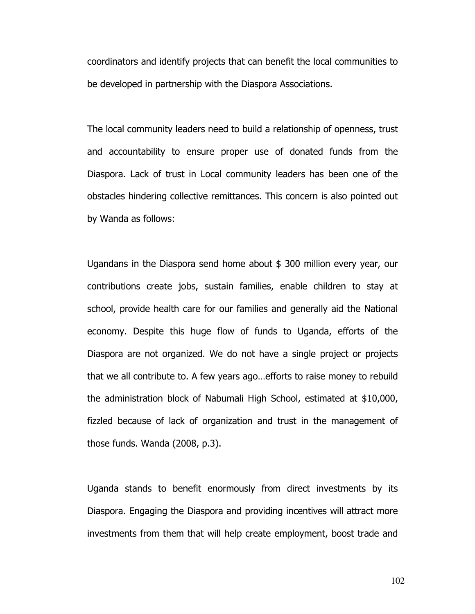coordinators and identify projects that can benefit the local communities to be developed in partnership with the Diaspora Associations.

The local community leaders need to build a relationship of openness, trust and accountability to ensure proper use of donated funds from the Diaspora. Lack of trust in Local community leaders has been one of the obstacles hindering collective remittances. This concern is also pointed out by Wanda as follows:

Ugandans in the Diaspora send home about \$ 300 million every year, our contributions create jobs, sustain families, enable children to stay at school, provide health care for our families and generally aid the National economy. Despite this huge flow of funds to Uganda, efforts of the Diaspora are not organized. We do not have a single project or projects that we all contribute to. A few years ago…efforts to raise money to rebuild the administration block of Nabumali High School, estimated at \$10,000, fizzled because of lack of organization and trust in the management of those funds. Wanda (2008, p.3).

Uganda stands to benefit enormously from direct investments by its Diaspora. Engaging the Diaspora and providing incentives will attract more investments from them that will help create employment, boost trade and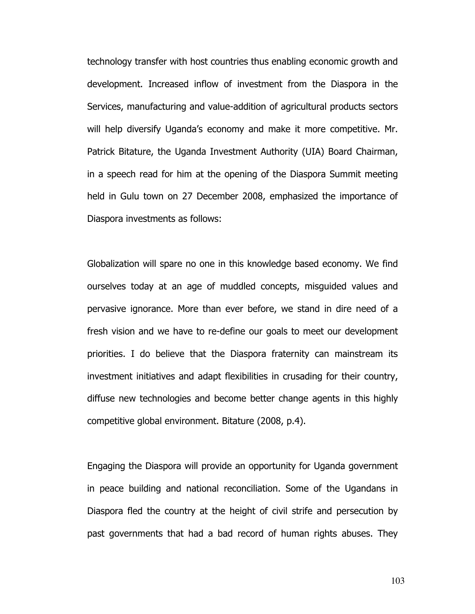technology transfer with host countries thus enabling economic growth and development. Increased inflow of investment from the Diaspora in the Services, manufacturing and value-addition of agricultural products sectors will help diversify Uganda's economy and make it more competitive. Mr. Patrick Bitature, the Uganda Investment Authority (UIA) Board Chairman, in a speech read for him at the opening of the Diaspora Summit meeting held in Gulu town on 27 December 2008, emphasized the importance of Diaspora investments as follows:

Globalization will spare no one in this knowledge based economy. We find ourselves today at an age of muddled concepts, misguided values and pervasive ignorance. More than ever before, we stand in dire need of a fresh vision and we have to re-define our goals to meet our development priorities. I do believe that the Diaspora fraternity can mainstream its investment initiatives and adapt flexibilities in crusading for their country, diffuse new technologies and become better change agents in this highly competitive global environment. Bitature (2008, p.4).

Engaging the Diaspora will provide an opportunity for Uganda government in peace building and national reconciliation. Some of the Ugandans in Diaspora fled the country at the height of civil strife and persecution by past governments that had a bad record of human rights abuses. They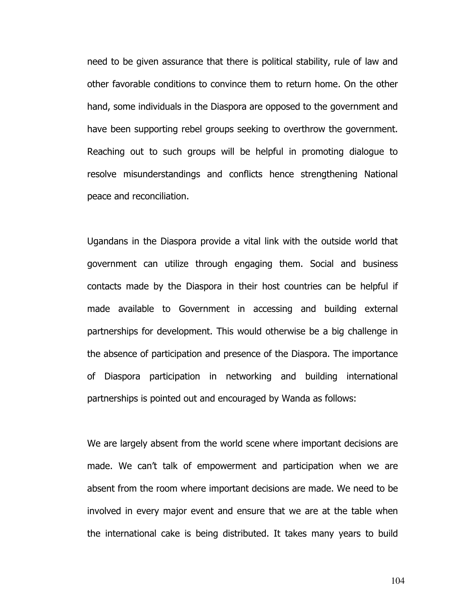need to be given assurance that there is political stability, rule of law and other favorable conditions to convince them to return home. On the other hand, some individuals in the Diaspora are opposed to the government and have been supporting rebel groups seeking to overthrow the government. Reaching out to such groups will be helpful in promoting dialogue to resolve misunderstandings and conflicts hence strengthening National peace and reconciliation.

Ugandans in the Diaspora provide a vital link with the outside world that government can utilize through engaging them. Social and business contacts made by the Diaspora in their host countries can be helpful if made available to Government in accessing and building external partnerships for development. This would otherwise be a big challenge in the absence of participation and presence of the Diaspora. The importance of Diaspora participation in networking and building international partnerships is pointed out and encouraged by Wanda as follows:

We are largely absent from the world scene where important decisions are made. We can't talk of empowerment and participation when we are absent from the room where important decisions are made. We need to be involved in every major event and ensure that we are at the table when the international cake is being distributed. It takes many years to build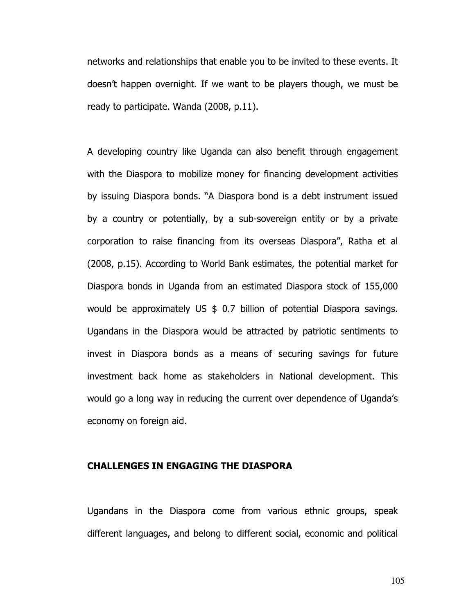networks and relationships that enable you to be invited to these events. It doesn't happen overnight. If we want to be players though, we must be ready to participate. Wanda (2008, p.11).

A developing country like Uganda can also benefit through engagement with the Diaspora to mobilize money for financing development activities by issuing Diaspora bonds. "A Diaspora bond is a debt instrument issued by a country or potentially, by a sub-sovereign entity or by a private corporation to raise financing from its overseas Diaspora", Ratha et al (2008, p.15). According to World Bank estimates, the potential market for Diaspora bonds in Uganda from an estimated Diaspora stock of 155,000 would be approximately US \$ 0.7 billion of potential Diaspora savings. Ugandans in the Diaspora would be attracted by patriotic sentiments to invest in Diaspora bonds as a means of securing savings for future investment back home as stakeholders in National development. This would go a long way in reducing the current over dependence of Uganda's economy on foreign aid.

### CHALLENGES IN ENGAGING THE DIASPORA

Ugandans in the Diaspora come from various ethnic groups, speak different languages, and belong to different social, economic and political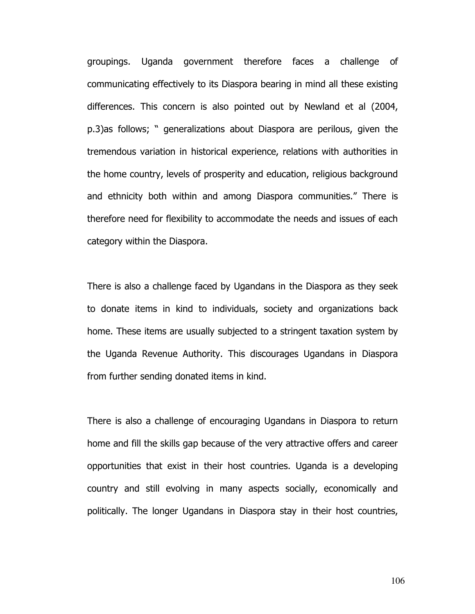groupings. Uganda government therefore faces a challenge of communicating effectively to its Diaspora bearing in mind all these existing differences. This concern is also pointed out by Newland et al (2004, p.3)as follows; " generalizations about Diaspora are perilous, given the tremendous variation in historical experience, relations with authorities in the home country, levels of prosperity and education, religious background and ethnicity both within and among Diaspora communities." There is therefore need for flexibility to accommodate the needs and issues of each category within the Diaspora.

There is also a challenge faced by Ugandans in the Diaspora as they seek to donate items in kind to individuals, society and organizations back home. These items are usually subjected to a stringent taxation system by the Uganda Revenue Authority. This discourages Ugandans in Diaspora from further sending donated items in kind.

There is also a challenge of encouraging Ugandans in Diaspora to return home and fill the skills gap because of the very attractive offers and career opportunities that exist in their host countries. Uganda is a developing country and still evolving in many aspects socially, economically and politically. The longer Ugandans in Diaspora stay in their host countries,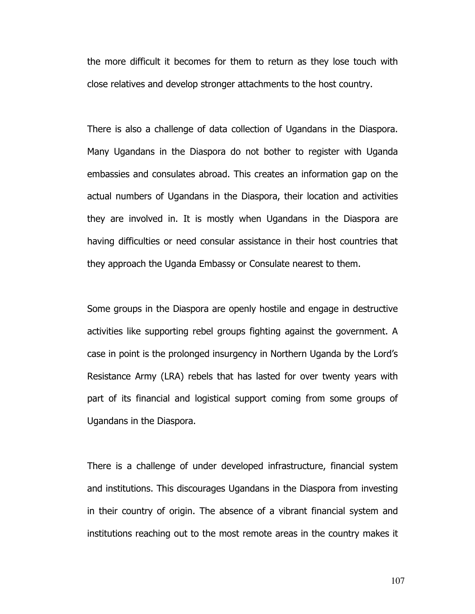the more difficult it becomes for them to return as they lose touch with close relatives and develop stronger attachments to the host country.

There is also a challenge of data collection of Ugandans in the Diaspora. Many Ugandans in the Diaspora do not bother to register with Uganda embassies and consulates abroad. This creates an information gap on the actual numbers of Ugandans in the Diaspora, their location and activities they are involved in. It is mostly when Ugandans in the Diaspora are having difficulties or need consular assistance in their host countries that they approach the Uganda Embassy or Consulate nearest to them.

Some groups in the Diaspora are openly hostile and engage in destructive activities like supporting rebel groups fighting against the government. A case in point is the prolonged insurgency in Northern Uganda by the Lord's Resistance Army (LRA) rebels that has lasted for over twenty years with part of its financial and logistical support coming from some groups of Ugandans in the Diaspora.

There is a challenge of under developed infrastructure, financial system and institutions. This discourages Ugandans in the Diaspora from investing in their country of origin. The absence of a vibrant financial system and institutions reaching out to the most remote areas in the country makes it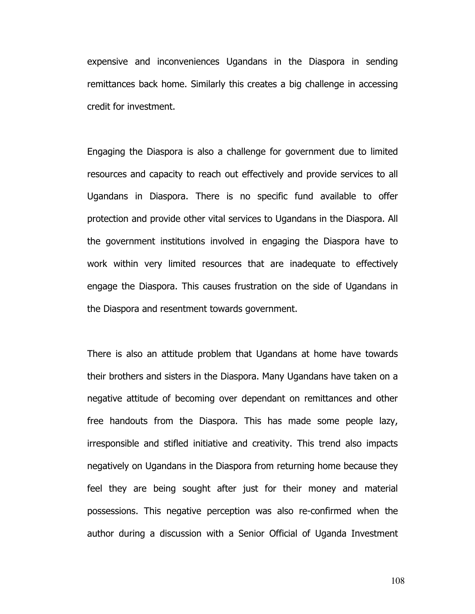expensive and inconveniences Ugandans in the Diaspora in sending remittances back home. Similarly this creates a big challenge in accessing credit for investment.

Engaging the Diaspora is also a challenge for government due to limited resources and capacity to reach out effectively and provide services to all Ugandans in Diaspora. There is no specific fund available to offer protection and provide other vital services to Ugandans in the Diaspora. All the government institutions involved in engaging the Diaspora have to work within very limited resources that are inadequate to effectively engage the Diaspora. This causes frustration on the side of Ugandans in the Diaspora and resentment towards government.

There is also an attitude problem that Ugandans at home have towards their brothers and sisters in the Diaspora. Many Ugandans have taken on a negative attitude of becoming over dependant on remittances and other free handouts from the Diaspora. This has made some people lazy, irresponsible and stifled initiative and creativity. This trend also impacts negatively on Ugandans in the Diaspora from returning home because they feel they are being sought after just for their money and material possessions. This negative perception was also re-confirmed when the author during a discussion with a Senior Official of Uganda Investment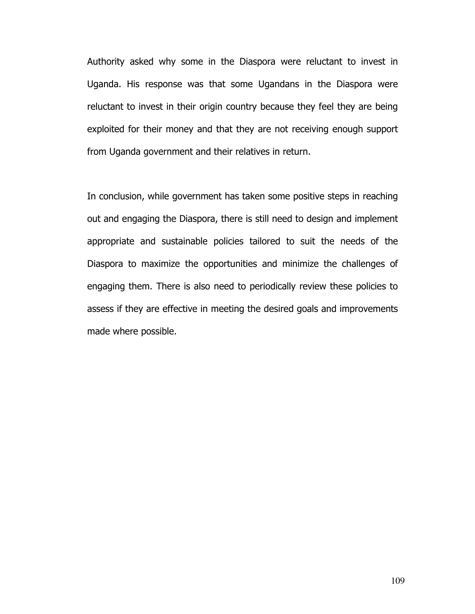Authority asked why some in the Diaspora were reluctant to invest in Uganda. His response was that some Ugandans in the Diaspora were reluctant to invest in their origin country because they feel they are being exploited for their money and that they are not receiving enough support from Uganda government and their relatives in return.

In conclusion, while government has taken some positive steps in reaching out and engaging the Diaspora, there is still need to design and implement appropriate and sustainable policies tailored to suit the needs of the Diaspora to maximize the opportunities and minimize the challenges of engaging them. There is also need to periodically review these policies to assess if they are effective in meeting the desired goals and improvements made where possible.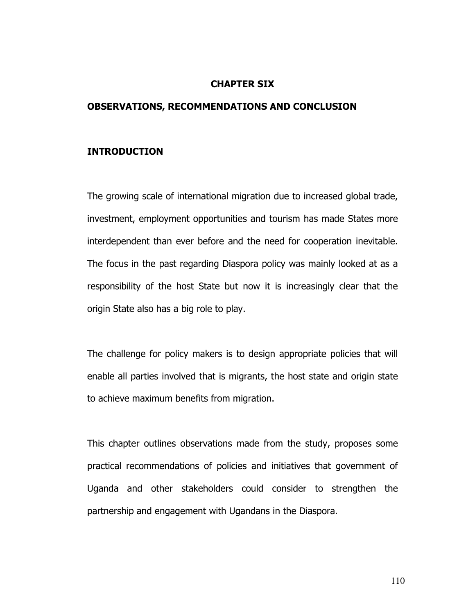### CHAPTER SIX

### OBSERVATIONS, RECOMMENDATIONS AND CONCLUSION

# INTRODUCTION

The growing scale of international migration due to increased global trade, investment, employment opportunities and tourism has made States more interdependent than ever before and the need for cooperation inevitable. The focus in the past regarding Diaspora policy was mainly looked at as a responsibility of the host State but now it is increasingly clear that the origin State also has a big role to play.

The challenge for policy makers is to design appropriate policies that will enable all parties involved that is migrants, the host state and origin state to achieve maximum benefits from migration.

This chapter outlines observations made from the study, proposes some practical recommendations of policies and initiatives that government of Uganda and other stakeholders could consider to strengthen the partnership and engagement with Ugandans in the Diaspora.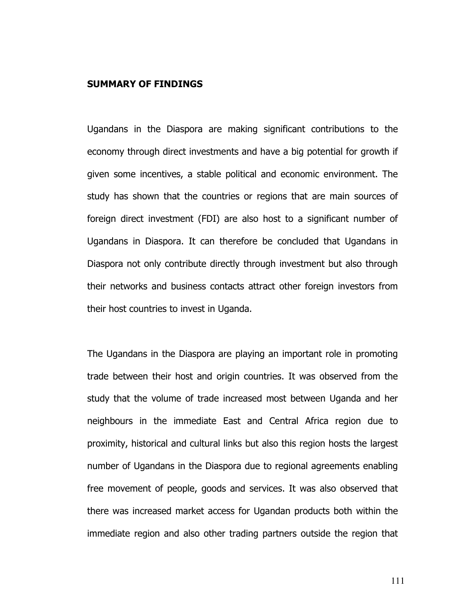### SUMMARY OF FINDINGS

Ugandans in the Diaspora are making significant contributions to the economy through direct investments and have a big potential for growth if given some incentives, a stable political and economic environment. The study has shown that the countries or regions that are main sources of foreign direct investment (FDI) are also host to a significant number of Ugandans in Diaspora. It can therefore be concluded that Ugandans in Diaspora not only contribute directly through investment but also through their networks and business contacts attract other foreign investors from their host countries to invest in Uganda.

The Ugandans in the Diaspora are playing an important role in promoting trade between their host and origin countries. It was observed from the study that the volume of trade increased most between Uganda and her neighbours in the immediate East and Central Africa region due to proximity, historical and cultural links but also this region hosts the largest number of Ugandans in the Diaspora due to regional agreements enabling free movement of people, goods and services. It was also observed that there was increased market access for Ugandan products both within the immediate region and also other trading partners outside the region that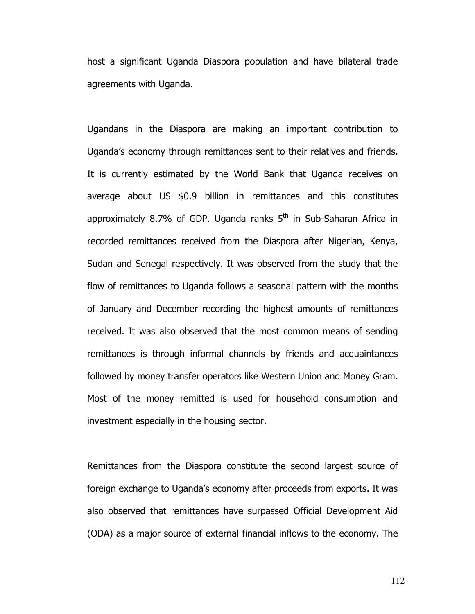host a significant Uganda Diaspora population and have bilateral trade agreements with Uganda.

Ugandans in the Diaspora are making an important contribution to Uganda's economy through remittances sent to their relatives and friends. It is currently estimated by the World Bank that Uganda receives on average about US \$0.9 billion in remittances and this constitutes approximately 8.7% of GDP. Uganda ranks  $5<sup>th</sup>$  in Sub-Saharan Africa in recorded remittances received from the Diaspora after Nigerian, Kenya, Sudan and Senegal respectively. It was observed from the study that the flow of remittances to Uganda follows a seasonal pattern with the months of January and December recording the highest amounts of remittances received. It was also observed that the most common means of sending remittances is through informal channels by friends and acquaintances followed by money transfer operators like Western Union and Money Gram. Most of the money remitted is used for household consumption and investment especially in the housing sector.

Remittances from the Diaspora constitute the second largest source of foreign exchange to Uganda's economy after proceeds from exports. It was also observed that remittances have surpassed Official Development Aid (ODA) as a major source of external financial inflows to the economy. The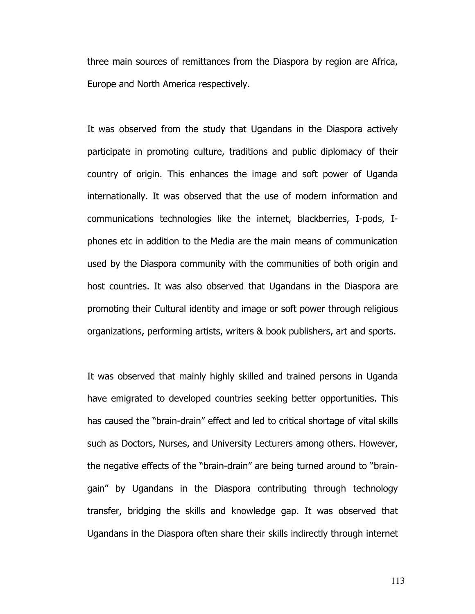three main sources of remittances from the Diaspora by region are Africa, Europe and North America respectively.

It was observed from the study that Ugandans in the Diaspora actively participate in promoting culture, traditions and public diplomacy of their country of origin. This enhances the image and soft power of Uganda internationally. It was observed that the use of modern information and communications technologies like the internet, blackberries, I-pods, Iphones etc in addition to the Media are the main means of communication used by the Diaspora community with the communities of both origin and host countries. It was also observed that Ugandans in the Diaspora are promoting their Cultural identity and image or soft power through religious organizations, performing artists, writers & book publishers, art and sports.

It was observed that mainly highly skilled and trained persons in Uganda have emigrated to developed countries seeking better opportunities. This has caused the "brain-drain" effect and led to critical shortage of vital skills such as Doctors, Nurses, and University Lecturers among others. However, the negative effects of the "brain-drain" are being turned around to "braingain" by Ugandans in the Diaspora contributing through technology transfer, bridging the skills and knowledge gap. It was observed that Ugandans in the Diaspora often share their skills indirectly through internet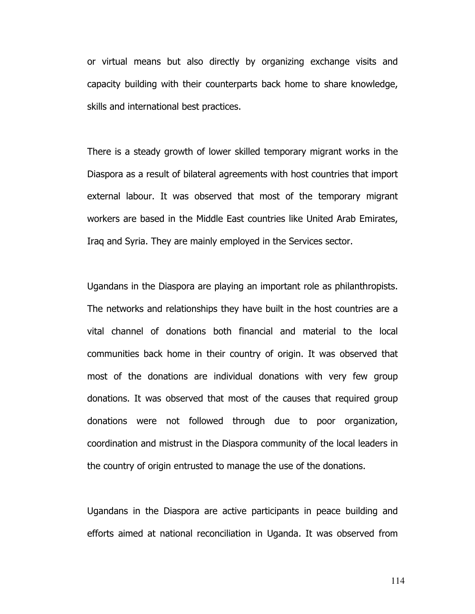or virtual means but also directly by organizing exchange visits and capacity building with their counterparts back home to share knowledge, skills and international best practices.

There is a steady growth of lower skilled temporary migrant works in the Diaspora as a result of bilateral agreements with host countries that import external labour. It was observed that most of the temporary migrant workers are based in the Middle East countries like United Arab Emirates, Iraq and Syria. They are mainly employed in the Services sector.

Ugandans in the Diaspora are playing an important role as philanthropists. The networks and relationships they have built in the host countries are a vital channel of donations both financial and material to the local communities back home in their country of origin. It was observed that most of the donations are individual donations with very few group donations. It was observed that most of the causes that required group donations were not followed through due to poor organization, coordination and mistrust in the Diaspora community of the local leaders in the country of origin entrusted to manage the use of the donations.

Ugandans in the Diaspora are active participants in peace building and efforts aimed at national reconciliation in Uganda. It was observed from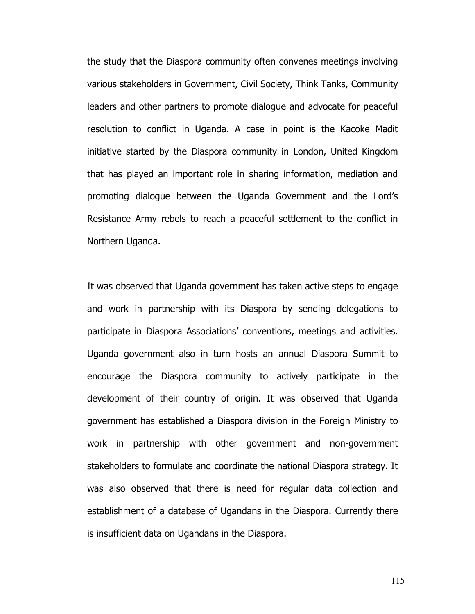the study that the Diaspora community often convenes meetings involving various stakeholders in Government, Civil Society, Think Tanks, Community leaders and other partners to promote dialogue and advocate for peaceful resolution to conflict in Uganda. A case in point is the Kacoke Madit initiative started by the Diaspora community in London, United Kingdom that has played an important role in sharing information, mediation and promoting dialogue between the Uganda Government and the Lord's Resistance Army rebels to reach a peaceful settlement to the conflict in Northern Uganda.

It was observed that Uganda government has taken active steps to engage and work in partnership with its Diaspora by sending delegations to participate in Diaspora Associations' conventions, meetings and activities. Uganda government also in turn hosts an annual Diaspora Summit to encourage the Diaspora community to actively participate in the development of their country of origin. It was observed that Uganda government has established a Diaspora division in the Foreign Ministry to work in partnership with other government and non-government stakeholders to formulate and coordinate the national Diaspora strategy. It was also observed that there is need for regular data collection and establishment of a database of Ugandans in the Diaspora. Currently there is insufficient data on Ugandans in the Diaspora.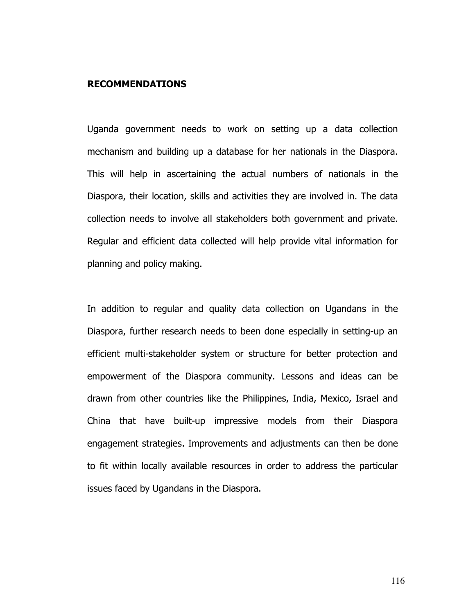### RECOMMENDATIONS

Uganda government needs to work on setting up a data collection mechanism and building up a database for her nationals in the Diaspora. This will help in ascertaining the actual numbers of nationals in the Diaspora, their location, skills and activities they are involved in. The data collection needs to involve all stakeholders both government and private. Regular and efficient data collected will help provide vital information for planning and policy making.

In addition to regular and quality data collection on Ugandans in the Diaspora, further research needs to been done especially in setting-up an efficient multi-stakeholder system or structure for better protection and empowerment of the Diaspora community. Lessons and ideas can be drawn from other countries like the Philippines, India, Mexico, Israel and China that have built-up impressive models from their Diaspora engagement strategies. Improvements and adjustments can then be done to fit within locally available resources in order to address the particular issues faced by Ugandans in the Diaspora.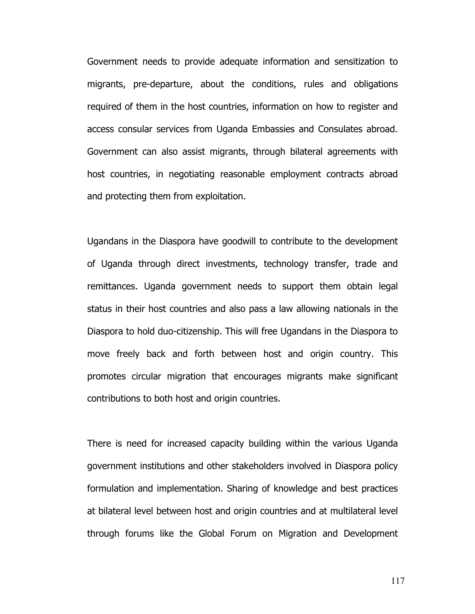Government needs to provide adequate information and sensitization to migrants, pre-departure, about the conditions, rules and obligations required of them in the host countries, information on how to register and access consular services from Uganda Embassies and Consulates abroad. Government can also assist migrants, through bilateral agreements with host countries, in negotiating reasonable employment contracts abroad and protecting them from exploitation.

Ugandans in the Diaspora have goodwill to contribute to the development of Uganda through direct investments, technology transfer, trade and remittances. Uganda government needs to support them obtain legal status in their host countries and also pass a law allowing nationals in the Diaspora to hold duo-citizenship. This will free Ugandans in the Diaspora to move freely back and forth between host and origin country. This promotes circular migration that encourages migrants make significant contributions to both host and origin countries.

There is need for increased capacity building within the various Uganda government institutions and other stakeholders involved in Diaspora policy formulation and implementation. Sharing of knowledge and best practices at bilateral level between host and origin countries and at multilateral level through forums like the Global Forum on Migration and Development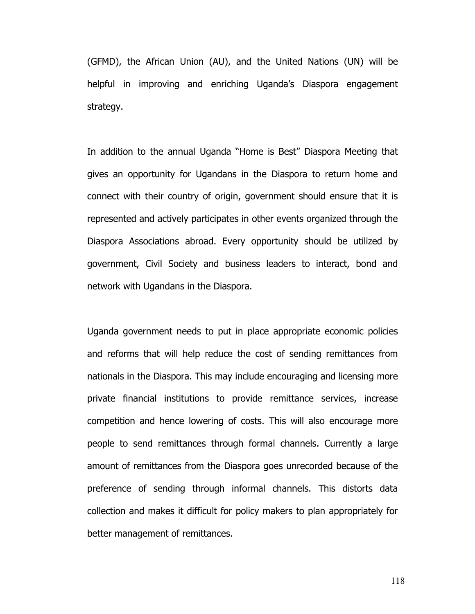(GFMD), the African Union (AU), and the United Nations (UN) will be helpful in improving and enriching Uganda's Diaspora engagement strategy.

In addition to the annual Uganda "Home is Best" Diaspora Meeting that gives an opportunity for Ugandans in the Diaspora to return home and connect with their country of origin, government should ensure that it is represented and actively participates in other events organized through the Diaspora Associations abroad. Every opportunity should be utilized by government, Civil Society and business leaders to interact, bond and network with Ugandans in the Diaspora.

Uganda government needs to put in place appropriate economic policies and reforms that will help reduce the cost of sending remittances from nationals in the Diaspora. This may include encouraging and licensing more private financial institutions to provide remittance services, increase competition and hence lowering of costs. This will also encourage more people to send remittances through formal channels. Currently a large amount of remittances from the Diaspora goes unrecorded because of the preference of sending through informal channels. This distorts data collection and makes it difficult for policy makers to plan appropriately for better management of remittances.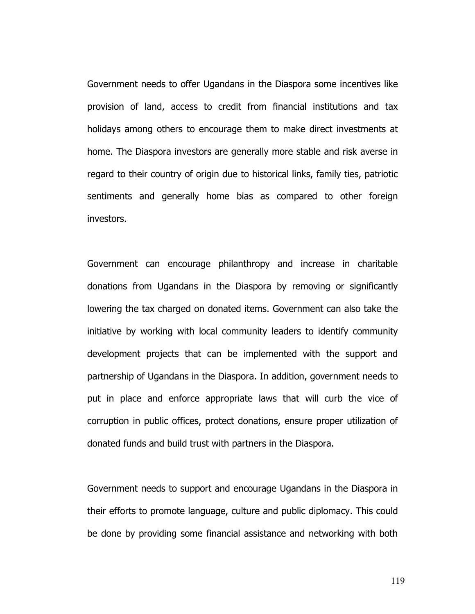Government needs to offer Ugandans in the Diaspora some incentives like provision of land, access to credit from financial institutions and tax holidays among others to encourage them to make direct investments at home. The Diaspora investors are generally more stable and risk averse in regard to their country of origin due to historical links, family ties, patriotic sentiments and generally home bias as compared to other foreign investors.

Government can encourage philanthropy and increase in charitable donations from Ugandans in the Diaspora by removing or significantly lowering the tax charged on donated items. Government can also take the initiative by working with local community leaders to identify community development projects that can be implemented with the support and partnership of Ugandans in the Diaspora. In addition, government needs to put in place and enforce appropriate laws that will curb the vice of corruption in public offices, protect donations, ensure proper utilization of donated funds and build trust with partners in the Diaspora.

Government needs to support and encourage Ugandans in the Diaspora in their efforts to promote language, culture and public diplomacy. This could be done by providing some financial assistance and networking with both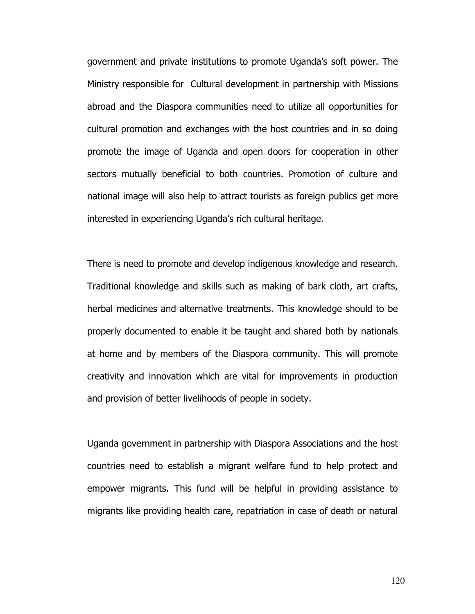government and private institutions to promote Uganda's soft power. The Ministry responsible for Cultural development in partnership with Missions abroad and the Diaspora communities need to utilize all opportunities for cultural promotion and exchanges with the host countries and in so doing promote the image of Uganda and open doors for cooperation in other sectors mutually beneficial to both countries. Promotion of culture and national image will also help to attract tourists as foreign publics get more interested in experiencing Uganda's rich cultural heritage.

There is need to promote and develop indigenous knowledge and research. Traditional knowledge and skills such as making of bark cloth, art crafts, herbal medicines and alternative treatments. This knowledge should to be properly documented to enable it be taught and shared both by nationals at home and by members of the Diaspora community. This will promote creativity and innovation which are vital for improvements in production and provision of better livelihoods of people in society.

Uganda government in partnership with Diaspora Associations and the host countries need to establish a migrant welfare fund to help protect and empower migrants. This fund will be helpful in providing assistance to migrants like providing health care, repatriation in case of death or natural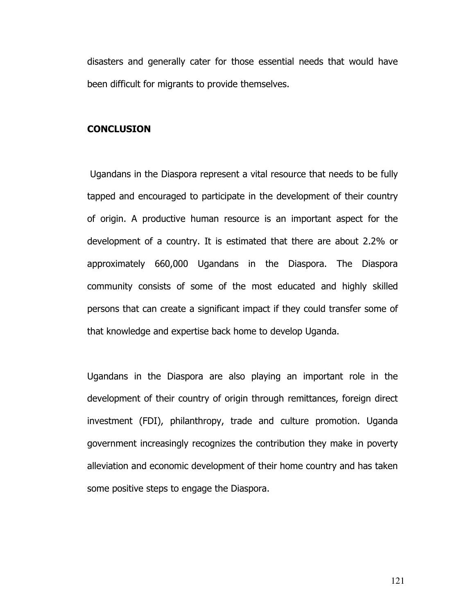disasters and generally cater for those essential needs that would have been difficult for migrants to provide themselves.

### **CONCLUSION**

 Ugandans in the Diaspora represent a vital resource that needs to be fully tapped and encouraged to participate in the development of their country of origin. A productive human resource is an important aspect for the development of a country. It is estimated that there are about 2.2% or approximately 660,000 Ugandans in the Diaspora. The Diaspora community consists of some of the most educated and highly skilled persons that can create a significant impact if they could transfer some of that knowledge and expertise back home to develop Uganda.

Ugandans in the Diaspora are also playing an important role in the development of their country of origin through remittances, foreign direct investment (FDI), philanthropy, trade and culture promotion. Uganda government increasingly recognizes the contribution they make in poverty alleviation and economic development of their home country and has taken some positive steps to engage the Diaspora.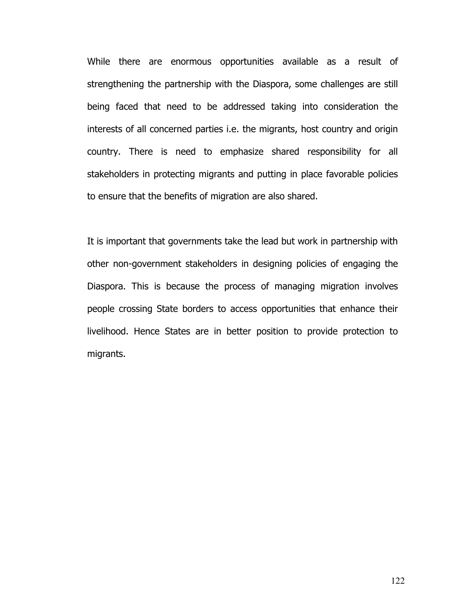While there are enormous opportunities available as a result of strengthening the partnership with the Diaspora, some challenges are still being faced that need to be addressed taking into consideration the interests of all concerned parties i.e. the migrants, host country and origin country. There is need to emphasize shared responsibility for all stakeholders in protecting migrants and putting in place favorable policies to ensure that the benefits of migration are also shared.

It is important that governments take the lead but work in partnership with other non-government stakeholders in designing policies of engaging the Diaspora. This is because the process of managing migration involves people crossing State borders to access opportunities that enhance their livelihood. Hence States are in better position to provide protection to migrants.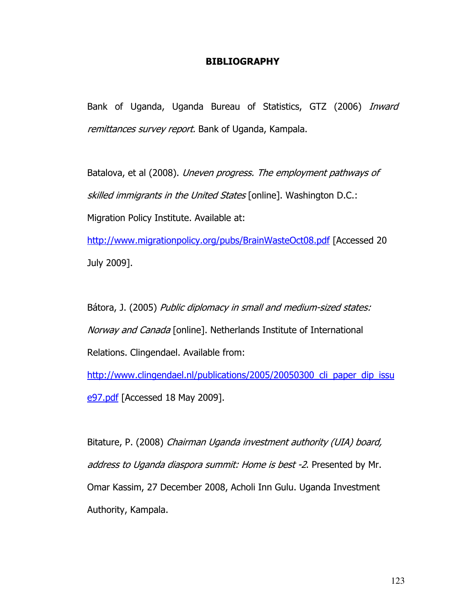# BIBLIOGRAPHY

Bank of Uganda, Uganda Bureau of Statistics, GTZ (2006) *Inward* remittances survey report. Bank of Uganda, Kampala.

Batalova, et al (2008). Uneven progress. The employment pathways of skilled immigrants in the United States [online]. Washington D.C.: Migration Policy Institute. Available at:

http://www.migrationpolicy.org/pubs/BrainWasteOct08.pdf [Accessed 20 July 2009].

Bátora, J. (2005) Public diplomacy in small and medium-sized states: Norway and Canada [online]. Netherlands Institute of International Relations. Clingendael. Available from:

http://www.clingendael.nl/publications/2005/20050300\_cli\_paper\_dip\_issu e97.pdf [Accessed 18 May 2009].

Bitature, P. (2008) Chairman Uganda investment authority (UIA) board, address to Uganda diaspora summit: Home is best -2. Presented by Mr. Omar Kassim, 27 December 2008, Acholi Inn Gulu. Uganda Investment Authority, Kampala.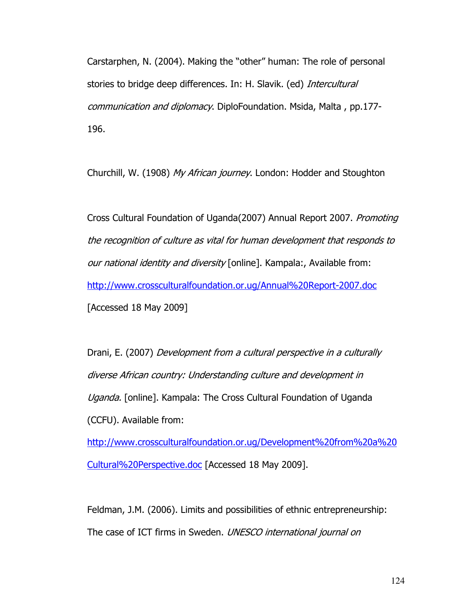Carstarphen, N. (2004). Making the "other" human: The role of personal stories to bridge deep differences. In: H. Slavik. (ed) Intercultural communication and diplomacy. DiploFoundation. Msida, Malta , pp.177- 196.

Churchill, W. (1908) My African journey. London: Hodder and Stoughton

Cross Cultural Foundation of Uganda(2007) Annual Report 2007. Promoting the recognition of culture as vital for human development that responds to our national identity and diversity [online]. Kampala:, Available from: http://www.crossculturalfoundation.or.ug/Annual%20Report-2007.doc [Accessed 18 May 2009]

Drani, E. (2007) Development from a cultural perspective in a culturally diverse African country: Understanding culture and development in Uganda. [online]. Kampala: The Cross Cultural Foundation of Uganda (CCFU). Available from:

http://www.crossculturalfoundation.or.ug/Development%20from%20a%20 Cultural%20Perspective.doc [Accessed 18 May 2009].

Feldman, J.M. (2006). Limits and possibilities of ethnic entrepreneurship: The case of ICT firms in Sweden. UNESCO international journal on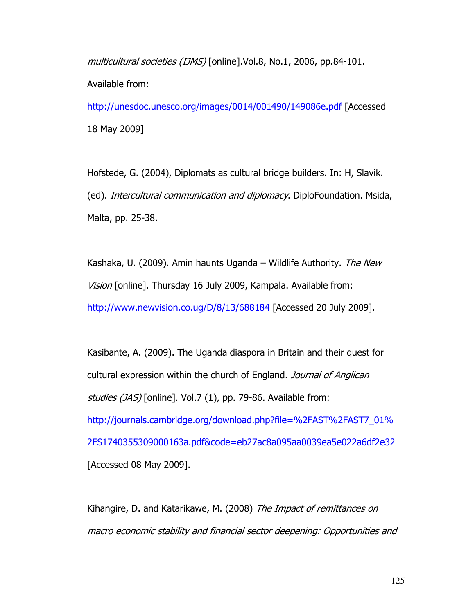multicultural societies (IJMS) [online].Vol.8, No.1, 2006, pp.84-101. Available from:

http://unesdoc.unesco.org/images/0014/001490/149086e.pdf [Accessed 18 May 2009]

Hofstede, G. (2004), Diplomats as cultural bridge builders. In: H, Slavik. (ed). Intercultural communication and diplomacy. DiploFoundation. Msida, Malta, pp. 25-38.

Kashaka, U. (2009). Amin haunts Uganda – Wildlife Authority. The New Vision [online]. Thursday 16 July 2009, Kampala. Available from: http://www.newvision.co.ug/D/8/13/688184 [Accessed 20 July 2009].

Kasibante, A. (2009). The Uganda diaspora in Britain and their quest for cultural expression within the church of England. Journal of Anglican studies (JAS) [online]. Vol.7 (1), pp. 79-86. Available from: http://journals.cambridge.org/download.php?file=%2FAST%2FAST7\_01% 2FS1740355309000163a.pdf&code=eb27ac8a095aa0039ea5e022a6df2e32 [Accessed 08 May 2009].

Kihangire, D. and Katarikawe, M. (2008) The Impact of remittances on macro economic stability and financial sector deepening: Opportunities and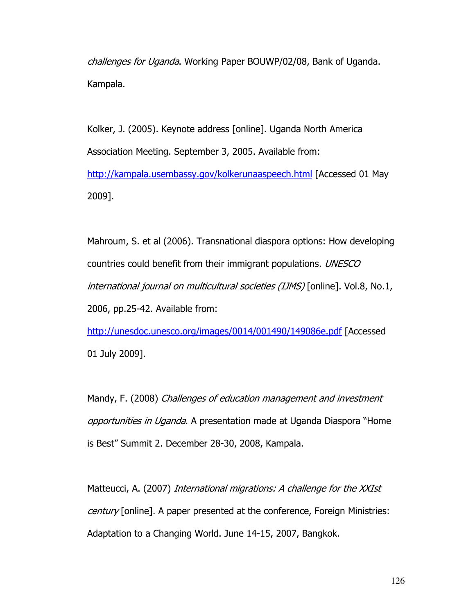challenges for Uganda. Working Paper BOUWP/02/08, Bank of Uganda. Kampala.

Kolker, J. (2005). Keynote address [online]. Uganda North America Association Meeting. September 3, 2005. Available from: http://kampala.usembassy.gov/kolkerunaaspeech.html [Accessed 01 May 2009].

Mahroum, S. et al (2006). Transnational diaspora options: How developing countries could benefit from their immigrant populations. UNESCO international journal on multicultural societies (IJMS) [online]. Vol.8, No.1, 2006, pp.25-42. Available from:

http://unesdoc.unesco.org/images/0014/001490/149086e.pdf [Accessed 01 July 2009].

Mandy, F. (2008) Challenges of education management and investment opportunities in Uganda. A presentation made at Uganda Diaspora "Home is Best" Summit 2. December 28-30, 2008, Kampala.

Matteucci, A. (2007) *International migrations: A challenge for the XXIst* century [online]. A paper presented at the conference, Foreign Ministries: Adaptation to a Changing World. June 14-15, 2007, Bangkok.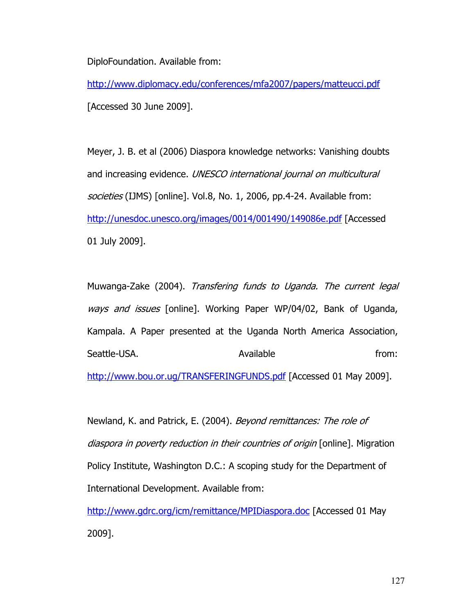DiploFoundation. Available from:

http://www.diplomacy.edu/conferences/mfa2007/papers/matteucci.pdf [Accessed 30 June 2009].

Meyer, J. B. et al (2006) Diaspora knowledge networks: Vanishing doubts and increasing evidence. UNESCO international journal on multicultural societies (IJMS) [online]. Vol.8, No. 1, 2006, pp.4-24. Available from: http://unesdoc.unesco.org/images/0014/001490/149086e.pdf [Accessed 01 July 2009].

Muwanga-Zake (2004). Transfering funds to Uganda. The current legal ways and issues [online]. Working Paper WP/04/02, Bank of Uganda, Kampala. A Paper presented at the Uganda North America Association, Seattle-USA. Available from: http://www.bou.or.ug/TRANSFERINGFUNDS.pdf [Accessed 01 May 2009].

Newland, K. and Patrick, E. (2004). Beyond remittances: The role of diaspora in poverty reduction in their countries of origin [online]. Migration Policy Institute, Washington D.C.: A scoping study for the Department of International Development. Available from:

http://www.gdrc.org/icm/remittance/MPIDiaspora.doc [Accessed 01 May 2009].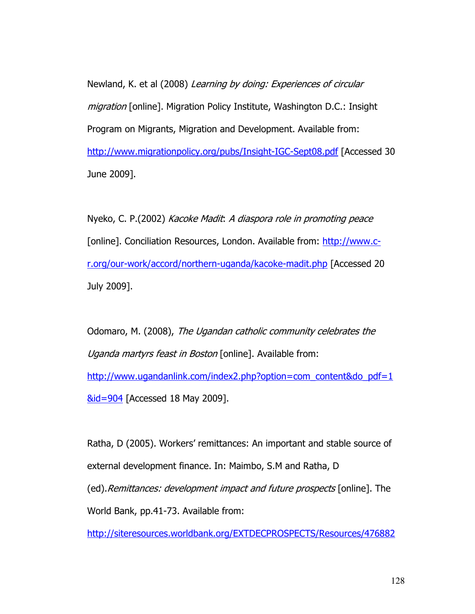Newland, K. et al (2008) Learning by doing: Experiences of circular migration [online]. Migration Policy Institute, Washington D.C.: Insight Program on Migrants, Migration and Development. Available from: http://www.migrationpolicy.org/pubs/Insight-IGC-Sept08.pdf [Accessed 30 June 2009].

Nyeko, C. P.(2002) Kacoke Madit: A diaspora role in promoting peace [online]. Conciliation Resources, London. Available from: http://www.cr.org/our-work/accord/northern-uganda/kacoke-madit.php [Accessed 20 July 2009].

Odomaro, M. (2008), The Ugandan catholic community celebrates the Uganda martyrs feast in Boston [online]. Available from: http://www.ugandanlink.com/index2.php?option=com\_content&do\_pdf=1 &id=904 [Accessed 18 May 2009].

Ratha, D (2005). Workers' remittances: An important and stable source of external development finance. In: Maimbo, S.M and Ratha, D (ed).Remittances: development impact and future prospects [online]. The World Bank, pp.41-73. Available from:

http://siteresources.worldbank.org/EXTDECPROSPECTS/Resources/476882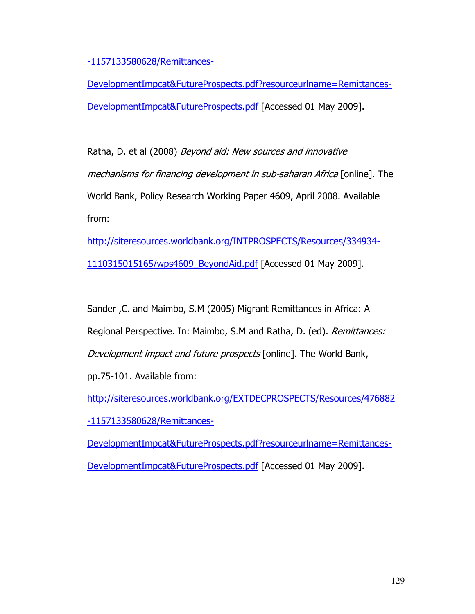-1157133580628/Remittances-

DevelopmentImpcat&FutureProspects.pdf?resourceurlname=Remittances-DevelopmentImpcat&FutureProspects.pdf [Accessed 01 May 2009].

Ratha, D. et al (2008) Beyond aid: New sources and innovative mechanisms for financing development in sub-saharan Africa [online]. The World Bank, Policy Research Working Paper 4609, April 2008. Available from:

http://siteresources.worldbank.org/INTPROSPECTS/Resources/334934- 1110315015165/wps4609\_BeyondAid.pdf [Accessed 01 May 2009].

Sander ,C. and Maimbo, S.M (2005) Migrant Remittances in Africa: A Regional Perspective. In: Maimbo, S.M and Ratha, D. (ed). Remittances: Development impact and future prospects [online]. The World Bank, pp.75-101. Available from:

http://siteresources.worldbank.org/EXTDECPROSPECTS/Resources/476882 -1157133580628/Remittances-

DevelopmentImpcat&FutureProspects.pdf?resourceurlname=Remittances-DevelopmentImpcat&FutureProspects.pdf [Accessed 01 May 2009].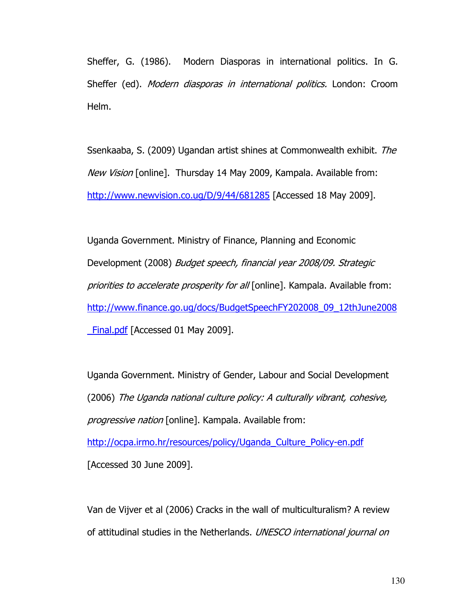Sheffer, G. (1986). Modern Diasporas in international politics. In G. Sheffer (ed). *Modern diasporas in international politics*. London: Croom Helm.

Ssenkaaba, S. (2009) Ugandan artist shines at Commonwealth exhibit. The New Vision [online]. Thursday 14 May 2009, Kampala. Available from: http://www.newvision.co.ug/D/9/44/681285 [Accessed 18 May 2009].

Uganda Government. Ministry of Finance, Planning and Economic Development (2008) Budget speech, financial year 2008/09. Strategic priorities to accelerate prosperity for all [online]. Kampala. Available from: http://www.finance.go.ug/docs/BudgetSpeechFY202008\_09\_12thJune2008 Final.pdf [Accessed 01 May 2009].

Uganda Government. Ministry of Gender, Labour and Social Development (2006) The Uganda national culture policy: A culturally vibrant, cohesive, progressive nation [online]. Kampala. Available from: http://ocpa.irmo.hr/resources/policy/Uganda\_Culture\_Policy-en.pdf [Accessed 30 June 2009].

Van de Vijver et al (2006) Cracks in the wall of multiculturalism? A review of attitudinal studies in the Netherlands. UNESCO international journal on